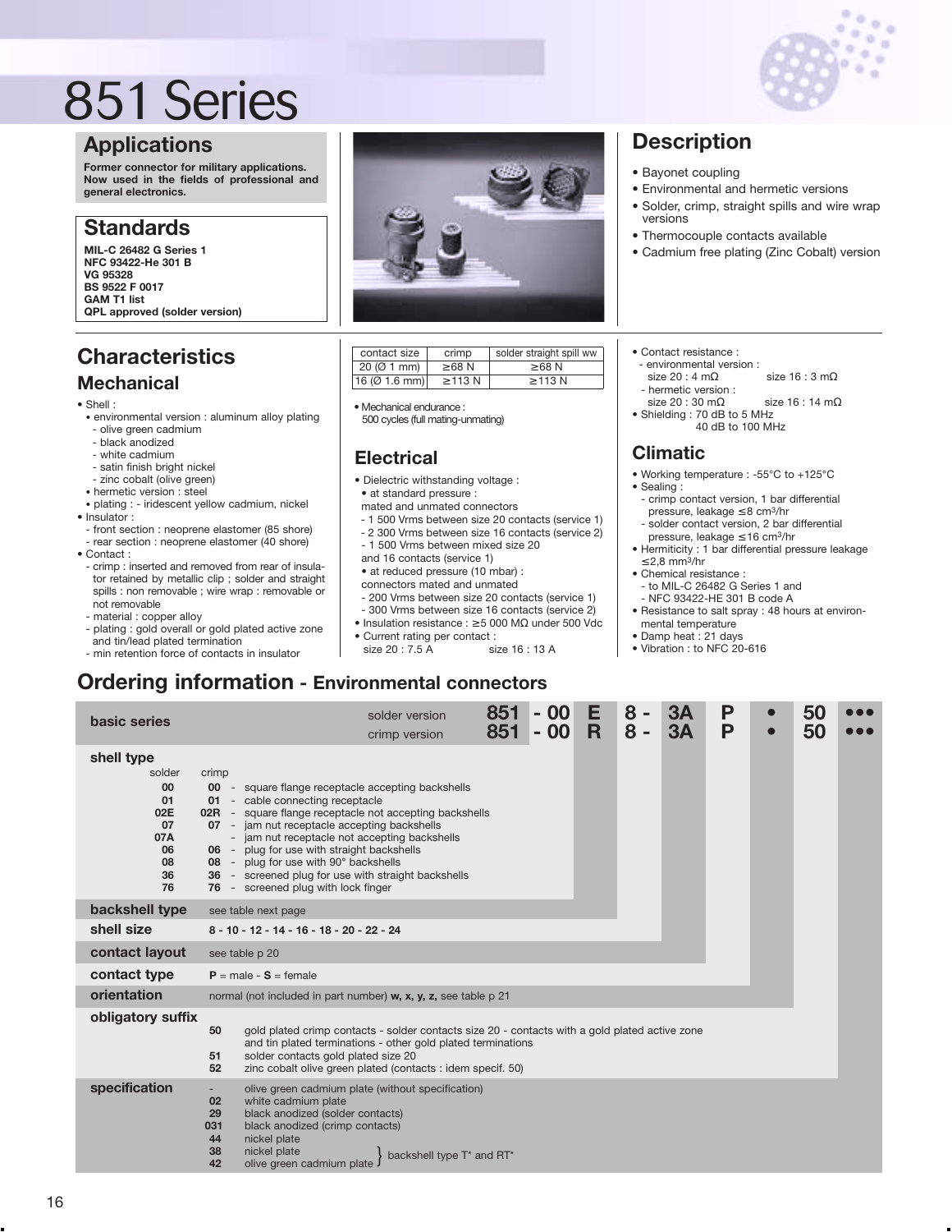

### **Applications**

**Former connector for military applications. Now used in the fields of professional and general electronics.**

## **Standards**

**MIL-C 26482 G Series 1 NFC 93422-He 301 B VG 95328 BS 9522 F 0017 GAM T1 list QPL approved (solder version)**

## **Characteristics**

### **Mechanical**

- Shell :
- environmental version : aluminum alloy plating - olive green cadmium
- black anodized
- white cadmium
- satin finish bright nickel
- zinc cobalt (olive green)
- hermetic version : steel
- plating : iridescent yellow cadmium, nickel • Insulator :
- front section : neoprene elastomer (85 shore) - rear section : neoprene elastomer (40 shore)
- Contact :
- crimp : inserted and removed from rear of insulator retained by metallic clip ; solder and straight spills : non removable ; wire wrap : removable or not removable
- material : copper alloy
- plating : gold overall or gold plated active zone and tin/lead plated termination
- min retention force of contacts in insulator



| contact size               | crimp        | solder straight spill ww |  |  |  |  |
|----------------------------|--------------|--------------------------|--|--|--|--|
| 20 (O 1 mm)                | $>68$ N      | $>68$ N                  |  |  |  |  |
| 16 ( $\varnothing$ 1.6 mm) | $\geq$ 113 N | > 113 N                  |  |  |  |  |

## $\bullet$  Mechanical endurance  $\frac{60}{50}$

500 cycles (full mating-unmating)

### **Electrical**

- Dielectric withstanding voltage :
- at standard pressure :
- mated and unmated connectors
- 1 500 Vrms between size 20 contacts (service 1)
- 2 300 Vrms between size 16 contacts (service 2)
- 1 500 Vrms between mixed size 20
- and 16 contacts (service 1)
- at reduced pressure (10 mbar) :
- connectors mated and unmated
- 200 Vrms between size 20 contacts (service 1)
- 300 Vrms between size 16 contacts (service 2)
- Insulation resistance : ≥ 5 000 MΩ under 500 Vdc
- Current rating per contact :<br>size 20 : 7.5 A size 16 : 13 A size 20 : 7.5 A

## **Description**

- Bayonet coupling
- Environmental and hermetic versions
- Solder, crimp, straight spills and wire wrap versions
- Thermocouple contacts available
- Cadmium free plating (Zinc Cobalt) version
- Contact resistance :
	- environmental version : size 20 : 4 m $\Omega$  size 16 : 3 m $\Omega$
	- hermetic version : size 20 : 30 m $\Omega$  size 16 : 14 m $\Omega$
- Shielding : 70 dB to 5 MHz 40 dB to 100 MHz

## **Climatic**

- Working temperature : -55°C to +125°C
- Sealing : - crimp contact version, 1 bar differential pressure, leakage ≤ 8 cm3/hr
- solder contact version, 2 bar differential pressure, leakage ≤ 16 cm3/hr
- Hermiticity : 1 bar differential pressure leakage ≤ 2,8 mm3/hr
- Chemical resistance :
- to MIL-C 26482 G Series 1 and
- NFC 93422-HE 301 B code A
- Resistance to salt spray : 48 hours at environmental temperature
- Damp heat : 21 days
- Vibration : to NFC 20-616

## **Ordering information - Environmental connectors**

| basic series                                                                 | solder version<br>crimp version                                                                                                                                                                                                                                                                                                                                                                                                                         | 851<br>Е<br>- 00<br>R<br>851<br>- 00 | 8<br>8<br>$\overline{\phantom{a}}$ | P<br>3A<br>P<br>3A | $\bullet$ | 50<br>50 |  |  |  |  |  |  |
|------------------------------------------------------------------------------|---------------------------------------------------------------------------------------------------------------------------------------------------------------------------------------------------------------------------------------------------------------------------------------------------------------------------------------------------------------------------------------------------------------------------------------------------------|--------------------------------------|------------------------------------|--------------------|-----------|----------|--|--|--|--|--|--|
| shell type<br>solder<br>00<br>01<br>02E<br>07<br>07A<br>06<br>08<br>36<br>76 | crimp<br>00 - square flange receptacle accepting backshells<br>01 - cable connecting receptacle<br><b>02R</b> - square flange receptacle not accepting backshells<br>07 - jam nut receptacle accepting backshells<br>- jam nut receptacle not accepting backshells<br>06 - plug for use with straight backshells<br>08 - plug for use with 90° backshells<br>36 - screened plug for use with straight backshells<br>76 - screened plug with lock finger |                                      |                                    |                    |           |          |  |  |  |  |  |  |
| backshell type                                                               | see table next page                                                                                                                                                                                                                                                                                                                                                                                                                                     |                                      |                                    |                    |           |          |  |  |  |  |  |  |
| shell size                                                                   | $8 - 10 - 12 - 14 - 16 - 18 - 20 - 22 - 24$                                                                                                                                                                                                                                                                                                                                                                                                             |                                      |                                    |                    |           |          |  |  |  |  |  |  |
| contact layout                                                               | see table p 20                                                                                                                                                                                                                                                                                                                                                                                                                                          |                                      |                                    |                    |           |          |  |  |  |  |  |  |
| contact type                                                                 | $P = male - S = female$                                                                                                                                                                                                                                                                                                                                                                                                                                 |                                      |                                    |                    |           |          |  |  |  |  |  |  |
| orientation                                                                  | normal (not included in part number) w, x, y, z, see table p 21                                                                                                                                                                                                                                                                                                                                                                                         |                                      |                                    |                    |           |          |  |  |  |  |  |  |
| obligatory suffix                                                            | gold plated crimp contacts - solder contacts size 20 - contacts with a gold plated active zone<br>50<br>and tin plated terminations - other gold plated terminations<br>solder contacts gold plated size 20<br>51<br>52<br>zinc cobalt olive green plated (contacts: idem specif. 50)                                                                                                                                                                   |                                      |                                    |                    |           |          |  |  |  |  |  |  |
| specification                                                                | olive green cadmium plate (without specification)<br>white cadmium plate<br>02<br>29<br>black anodized (solder contacts)<br>031<br>black anodized (crimp contacts)<br>44<br>nickel plate<br>38<br>nickel plate<br>backshell type T <sup>*</sup> and RT <sup>*</sup><br>42<br>olive green cadmium plate                                                                                                                                                  |                                      |                                    |                    |           |          |  |  |  |  |  |  |

| (Ø 1 mm)                                 | $\geq 68$ N                     | $\geq 68$ N |  |  |  |  |  |  |  |
|------------------------------------------|---------------------------------|-------------|--|--|--|--|--|--|--|
| Ø 1.6 mm) <br>$\geq$ 113<br>$\geq$ 113 N |                                 |             |  |  |  |  |  |  |  |
| echanical endurance :                    | 0 cycles (full mating-unmating) |             |  |  |  |  |  |  |  |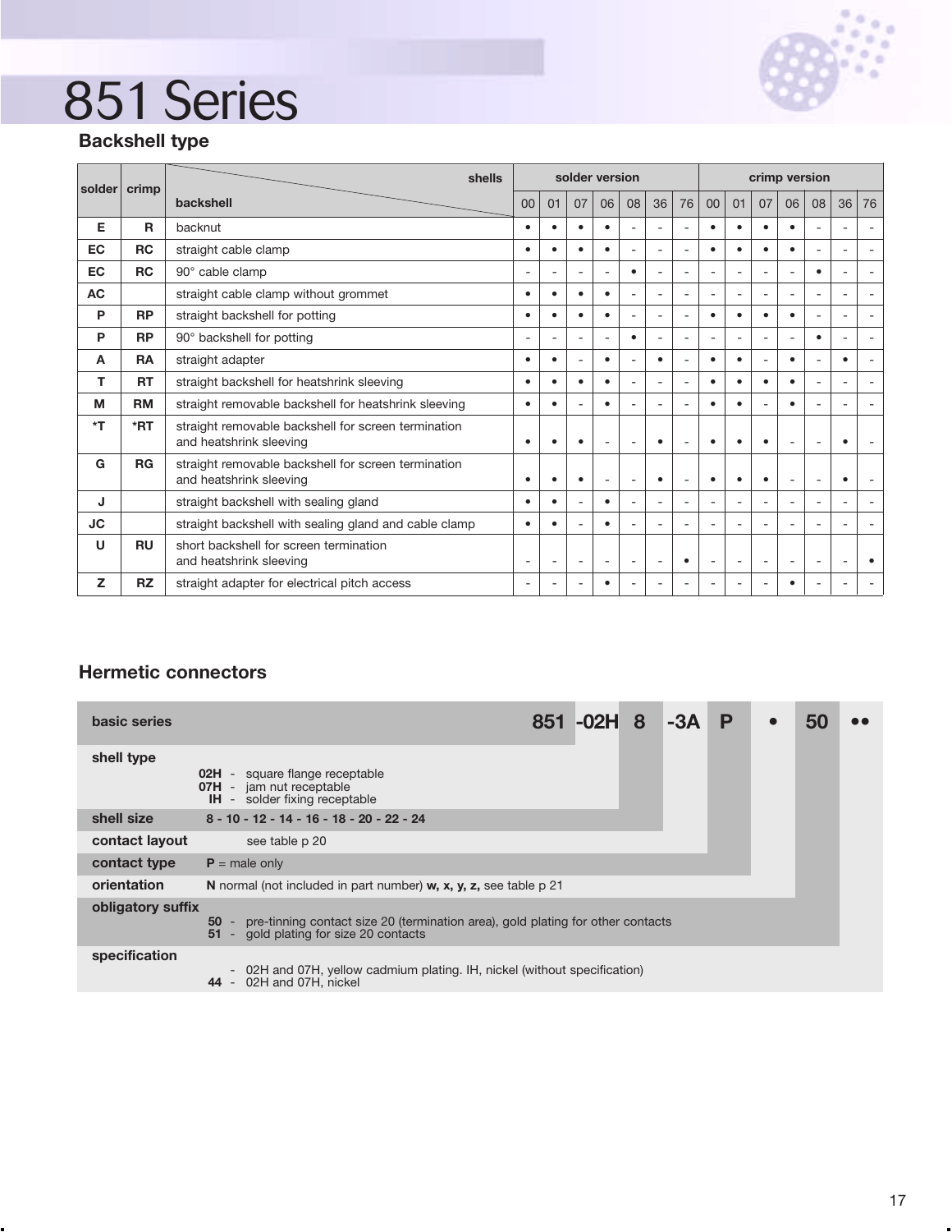

## **Backshell type**

| solder      | crimp     | shells                                                                         | solder version           |                          |    |           |                              |    |                          |           | crimp version            |    |           |                          |                          |    |
|-------------|-----------|--------------------------------------------------------------------------------|--------------------------|--------------------------|----|-----------|------------------------------|----|--------------------------|-----------|--------------------------|----|-----------|--------------------------|--------------------------|----|
|             |           | backshell                                                                      | 00                       | 01                       | 07 | 06        | 08                           | 36 | 76                       | 00        | 01                       | 07 | 06        | 08                       | 36                       | 76 |
| Е           | R         | backnut                                                                        |                          | $\blacksquare$           | ٠  | $\bullet$ | ۰                            |    | $\overline{a}$           |           | ٠                        |    | $\bullet$ | ۰                        |                          |    |
| <b>EC</b>   | <b>RC</b> | straight cable clamp                                                           | ٠                        | ٠                        |    | $\bullet$ | ۰                            | ٠  | $\overline{a}$           |           | ٠                        |    | $\bullet$ | ۰                        | $\overline{\phantom{a}}$ |    |
| EC          | <b>RC</b> | 90° cable clamp                                                                | $\overline{\phantom{a}}$ | $\overline{\phantom{a}}$ | ۰  | ÷         | $\bullet$                    | ÷  | $\overline{\phantom{a}}$ | ۰         | ÷                        |    | ٠         | $\bullet$                | $\overline{\phantom{a}}$ |    |
| <b>AC</b>   |           | straight cable clamp without grommet                                           | ٠                        | ٠                        |    | $\bullet$ | $\qquad \qquad \blacksquare$ | ٠  | $\overline{\phantom{a}}$ |           | ٠                        |    | ۰         | $\overline{\phantom{a}}$ | $\overline{\phantom{a}}$ |    |
| P           | <b>RP</b> | straight backshell for potting                                                 |                          | ٠                        |    | $\bullet$ | ٠                            | ٠  | $\overline{\phantom{a}}$ |           | ٠                        |    | $\bullet$ |                          | ٠                        | ٠  |
| P           | <b>RP</b> | 90° backshell for potting                                                      | ÷                        | $\equiv$                 | ٠  |           | ٠                            |    | $\overline{\phantom{a}}$ |           | ÷                        |    | ٠         |                          |                          |    |
| A           | <b>RA</b> | straight adapter                                                               | ٠                        | ٠                        |    | $\bullet$ | $\overline{\phantom{a}}$     | ٠  | $\overline{\phantom{a}}$ |           | ٠                        |    | $\bullet$ |                          | ٠                        |    |
| т           | <b>RT</b> | straight backshell for heatshrink sleeving                                     |                          | $\bullet$                |    | $\bullet$ | ٠                            |    | $\overline{\phantom{a}}$ | $\bullet$ | $\bullet$                |    | $\bullet$ |                          | ٠                        |    |
| М           | <b>RM</b> | straight removable backshell for heatshrink sleeving                           | ٠                        | $\bullet$                |    | $\bullet$ |                              |    | $\overline{a}$           | $\bullet$ | ٠                        |    | $\bullet$ |                          |                          |    |
| *T          | *RT       | straight removable backshell for screen termination<br>and heatshrink sleeving | ٠                        |                          |    |           |                              |    | ۰                        |           | ٠                        |    |           |                          |                          |    |
| G           | RG        | straight removable backshell for screen termination<br>and heatshrink sleeving | ٠                        | ٠                        |    |           | ۰                            | ٠  | $\overline{\phantom{a}}$ |           | ٠                        |    | -         |                          | ٠                        |    |
| J           |           | straight backshell with sealing gland                                          | ٠                        | ٠                        |    | $\bullet$ | $\overline{\phantom{a}}$     | ٠  | $\overline{\phantom{a}}$ | -         | $\overline{\phantom{a}}$ |    | ٠         | $\overline{\phantom{a}}$ | $\overline{\phantom{a}}$ |    |
| <b>JC</b>   |           | straight backshell with sealing gland and cable clamp                          |                          | ٠                        |    |           | ۰                            |    | $\overline{\phantom{a}}$ |           | ÷                        |    | -         |                          |                          | ÷  |
| $\mathbf U$ | <b>RU</b> | short backshell for screen termination<br>and heatshrink sleeving              |                          | $\overline{\phantom{a}}$ |    |           | $\overline{\phantom{a}}$     |    | $\bullet$                |           |                          |    | ۰         |                          |                          |    |
| z           | <b>RZ</b> | straight adapter for electrical pitch access                                   |                          | ۰                        |    |           |                              |    | ۰                        |           |                          |    | ٠         |                          |                          |    |

### **Hermetic connectors**

| basic series   |                                                                                                                                                          | 851 - 02H 8 |  | $-3A$ | P |  |  |  |  |
|----------------|----------------------------------------------------------------------------------------------------------------------------------------------------------|-------------|--|-------|---|--|--|--|--|
| shell type     | <b>02H</b> - square flange receptable<br><b>07H</b> - jam nut receptable<br><b>IH</b> - solder fixing receptable                                         |             |  |       |   |  |  |  |  |
| shell size     | $8 - 10 - 12 - 14 - 16 - 18 - 20 - 22 - 24$                                                                                                              |             |  |       |   |  |  |  |  |
| contact layout | see table p 20                                                                                                                                           |             |  |       |   |  |  |  |  |
| contact type   | $P =$ male only                                                                                                                                          |             |  |       |   |  |  |  |  |
| orientation    | N normal (not included in part number) w, x, y, z, see table p 21                                                                                        |             |  |       |   |  |  |  |  |
|                | obligatory suffix<br>pre-tinning contact size 20 (termination area), gold plating for other contacts<br>$50 -$<br>51 - gold plating for size 20 contacts |             |  |       |   |  |  |  |  |
| specification  | - 02H and 07H, yellow cadmium plating. IH, nickel (without specification)<br>44 - 02H and 07H, nickel                                                    |             |  |       |   |  |  |  |  |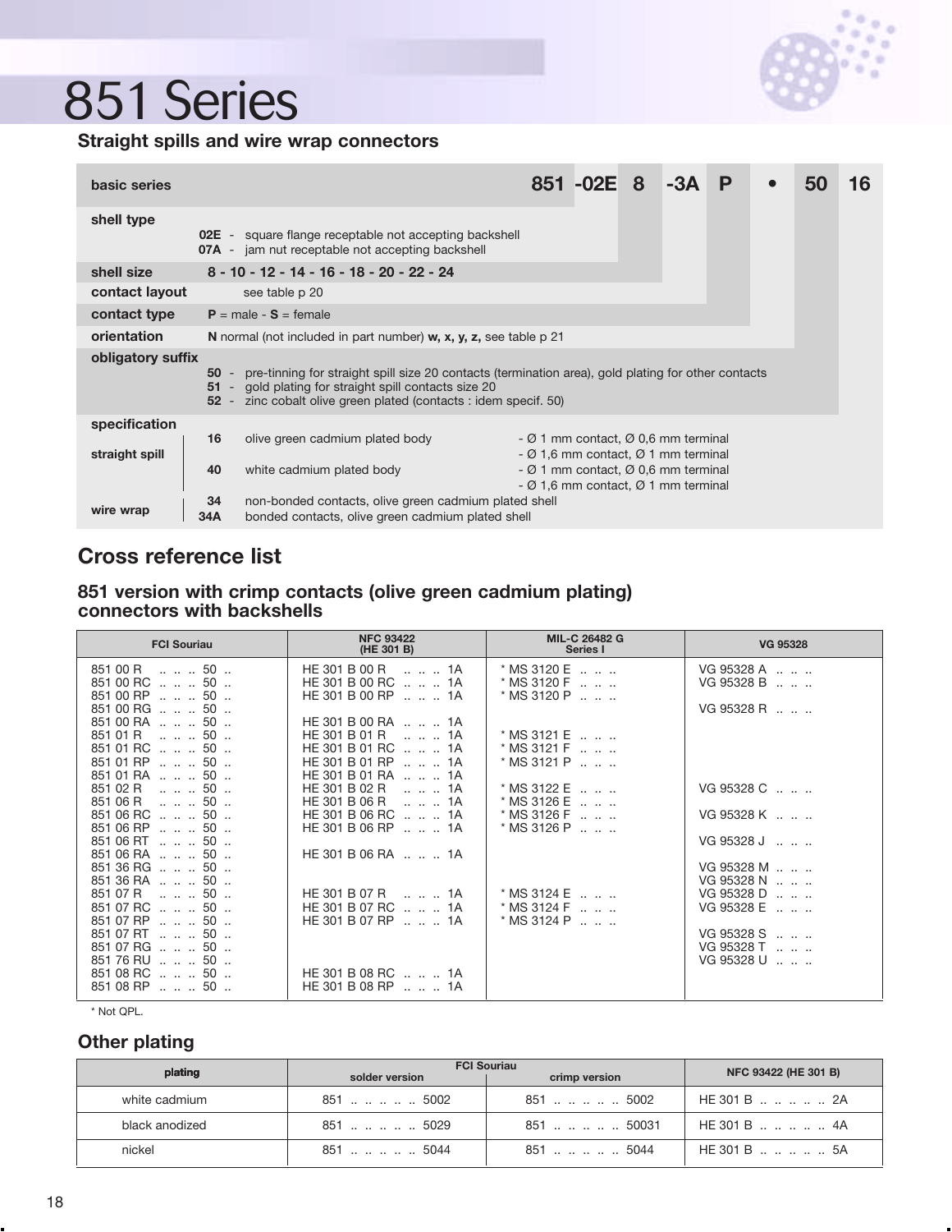

#### **Straight spills and wire wrap connectors**

| 851 - 02E 8 - 3A<br>P                                                                                                                                                                                                                                           |  |                                                                                                                                                                             |  |  |  |                                                                                                                                                                                        |  |  |  |  |
|-----------------------------------------------------------------------------------------------------------------------------------------------------------------------------------------------------------------------------------------------------------------|--|-----------------------------------------------------------------------------------------------------------------------------------------------------------------------------|--|--|--|----------------------------------------------------------------------------------------------------------------------------------------------------------------------------------------|--|--|--|--|
| 07A - jam nut receptable not accepting backshell                                                                                                                                                                                                                |  |                                                                                                                                                                             |  |  |  |                                                                                                                                                                                        |  |  |  |  |
| 8 - 10 - 12 - 14 - 16 - 18 - 20 - 22 - 24                                                                                                                                                                                                                       |  |                                                                                                                                                                             |  |  |  |                                                                                                                                                                                        |  |  |  |  |
| contact layout<br>see table p 20                                                                                                                                                                                                                                |  |                                                                                                                                                                             |  |  |  |                                                                                                                                                                                        |  |  |  |  |
| contact type<br>$P = male - S = female$                                                                                                                                                                                                                         |  |                                                                                                                                                                             |  |  |  |                                                                                                                                                                                        |  |  |  |  |
| orientation<br>N normal (not included in part number) w, x, y, z, see table p 21                                                                                                                                                                                |  |                                                                                                                                                                             |  |  |  |                                                                                                                                                                                        |  |  |  |  |
| obligatory suffix<br>pre-tinning for straight spill size 20 contacts (termination area), gold plating for other contacts<br>$50 -$<br>51 - gold plating for straight spill contacts size 20<br>52 - zinc cobalt olive green plated (contacts : idem specif. 50) |  |                                                                                                                                                                             |  |  |  |                                                                                                                                                                                        |  |  |  |  |
| 16<br>olive green cadmium plated body<br>40<br>white cadmium plated body<br>34<br>34A                                                                                                                                                                           |  |                                                                                                                                                                             |  |  |  |                                                                                                                                                                                        |  |  |  |  |
|                                                                                                                                                                                                                                                                 |  | <b>02E</b> - square flange receptable not accepting backshell<br>non-bonded contacts, olive green cadmium plated shell<br>bonded contacts, olive green cadmium plated shell |  |  |  | $-$ Ø 1 mm contact, Ø 0,6 mm terminal<br>$-$ Ø 1,6 mm contact, Ø 1 mm terminal<br>$-$ Ø 1 mm contact, Ø 0,6 mm terminal<br>- $\varnothing$ 1,6 mm contact, $\varnothing$ 1 mm terminal |  |  |  |  |

## **Cross reference list**

#### **851 version with crimp contacts (olive green cadmium plating) connectors with backshells**

| <b>FCI Souriau</b>                 | <b>NFC 93422</b><br>(HE 301 B)               | <b>MIL-C 26482 G</b><br>Series I                                   | <b>VG 95328</b>                                  |
|------------------------------------|----------------------------------------------|--------------------------------------------------------------------|--------------------------------------------------|
| 851 00 R   50                      | $HE 301 B 00 R$ 1A                           | $*$ MS 3120 E $\dots$ $\dots$                                      | VG 95328 A                                       |
| 851 00 RC    50<br>851 00 RP    50 | HE 301 B 00 RC   . 1A<br>HE 301 B 00 RP   1A | $*$ MS 3120 F $\ldots$ $\ldots$<br>$*$ MS 3120 P $\ldots$ $\ldots$ | VG 95328 B                                       |
| 851 00 RG    50                    |                                              |                                                                    | VG95328R                                         |
| 851 00 RA    50                    | HE 301 B 00 RA   1A                          |                                                                    |                                                  |
| 851 01 R   50                      | HE 301 B 01 R   1A                           | $*$ MS 3121 E $\ldots$ $\ldots$                                    |                                                  |
| 851 01 RC    50<br>851 01 RP    50 | HE 301 B 01 RC   . 1A<br>HE 301 B 01 RP   1A | $*$ MS 3121 F $\ldots$ $\ldots$<br>$*$ MS 3121 P $\ldots$ $\ldots$ |                                                  |
| 851 01 RA    50                    | HE 301 B 01 RA   . 1A                        |                                                                    |                                                  |
| 851 02 R   50                      | HE 301 B 02 R<br>1A<br>HE 301 B 06 R         | $*$ MS 3122 E $\ldots$ $\ldots$                                    | VG 95328 C                                       |
| 851 06 R   50<br>851 06 RC    50   | 1A<br>HE 301 B 06 RC   . 1A                  | $*$ MS 3126 E $\ldots$ $\ldots$<br>$*$ MS 3126 F $\ldots$ $\ldots$ | VG 95328 K                                       |
| 851 06 RP    50                    | HE 301 B 06 RP   1A                          | $*$ MS 3126 P $\ldots$ $\ldots$                                    |                                                  |
| 851 06 RT    50<br>851 06 RA    50 | HE 301 B 06 RA   1A                          |                                                                    | VG 95328 J                                       |
| 851 36 RG    50                    |                                              |                                                                    | VG 95328 M                                       |
| 851 36 RA    50                    |                                              |                                                                    | VG 95328 N                                       |
| 851 07 R   50<br>851 07 RC    50   | HE 301 B 07 R   1A<br>HE 301 B 07 RC   . 1A  | $*$ MS 3124 E $\ldots$ $\ldots$<br>$*$ MS 3124 F $\ldots$ $\ldots$ | VG 95328 D<br>VG 95328 E   .                     |
| 851 07 RP    50                    | HE 301 B 07 RP   . 1A                        | $*$ MS 3124 P $\ldots$ $\ldots$                                    |                                                  |
| 851 07 RT   50                     |                                              |                                                                    | VG 95328 S                                       |
| 851 07 RG    50<br>851 76 RU    50 |                                              |                                                                    | VG 95328 T<br>VG 95328 U<br>$\sim$ $\sim$ $\sim$ |
| 851 08 RC    50                    | HE 301 B 08 RC   1A                          |                                                                    |                                                  |
| 851 08 RP    50                    | HE 301 B 08 RP   1A                          |                                                                    |                                                  |

\* Not QPL.

#### **Other plating**

| plating        | <b>FCI Souriau</b><br>solder version | NFC 93422 (HE 301 B) |                                 |  |
|----------------|--------------------------------------|----------------------|---------------------------------|--|
| white cadmium  | $851$ 5002                           | 851  5002            | HE 301 B    2A                  |  |
| black anodized | 851 5029                             | 851 50031            | $HF 301 B$ $\ldots$ $\ldots$ 4A |  |
| nickel         | $851$ 5044                           | 851 5044             | $HF 301 B$ $\ldots$ $\ldots$ 5A |  |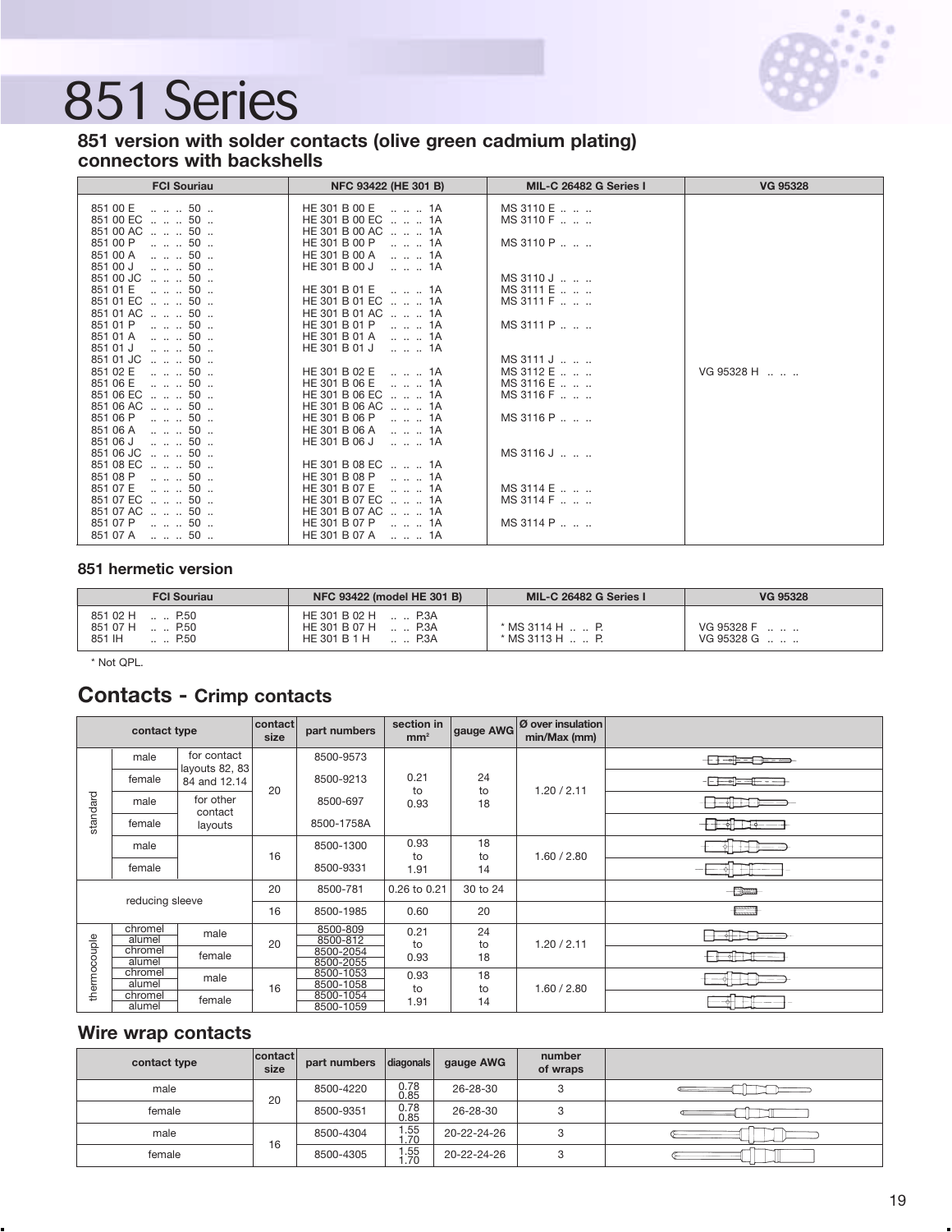

#### **851 version with solder contacts (olive green cadmium plating) connectors with backshells**

| <b>FCI Souriau</b>                                                                                                                                                                                                                                                                                                                                                                                                                                                                                                                                                                                                                                                                                                                                              | <b>NFC 93422 (HE 301 B)</b><br>MIL-C 26482 G Series I                                                                                                                                                                                                                                                                                                                                                                                                                                                                                                                                                                     |                                                                                                                                                                                                                                                         |                                  |  |  |  |
|-----------------------------------------------------------------------------------------------------------------------------------------------------------------------------------------------------------------------------------------------------------------------------------------------------------------------------------------------------------------------------------------------------------------------------------------------------------------------------------------------------------------------------------------------------------------------------------------------------------------------------------------------------------------------------------------------------------------------------------------------------------------|---------------------------------------------------------------------------------------------------------------------------------------------------------------------------------------------------------------------------------------------------------------------------------------------------------------------------------------------------------------------------------------------------------------------------------------------------------------------------------------------------------------------------------------------------------------------------------------------------------------------------|---------------------------------------------------------------------------------------------------------------------------------------------------------------------------------------------------------------------------------------------------------|----------------------------------|--|--|--|
| 851 00 E<br>$\ldots \ldots 50$<br>851 00 EC<br>50<br>851 00 AC    50<br>851 00 P<br>$\ldots$ $\ldots$ 50 $\ldots$<br>851 00 A<br>$\ldots$ $\ldots$ 50 $\ldots$<br>851 00 J<br>$\ldots$ $\ldots$ 50 $\ldots$<br>851 00 JC<br>50<br>851 01 E<br>50<br>851 01 EC   50<br>851 01 AC    50<br>851 01 P<br>50<br>851 01 A<br>50<br>851 01 J<br>50<br>851 01 JC<br>50<br>851 02 E<br>$\ldots$ $\ldots$ 50 $\ldots$<br>851 06 E<br>$\ldots$ $\ldots$ 50 $\ldots$<br>851 06 EC  50<br>851 06 AC   50<br>851 06 P<br>50<br>50<br>851 06 A<br>851 06 J<br>50<br>851 06 JC<br>50<br>851 08 EC<br>50<br>851 08 P<br>50<br>851 07 E<br>$\ldots$ $\ldots$ 50 $\ldots$<br>851 07 EC    50<br>851 07 AC<br>50<br>851 07 P<br>$\ldots$ $\ldots$ 50 $\ldots$<br>851 07 A<br>. 50 . | HE 301 B 00 E<br>1A<br>HE 301 B 00 EC<br>1A<br>HE 301 B 00 AC   1A<br>HE 301 B 00 P<br>1A<br>HE 301 B 00 A<br>1A<br>HE 301 B 00 J<br>1A<br>HE 301 B 01 E<br>1A<br>HE 301 B 01 EC<br>1A<br>HE 301 B 01 AC   . 1A<br>HE 301 B 01 P<br>1A<br>HE 301 B 01 A<br>1A<br>HE 301 B 01 J<br>1A<br>HE 301 B 02 E<br>1A<br>HE 301 B 06 E<br>1A<br>HE 301 B 06 EC   1A<br>HE 301 B 06 AC   1A<br>HE 301 B 06 P<br>1A<br>HE 301 B 06 A<br>1A<br>HE 301 B 06 J<br>1A<br>HE 301 B 08 EC   1A<br>HE 301 B 08 P<br>1A<br>HE 301 B 07 E<br>1A<br>HE 301 B 07 EC   1A<br>HE 301 B 07 AC<br>1A<br>HE 301 B 07 P<br>1A<br>HE 301 B 07 A<br>. 1A | MS 3110 E<br>MS 3110 F<br>MS 3110 P<br>MS3110 J<br>MS 3111 E<br>MS 3111 F<br>MS 3111 P<br>$MS$ 3111 J $\ldots$ $\ldots$<br>MS 3112 E<br>MS 3116 E<br>MS 3116 F<br>MS 3116 P<br>MS 3116 J<br>$MS$ 3114 $E$<br>$MS$ 3114 F $\ldots$ $\ldots$<br>MS 3114 P | <b>VG 95328</b><br>VG 95328 H  . |  |  |  |

#### **851 hermetic version**

| <b>FCI Souriau</b>                                     | NFC 93422 (model HE 301 B)                                             | MIL-C 26482 G Series I                                 | VG 95328                     |  |  |
|--------------------------------------------------------|------------------------------------------------------------------------|--------------------------------------------------------|------------------------------|--|--|
| 851 02 H<br>P.50<br>P.50<br>851 07 H<br>851 IH<br>P.50 | $HE 301 B 02 H$ P.3A<br>HE 301 B 07 H<br>. P.3A<br>P3A<br>HE 301 B 1 H | $*$ MS 3114 H $\ldots$ P.<br>$*$ MS 3113 H $\ldots$ P. | VG 95328 F<br><br>VG 95328 G |  |  |

\* Not QPL.

### **Contacts - Crimp contacts**

|              | contact type      |                               | contact<br>size                                          | part numbers                         | section in<br>mm <sup>2</sup> | gauge AWG | Ø over insulation<br>min/Max (mm) |               |  |
|--------------|-------------------|-------------------------------|----------------------------------------------------------|--------------------------------------|-------------------------------|-----------|-----------------------------------|---------------|--|
|              | male              | for contact<br>layouts 82, 83 |                                                          | 8500-9573                            |                               |           |                                   | $+$ $   -$    |  |
|              | female            | 84 and 12.14                  | 24<br>0.21<br>8500-9213<br>20<br>1.20 / 2.11<br>to<br>to |                                      |                               |           |                                   |               |  |
| standard     | male              | for other<br>contact          |                                                          | 8500-697                             | 0.93                          | 18        |                                   |               |  |
|              | female            | layouts                       |                                                          | 8500-1758A                           |                               |           |                                   |               |  |
|              | male              |                               | 16                                                       | 8500-1300                            | 0.93<br>to                    | 18<br>to  | 1.60 / 2.80                       |               |  |
|              | female            |                               | 8500-9331                                                | 1.91                                 | 14                            |           |                                   |               |  |
|              | reducing sleeve   |                               | 20                                                       | 8500-781                             | 0.26 to 0.21                  | 30 to 24  |                                   | $ \equiv$ $-$ |  |
|              |                   |                               | 16                                                       | 8500-1985                            | 0.60                          | 20        |                                   | t and         |  |
|              | chromel<br>alumel | male                          | 20                                                       | 8500-809<br>8500-812                 | 0.21<br>to                    | 24<br>to  | 1.20 / 2.11                       |               |  |
|              | chromel<br>alumel | female                        |                                                          | 8500-2054<br>0.93<br>18<br>8500-2055 |                               |           |                                   |               |  |
| thermocouple | chromel<br>alumel | male                          | 16                                                       | 8500-1053<br>8500-1058               | 0.93<br>to                    | 18<br>to  | 1.60 / 2.80                       |               |  |
|              | chromel<br>alumel | female                        |                                                          | 8500-1054<br>8500-1059               | 1.91                          | 14        |                                   |               |  |

#### **Wire wrap contacts**

| contact type | contact<br>size | part numbers | diagonals    | gauge AWG   | number<br>of wraps |                          |
|--------------|-----------------|--------------|--------------|-------------|--------------------|--------------------------|
| male         | 20              | 8500-4220    | 0.78<br>0.85 | 26-28-30    | $\sim$             |                          |
| female       |                 | 8500-9351    | 0.78<br>0.85 | 26-28-30    |                    |                          |
| male         | 16              | 8500-4304    | 1.55<br>1.70 | 20-22-24-26 | 3                  | $\overline{\phantom{a}}$ |
| female       |                 | 8500-4305    | 1.55<br>1.70 | 20-22-24-26 | Ω                  |                          |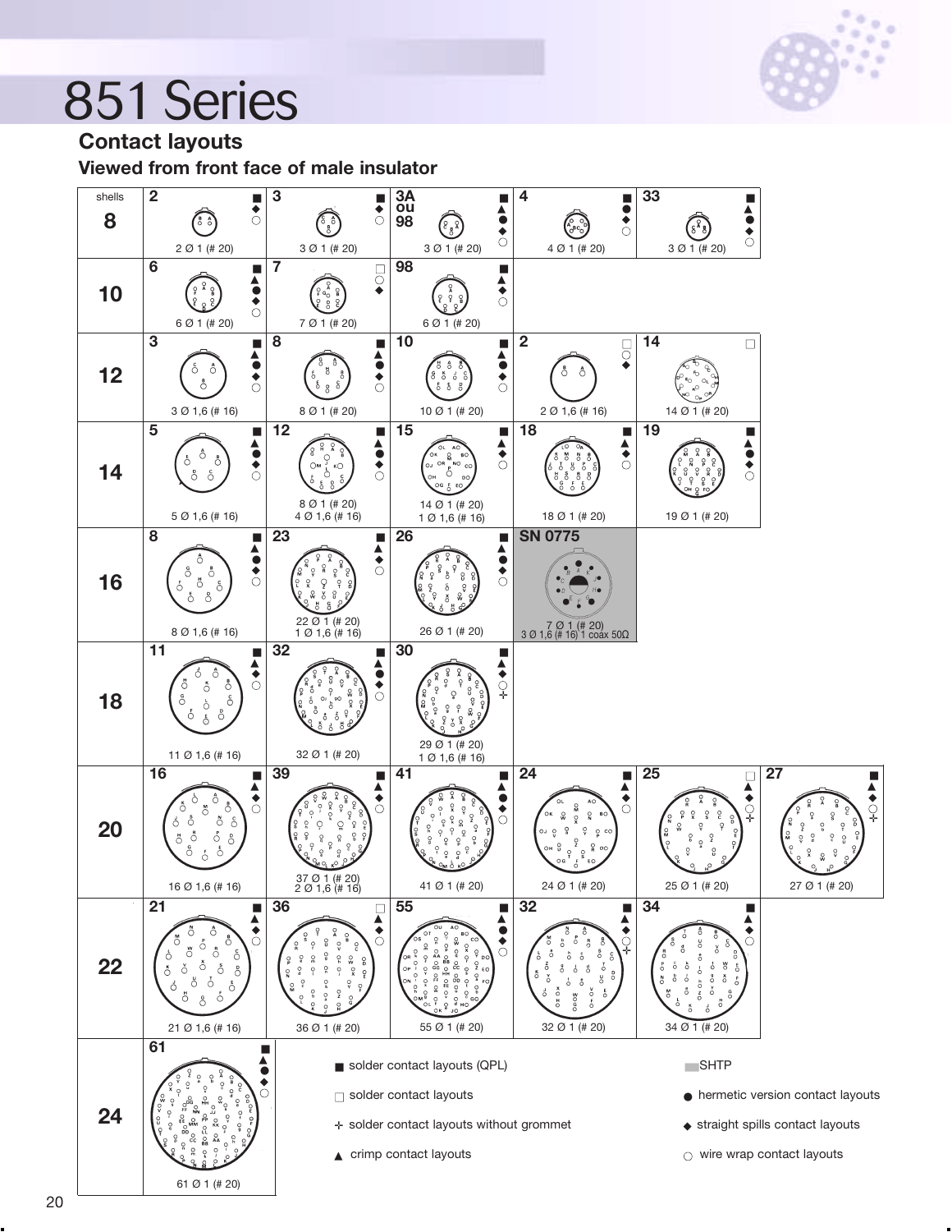

**Contact layouts**

20

**Viewed from front face of male insulator**

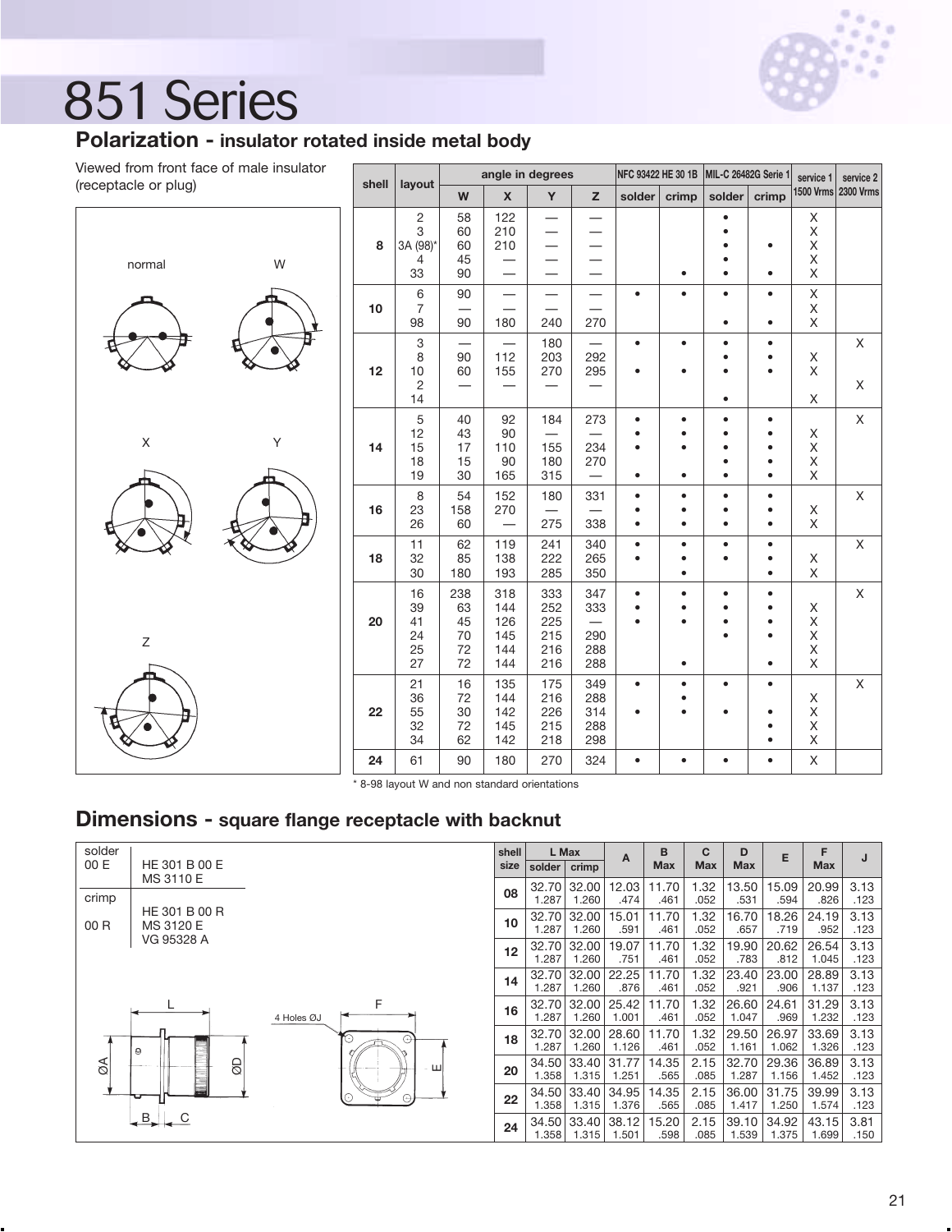

### **Polarization - insulator rotated inside metal body**

Viewed from front face of male insulator (receptacle or plug)



| shell | layout                                     |                                   | angle in degrees                       |                                        |                                        |                        |                        | NFC 93422 HE 30 1B   MIL-C 26482G Serie 1 |                        | service 1             | service 2           |
|-------|--------------------------------------------|-----------------------------------|----------------------------------------|----------------------------------------|----------------------------------------|------------------------|------------------------|-------------------------------------------|------------------------|-----------------------|---------------------|
|       |                                            | W                                 | $\mathsf{x}$                           | Y                                      | z                                      | solder                 | crimp                  | solder                                    | crimp                  |                       | 1500 Vrms 2300 Vrms |
| 8     | $\overline{c}$<br>3<br>3A (98)*<br>4<br>33 | 58<br>60<br>60<br>45<br>90        | 122<br>210<br>210                      |                                        |                                        |                        | $\bullet$              | $\bullet$                                 | $\bullet$              | Χ<br>Χ<br>X<br>Χ<br>X |                     |
| 10    | 6<br>$\overline{7}$<br>98                  | 90<br>90                          | 180                                    | —<br>240                               | —<br>270                               |                        | $\bullet$              | $\bullet$                                 | $\bullet$<br>$\bullet$ | Χ<br>X<br>Χ           |                     |
| 12    | 3<br>8<br>10<br>2<br>14                    | 90<br>60                          | 112<br>155                             | 180<br>203<br>270                      | $\overline{\phantom{0}}$<br>292<br>295 | $\bullet$              | $\bullet$              |                                           | $\bullet$              | Χ<br>Χ<br>X           | X<br>X              |
| 14    | $\mathbf 5$<br>12<br>15<br>18<br>19        | 40<br>43<br>17<br>15<br>30        | 92<br>90<br>110<br>90<br>165           | 184<br>155<br>180<br>315               | 273<br>234<br>270                      | $\bullet$<br>$\bullet$ | $\bullet$              |                                           | $\bullet$              | Χ<br>X<br>Χ<br>X      | X                   |
| 16    | 8<br>23<br>26                              | 54<br>158<br>60                   | 152<br>270<br>—                        | 180<br>275                             | 331<br>338                             | $\bullet$<br>٠         | $\bullet$              | ٠                                         | $\bullet$              | Χ<br>X                | X                   |
| 18    | 11<br>32<br>30                             | 62<br>85<br>180                   | 119<br>138<br>193                      | 241<br>222<br>285                      | 340<br>265<br>350                      | $\bullet$              | ٠                      |                                           | $\bullet$<br>٠         | X<br>X                | X                   |
| 20    | 16<br>39<br>41<br>24<br>25<br>27           | 238<br>63<br>45<br>70<br>72<br>72 | 318<br>144<br>126<br>145<br>144<br>144 | 333<br>252<br>225<br>215<br>216<br>216 | 347<br>333<br>290<br>288<br>288        | $\bullet$              | $\bullet$<br>$\bullet$ | $\bullet$                                 | $\bullet$              | X<br>Χ<br>Χ<br>Χ<br>X | X                   |
| 22    | 21<br>36<br>55<br>32<br>34                 | 16<br>72<br>30<br>72<br>62        | 135<br>144<br>142<br>145<br>142        | 175<br>216<br>226<br>215<br>218        | 349<br>288<br>314<br>288<br>298        |                        | $\bullet$              | ٠                                         | ٠                      | Χ<br>Χ<br>Χ<br>X      | X                   |
| 24    | 61                                         | 90                                | 180                                    | 270                                    | 324                                    | $\bullet$              | $\bullet$              | $\bullet$                                 | $\bullet$              | Χ                     |                     |

\* 8-98 layout W and non standard orientations

### **Dimensions - square flange receptacle with backnut**

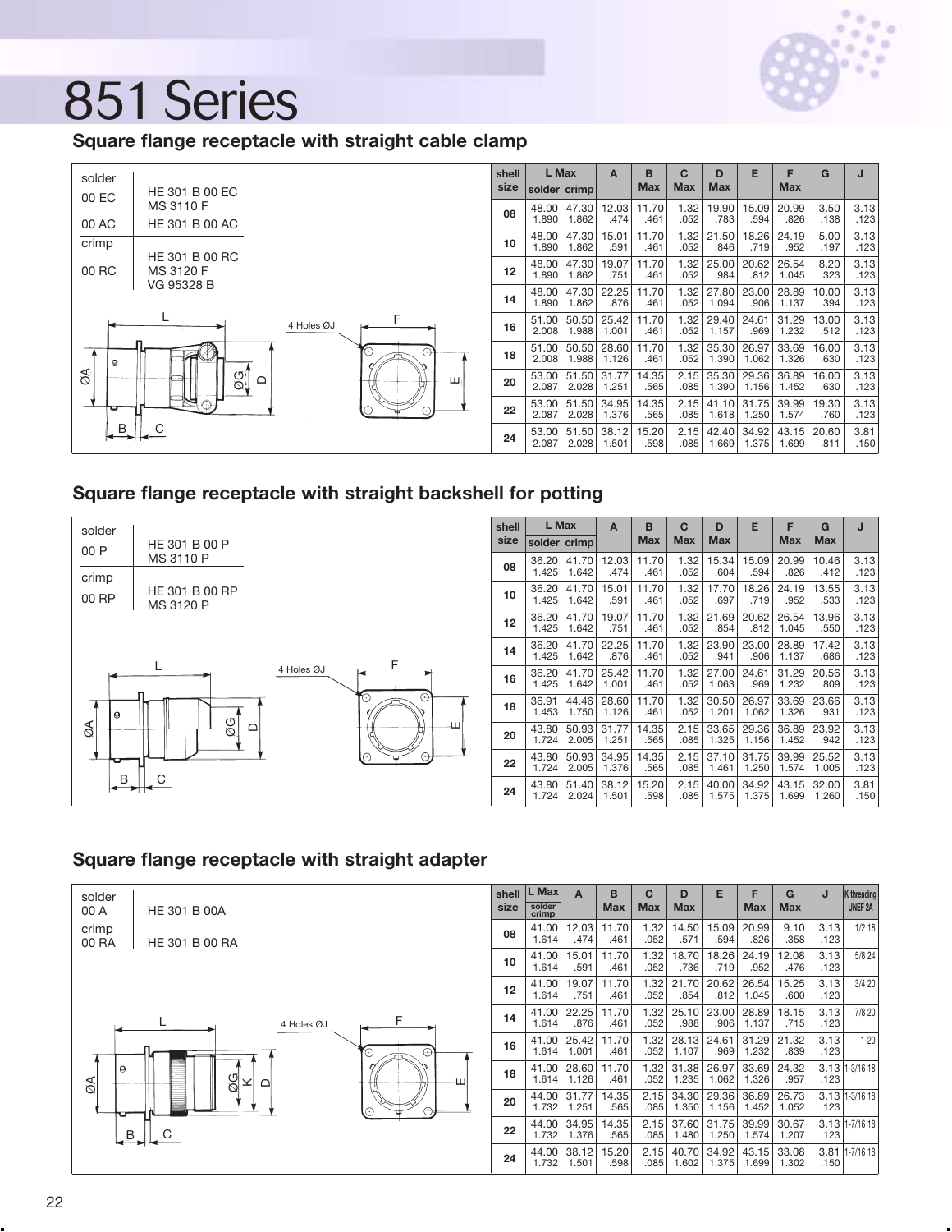

### **Square flange receptacle with straight cable clamp**

| solder                     |                                    | shell |                | L Max          | Α              | B             | С            | D              | E              | F              | G             |              |
|----------------------------|------------------------------------|-------|----------------|----------------|----------------|---------------|--------------|----------------|----------------|----------------|---------------|--------------|
| 00 EC                      | HE 301 B 00 EC                     | size  |                | solder crimp   |                | <b>Max</b>    | <b>Max</b>   | <b>Max</b>     |                | <b>Max</b>     |               |              |
|                            | <b>MS 3110 F</b>                   | 08    | 48.00          | 47.30          | 12.03          | 11.70         | 1.32         | 19.90          | 15.09          | 20.99          | 3.50          | 3.13         |
| 00 AC                      | HE 301 B 00 AC                     |       | 1.890          | 1.862          | .474           | .461          | .052         | .783           | .594           | .826           | .138          | .123         |
| crimp                      |                                    | 10    | 48.00<br>1.890 | 47.30<br>1.862 | 15.01<br>.591  | 11.70<br>.461 | 1.32<br>.052 | 21.50<br>.846  | 18.26<br>.719  | 24.19<br>.952  | 5.00<br>.197  | 3.13<br>.123 |
| 00 RC                      | HE 301 B 00 RC<br><b>MS 3120 F</b> | 12    | 48.00<br>1.890 | 47.30<br>1.862 | 19.07<br>.751  | 11.70<br>.461 | 1.32<br>.052 | 25.00<br>.984  | 20.62<br>.812  | 26.54<br>1.045 | 8.20<br>.323  | 3.13<br>.123 |
|                            | VG 95328 B                         | 14    | 48.00<br>1.890 | 47.30<br>1.862 | 22.25<br>.876  | 11.70<br>.461 | 1.32<br>.052 | 27.80<br>1.094 | 23.00<br>.906  | 28.89<br>1.137 | 10.00<br>.394 | 3.13<br>.123 |
|                            | F<br>4 Holes ØJ                    | 16    | 51.00<br>2.008 | 50.50<br>1.988 | 25.42<br>1.001 | 1.70<br>.461  | 1.32<br>.052 | 29.40<br>1.157 | 24.61<br>.969  | 31.29<br>1.232 | 13.00<br>.512 | 3.13<br>.123 |
| 0                          | O<br>℮                             | 18    | 51.00<br>2.008 | 50.50<br>1.988 | 28.60<br>1.126 | 11.70<br>.461 | 1.32<br>.052 | 35.30<br>1.390 | 26.97<br>1.062 | 33.69<br>1.326 | 16.00<br>.630 | 3.13<br>.123 |
| $\mathcal{O}(\mathcal{A})$ | 8Í<br>ш<br>≏                       | 20    | 53.00<br>2.087 | 51.50<br>2.028 | 31.77<br>1.251 | 14.35<br>.565 | 2.15<br>.085 | 35.30<br>1.390 | 29.36<br>1.156 | 36.89<br>1.452 | 16.00<br>.630 | 3.13<br>.123 |
|                            |                                    | 22    | 53.00<br>2.087 | 51.50<br>2.028 | 34.95<br>1.376 | 14.35<br>.565 | 2.15<br>.085 | 41.10<br>1.618 | 31.75<br>1.250 | 39.99<br>1.574 | 19.30<br>.760 | 3.13<br>.123 |
| B                          |                                    | 24    | 53.00<br>2.087 | 51.50<br>2.028 | 38.12<br>1.501 | 15.20<br>.598 | 2.15<br>.085 | 42.40<br>1.669 | 34.92<br>1.375 | 43.15<br>1.699 | 20.60<br>.811 | 3.81<br>.150 |

### **Square flange receptacle with straight backshell for potting**

| solder   |                                    |                 | shell          |                | L Max                                  | A                    | B             | С             | D              | Е              | F                              | G              |              |
|----------|------------------------------------|-----------------|----------------|----------------|----------------------------------------|----------------------|---------------|---------------|----------------|----------------|--------------------------------|----------------|--------------|
| 00 P     | HE 301 B 00 P                      |                 | size           |                | solder crimp                           |                      | <b>Max</b>    | <b>Max</b>    | <b>Max</b>     |                | <b>Max</b>                     | <b>Max</b>     |              |
| crimp    | <b>MS 3110 P</b>                   |                 | 08             | 36.20<br>1.425 | 41.70<br>1.642                         | 12.03<br>.474        | 11.70<br>.461 | 1.32<br>.052  | 15.34<br>.604  | 15.09<br>.594  | 20.99<br>.826                  | 10.46<br>.412  | 3.13<br>.123 |
| 00 RP    | HE 301 B 00 RP<br><b>MS 3120 P</b> |                 | 10             | 36.20<br>1.425 | 41.70<br>1.642                         | 15.01<br>.591        | 11.70<br>.461 | 1.32<br>.052  | 17.70<br>.697  | 18.26<br>.719  | 24.19<br>.952                  | 13.55<br>.533  | 3.13<br>.123 |
|          |                                    |                 | 12             | 36.20<br>1.425 | 41.70<br>1.642                         | 19.07<br>.751        | 11.70<br>.461 | 1.32<br>.052  | 21.69<br>.854  | 20.62<br>.812  | 26.54<br>1.045                 | 13.96<br>.550  | 3.13<br>.123 |
|          |                                    | 14              | 36.20<br>1.425 | 41.70<br>1.642 | 22.25<br>.876                          | 11.70<br>.461        | 1.32<br>.052  | 23.90<br>.941 | 23.00<br>.906  | 28.89<br>1.137 | 17.42<br>.686                  | 3.13<br>.123   |              |
|          |                                    | F<br>4 Holes ØJ | 16             | 36.20<br>1.425 | 41.70<br>1.642                         | 25.42<br>1.001       | 11.70<br>.461 | 1.32<br>.052  | 27.00<br>1.063 | 24.61<br>.969  | 31.29<br>1.232                 | 20.56<br>.809  | 3.13<br>.123 |
| $\theta$ | Ю<br>E                             |                 |                | 36.91<br>1.453 | 44.46                                  | 28.60<br>1.750 1.126 | 11.70<br>.461 | 1.32<br>.052  | 30.50<br>1.201 | 26.97<br>1.062 | 33.69<br>1.326                 | 23.66<br>.931  | 3.13<br>.123 |
| $\delta$ | ØG<br>≏                            | ш               | 20             | 43.80<br>1.724 | 2.005                                  | 50.93 31.77<br>1.251 | 14.35<br>.565 | 2.15<br>.085  | 33.65<br>1.325 | 29.36<br>1.156 | 36.89<br>1.452                 | 23.92<br>.942  | 3.13<br>.123 |
|          |                                    |                 | 22             | 43.80<br>1.724 | 2.005                                  | 50.93 34.95<br>1.376 | 14.35<br>.565 | 2.15<br>.085  | 37.10<br>1.461 | 31.75<br>1.250 | 39.99<br>1.574                 | 25.52<br>1.005 | 3.13<br>.123 |
| B        |                                    |                 | 24             |                | 43.80 51.40 38.12<br>1.724 2.024 1.501 |                      | 15.20<br>.598 | 2.15<br>.085  | 40.00          | 34.92          | 43.15<br>1.575   1.375   1.699 | 32.00<br>1.260 | 3.81<br>.150 |

### **Square flange receptacle with straight adapter**

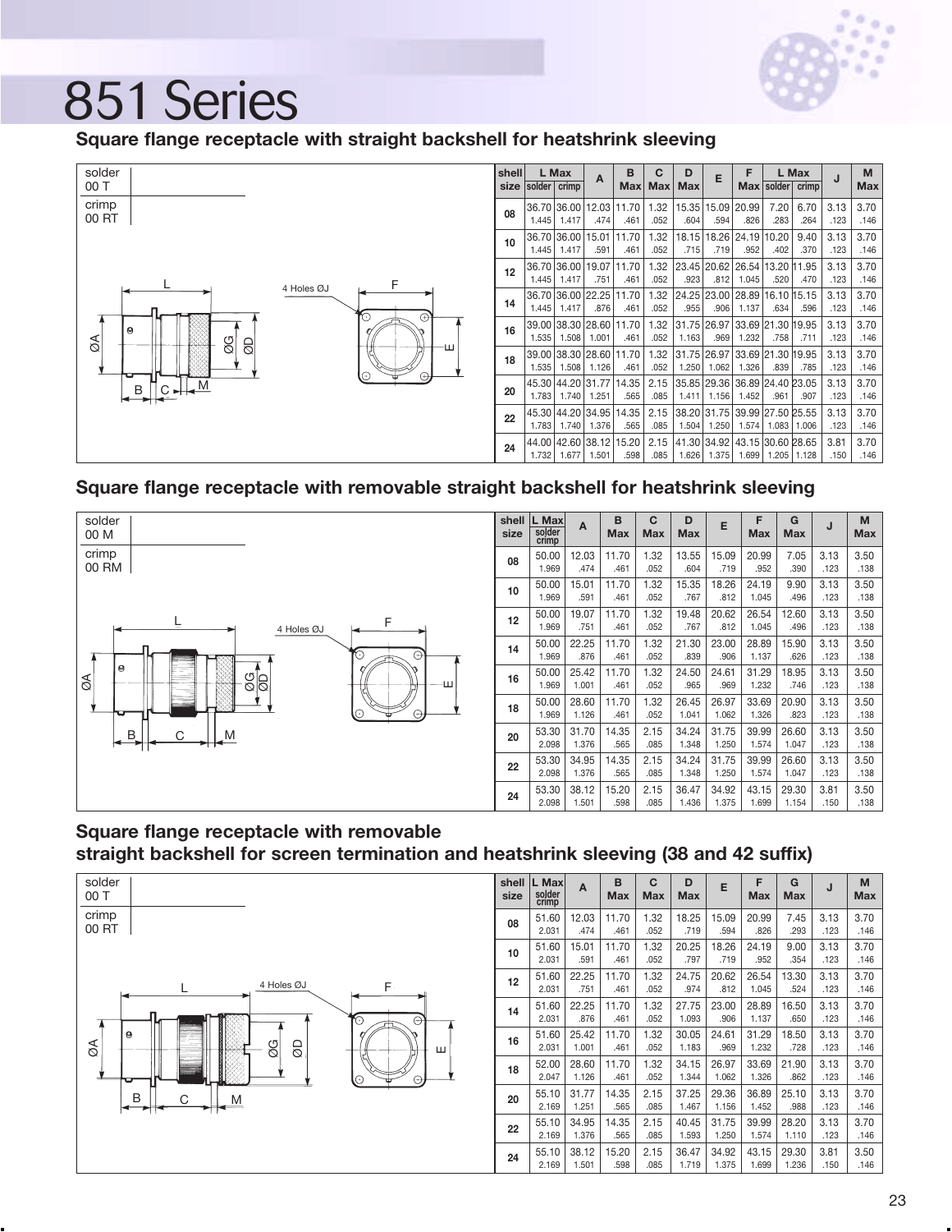

### **Square flange receptacle with straight backshell for heatshrink sleeving**



| shell<br>size | solder         | L Max<br>crimp | A                          | в<br><b>Max</b> | C<br><b>Max</b> | D<br><b>Max</b> | E              | F<br><b>Max</b>            | solder                    | L Max<br>crimp | J            | M<br><b>Max</b> |
|---------------|----------------|----------------|----------------------------|-----------------|-----------------|-----------------|----------------|----------------------------|---------------------------|----------------|--------------|-----------------|
| 08            | 36.70<br>1.445 | 36.00<br>1.417 | 12.03<br>.474              | 11.70<br>.461   | 1.32<br>.052    | 15.35<br>.604   | 15.09<br>.594  | 20.99<br>.826              | 7.20<br>.283              | 6.70<br>.264   | 3.13<br>.123 | 3.70<br>.146    |
| 10            | 36.70<br>1.445 | 36.00<br>1.417 | 15.01<br>.591              | 11.70<br>.461   | 1.32<br>.052    | 18.15<br>.715   | 18.26<br>.719  | 24.19<br>.952              | 10.20<br>.402             | 9.40<br>.370   | 3.13<br>.123 | 3.70<br>.146    |
| 12            | 36.70<br>1.445 | 36.00<br>1.417 | 19.07<br>.751              | 11.70<br>.461   | 1.32<br>.052    | 23.45<br>.923   | 20.62<br>.812  | 26.54<br>1.045             | 13.20 11.95<br>.520       | .470           | 3.13<br>.123 | 3.70<br>.146    |
| 14            | 36.70<br>1.445 | 36.00<br>1.417 | 22.25<br>.876              | 11.70<br>.461   | 1.32<br>.052    | 24.25<br>.955   | 23.00<br>.906  | 28.89<br>1.137             | 16.10 15.15<br>.634       | .596           | 3.13<br>.123 | 3.70<br>.146    |
| 16            | 39.00<br>1.535 | 38.30<br>1.508 | 28.60<br>1.001             | 11.70<br>.461   | 1.32<br>.052    | 31.75<br>1.163  | 26.97<br>.969  | 1.232                      | 33.69 21.30 19.95<br>.758 | .711           | 3.13<br>.123 | 3.70<br>.146    |
| 18            | 39.00<br>1.535 | 1.508          | 38.30 28.60 11.70<br>1.126 | .461            | 1.32<br>.052    | 31.75<br>1.250  | 26.97<br>1.062 | 33.69 21.30 19.95<br>1.326 | .839                      | .785           | 3.13<br>.123 | 3.70<br>.146    |
| 20            | 45.30<br>1.783 | 44.20<br>1.740 | 31.77<br>1.251             | 14.35<br>.565   | 2.15<br>.085    | 35.85<br>1.411  | 29.36<br>1.156 | 36.89 24.40 23.05<br>1.452 | .961                      | .907           | 3.13<br>.123 | 3.70<br>.146    |
| 22            | 45.30<br>1.783 | 44.20<br>1.740 | 34.95 <br>1.376            | 14.35<br>.565   | 2.15<br>.085    | 38.20<br>1.504  | 31.75<br>1.250 | 39.99<br>1.574             | 27.50 25.55<br>1.083      | 1.006          | 3.13<br>.123 | 3.70<br>.146    |
| 24            | 44.00<br>1.732 | 42.60<br>1.677 | 38.12<br>1.501             | 15.20<br>.598   | 2.15<br>.085    | 41.30<br>1.626  | 34.92<br>1.375 | 43.15<br>1.699             | 30.60 28.65<br>1.205      | 1.128          | 3.81<br>.150 | 3.70<br>.146    |

### **Square flange receptacle with removable straight backshell for heatshrink sleeving**



| shell<br>size | L Max<br>solder<br>crimp | A     | в<br><b>Max</b> | C<br><b>Max</b> | D<br><b>Max</b> | E     | F<br><b>Max</b> | G<br><b>Max</b> | J    | M<br><b>Max</b> |
|---------------|--------------------------|-------|-----------------|-----------------|-----------------|-------|-----------------|-----------------|------|-----------------|
| 08            | 50.00                    | 12.03 | 11.70           | 1.32            | 13.55           | 15.09 | 20.99           | 7.05            | 3.13 | 3.50            |
|               | 1.969                    | .474  | .461            | .052            | .604            | .719  | .952            | .390            | .123 | .138            |
| 10            | 50.00                    | 15.01 | 11.70           | 1.32            | 15.35           | 18.26 | 24.19           | 9.90            | 3.13 | 3.50            |
|               | 1.969                    | .591  | .461            | .052            | .767            | .812  | 1.045           | .496            | .123 | .138            |
| 12            | 50.00                    | 19.07 | 11.70           | 1.32            | 19.48           | 20.62 | 26.54           | 12.60           | 3.13 | 3.50            |
|               | 1.969                    | .751  | .461            | .052            | .767            | .812  | 1.045           | .496            | .123 | .138            |
| 14            | 50.00                    | 22.25 | 11.70           | 1.32            | 21.30           | 23.00 | 28.89           | 15.90           | 3.13 | 3.50            |
|               | 1.969                    | .876  | .461            | .052            | .839            | .906  | 1.137           | .626            | .123 | .138            |
| 16            | 50.00                    | 25.42 | 11.70           | 1.32            | 24.50           | 24.61 | 31.29           | 18.95           | 3.13 | 3.50            |
|               | 1.969                    | 1.001 | .461            | .052            | .965            | .969  | 1.232           | .746            | .123 | .138            |
| 18            | 50.00                    | 28.60 | 11.70           | 1.32            | 26.45           | 26.97 | 33.69           | 20.90           | 3.13 | 3.50            |
|               | 1.969                    | 1.126 | .461            | .052            | 1.041           | 1.062 | 1.326           | .823            | .123 | .138            |
| 20            | 53.30                    | 31.70 | 14.35           | 2.15            | 34.24           | 31.75 | 39.99           | 26.60           | 3.13 | 3.50            |
|               | 2.098                    | 1.376 | .565            | .085            | 1.348           | 1.250 | 1.574           | 1.047           | .123 | .138            |
| 22            | 53.30                    | 34.95 | 14.35           | 2.15            | 34.24           | 31.75 | 39.99           | 26.60           | 3.13 | 3.50            |
|               | 2.098                    | 1.376 | .565            | .085            | 1.348           | 1.250 | 1.574           | 1.047           | .123 | .138            |
| 24            | 53.30                    | 38.12 | 15.20           | 2.15            | 36.47           | 34.92 | 43.15           | 29.30           | 3.81 | 3.50            |
|               | 2.098                    | 1.501 | .598            | .085            | 1.436           | 1.375 | 1.699           | 1.154           | .150 | .138            |

#### **Square flange receptacle with removable straight backshell for screen termination and heatshrink sleeving (38 and 42 suffix)**

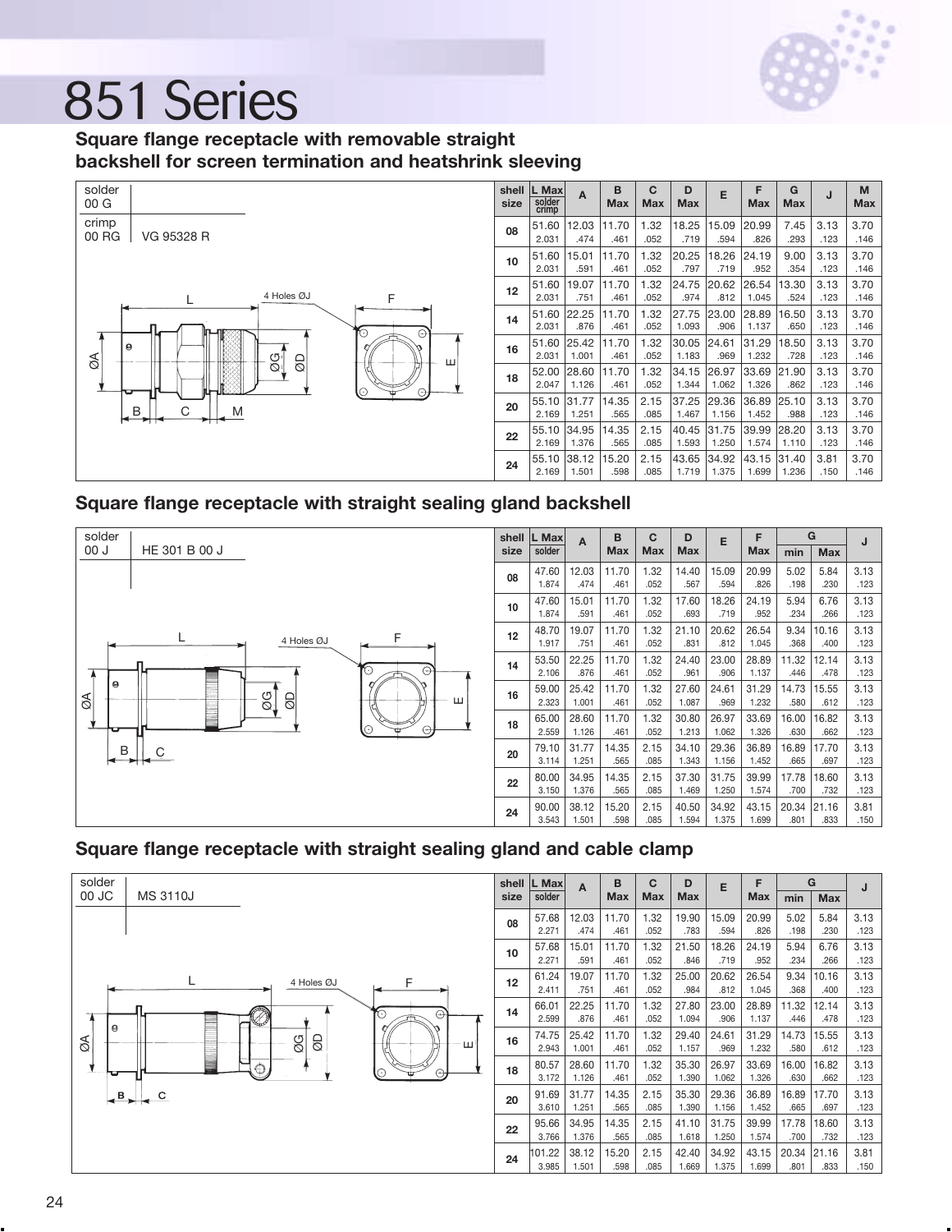

### **Square flange receptacle with removable straight backshell for screen termination and heatshrink sleeving**



| shell<br>size | L Max<br>solder<br>crimp | A     | в<br><b>Max</b> | C<br><b>Max</b> | D<br><b>Max</b> | E     | F<br><b>Max</b> | G<br><b>Max</b> | J    | M<br><b>Max</b> |
|---------------|--------------------------|-------|-----------------|-----------------|-----------------|-------|-----------------|-----------------|------|-----------------|
| 08            | 51.60                    | 12.03 | 11.70           | 1.32            | 18.25           | 15.09 | 20.99           | 7.45            | 3.13 | 3.70            |
|               | 2.031                    | .474  | .461            | .052            | .719            | .594  | .826            | .293            | .123 | .146            |
| 10            | 51.60                    | 15.01 | 11.70           | 1.32            | 20.25           | 18.26 | 24.19           | 9.00            | 3.13 | 3.70            |
|               | 2.031                    | .591  | .461            | .052            | .797            | .719  | .952            | .354            | .123 | .146            |
| 12            | 51.60                    | 19.07 | 11.70           | 1.32            | 24.75           | 20.62 | 26.54           | 13.30           | 3.13 | 3.70            |
|               | 2.031                    | .751  | .461            | .052            | .974            | .812  | 1.045           | .524            | .123 | .146            |
|               | 51.60                    | 22.25 | 11.70           | 1.32            | 27.75           | 23.00 | 28.89           | 16.50           | 3.13 | 3.70            |
| 14            | 2.031                    | .876  | .461            | .052            | 1.093           | .906  | 1.137           | .650            | .123 | .146            |
| 16            | 51.60                    | 25.42 | 11.70           | 1.32            | 30.05           | 24.61 | 31.29           | 18.50           | 3.13 | 3.70            |
|               | 2.031                    | 1.001 | .461            | .052            | 1.183           | .969  | 1.232           | .728            | .123 | .146            |
| 18            | 52.00                    | 28.60 | 11.70           | 1.32            | 34.15           | 26.97 | 33.69           | 21.90           | 3.13 | 3.70            |
|               | 2.047                    | 1.126 | .461            | .052            | 1.344           | 1.062 | 1.326           | .862            | .123 | .146            |
| 20            | 55.10                    | 31.77 | 14.35           | 2.15            | 37.25           | 29.36 | 36.89           | 25.10           | 3.13 | 3.70            |
|               | 2.169                    | 1.251 | .565            | .085            | 1.467           | 1.156 | 1.452           | .988            | .123 | .146            |
|               | 55.10                    | 34.95 | 14.35           | 2.15            | 40.45           | 31.75 | 39.99           | 28.20           | 3.13 | 3.70            |
| 22            | 2.169                    | 1.376 | .565            | .085            | 1.593           | 1.250 | 1.574           | 1.110           | .123 | .146            |
|               | 55.10                    | 38.12 | 15.20           | 2.15            | 43.65           | 34.92 | 43.15           | 31.40           | 3.81 | 3.70            |
| 24            | 2.169                    | 1.501 | .598            | .085            | 1.719           | 1.375 | 1.699           | 1.236           | .150 | .146            |

### **Square flange receptacle with straight sealing gland backshell**



| shell | L Max  | A     | B          | C          | D          | E     | F          |       | G          | J    |
|-------|--------|-------|------------|------------|------------|-------|------------|-------|------------|------|
| size  | solder |       | <b>Max</b> | <b>Max</b> | <b>Max</b> |       | <b>Max</b> | min   | <b>Max</b> |      |
| 08    | 47.60  | 12.03 | 11.70      | 1.32       | 14.40      | 15.09 | 20.99      | 5.02  | 5.84       | 3.13 |
|       | 1.874  | .474  | .461       | .052       | .567       | .594  | .826       | .198  | .230       | .123 |
| 10    | 47.60  | 15.01 | 11.70      | 1.32       | 17.60      | 18.26 | 24.19      | 5.94  | 6.76       | 3.13 |
|       | 1.874  | .591  | .461       | .052       | .693       | .719  | .952       | .234  | .266       | .123 |
| 12    | 48.70  | 19.07 | 11.70      | 1.32       | 21.10      | 20.62 | 26.54      | 9.34  | 10.16      | 3.13 |
|       | 1.917  | .751  | .461       | .052       | .831       | .812  | 1.045      | .368  | .400       | .123 |
|       | 53.50  | 22.25 | 11.70      | 1.32       | 24.40      | 23.00 | 28.89      | 11.32 | 12.14      | 3.13 |
| 14    | 2.106  | .876  | .461       | .052       | .961       | .906  | 1.137      | .446  | .478       | .123 |
| 16    | 59.00  | 25.42 | 11.70      | 1.32       | 27.60      | 24.61 | 31.29      | 14.73 | 15.55      | 3.13 |
|       | 2.323  | 1.001 | .461       | .052       | 1.087      | .969  | 1.232      | .580  | .612       | .123 |
| 18    | 65.00  | 28.60 | 11.70      | 1.32       | 30.80      | 26.97 | 33.69      | 16.00 | 16.82      | 3.13 |
|       | 2.559  | 1.126 | .461       | .052       | 1.213      | 1.062 | 1.326      | .630  | .662       | .123 |
| 20    | 79.10  | 31.77 | 14.35      | 2.15       | 34.10      | 29.36 | 36.89      | 16.89 | 17.70      | 3.13 |
|       | 3.114  | 1.251 | .565       | .085       | 1.343      | 1.156 | 1.452      | .665  | .697       | .123 |
| 22    | 80.00  | 34.95 | 14.35      | 2.15       | 37.30      | 31.75 | 39.99      | 17.78 | 18.60      | 3.13 |
|       | 3.150  | 1.376 | .565       | .085       | 1.469      | 1.250 | 1.574      | .700  | .732       | .123 |
|       | 90.00  | 38.12 | 15.20      | 2.15       | 40.50      | 34.92 | 43.15      | 20.34 | 21.16      | 3.81 |
| 24    | 3.543  | 1.501 | .598       | .085       | 1.594      | 1.375 | 1.699      | .801  | .833       | .150 |

### **Square flange receptacle with straight sealing gland and cable clamp**

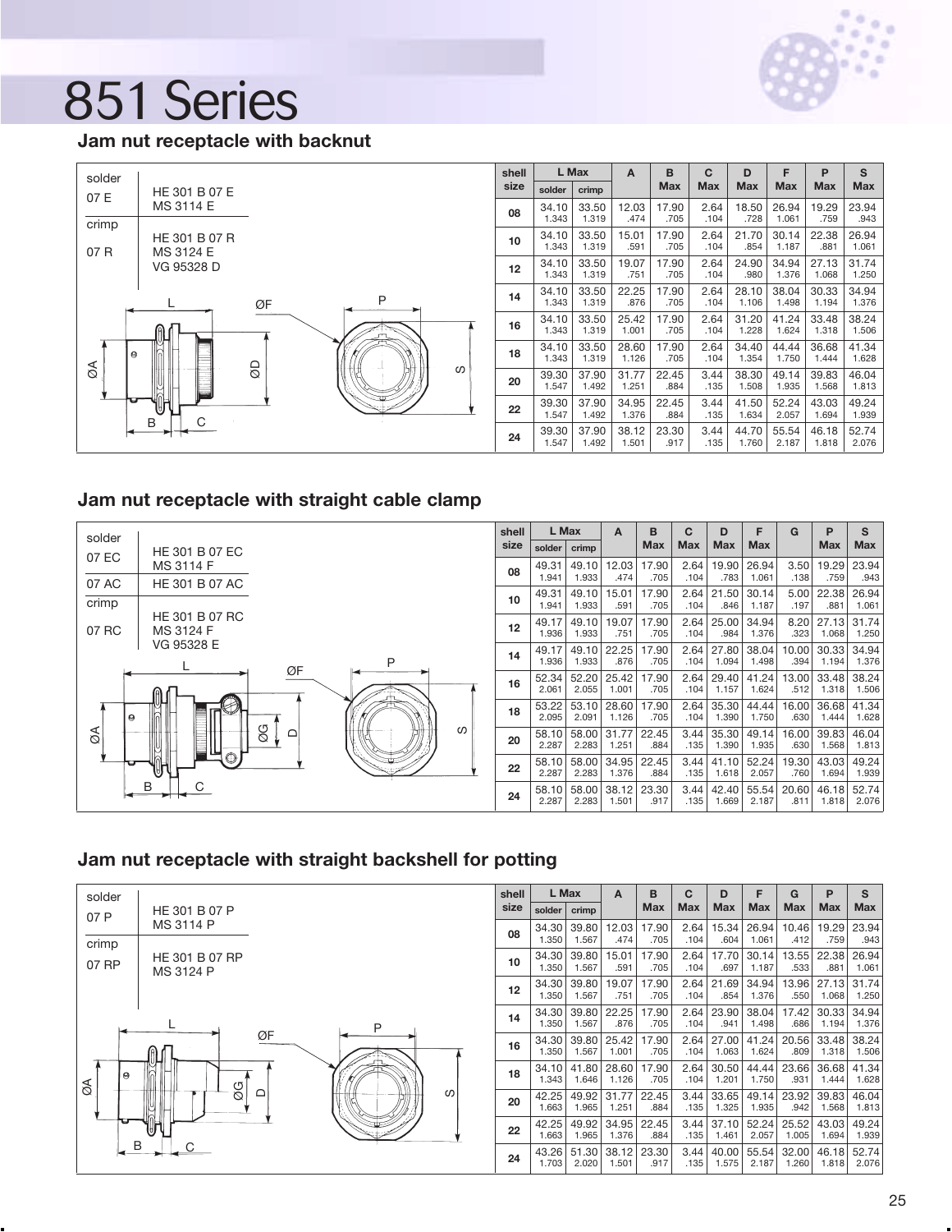

**Jam nut receptacle with backnut**

| solder        |                            |                     |   | shell |                | L Max          | A              | B             | C            | D              | F              | P              | S              |
|---------------|----------------------------|---------------------|---|-------|----------------|----------------|----------------|---------------|--------------|----------------|----------------|----------------|----------------|
| 07 E          | HE 301 B 07 E              |                     |   | size  | solder         | crimp          |                | <b>Max</b>    | <b>Max</b>   | Max            | <b>Max</b>     | <b>Max</b>     | <b>Max</b>     |
|               | <b>MS 3114 E</b>           |                     |   | 08    | 34.10<br>1.343 | 33.50<br>1.319 | 12.03<br>.474  | 17.90<br>.705 | 2.64<br>.104 | 18.50<br>.728  | 26.94<br>1.061 | 19.29<br>.759  | 23.94<br>.943  |
| crimp<br>07 R | HE 301 B 07 R<br>MS 3124 E |                     |   | 10    | 34.10<br>1.343 | 33.50<br>1.319 | 15.01<br>.591  | 17.90<br>.705 | 2.64<br>.104 | 21.70<br>.854  | 30.14<br>1.187 | 22.38<br>.881  | 26.94<br>1.061 |
|               | VG 95328 D                 |                     |   | 12    | 34.10<br>1.343 | 33.50<br>1.319 | 19.07<br>.751  | 17.90<br>.705 | 2.64<br>.104 | 24.90<br>.980  | 34.94<br>1.376 | 27.13<br>1.068 | 31.74<br>1.250 |
|               |                            | P<br>ØF             |   | 14    | 34.10<br>1.343 | 33.50<br>1.319 | 22.25<br>.876  | 17.90<br>.705 | 2.64<br>.104 | 28.10<br>1.106 | 38.04<br>1.498 | 30.33<br>1.194 | 34.94<br>1.376 |
|               |                            |                     |   | 16    | 34.10<br>1.343 | 33.50<br>1.319 | 25.42<br>1.001 | 17.90<br>.705 | 2.64<br>.104 | 31.20<br>1.228 | 41.24<br>1.624 | 33.48<br>1.318 | 38.24<br>1.506 |
|               | $\boldsymbol{\Theta}$      |                     |   | 18    | 34.10<br>1.343 | 33.50<br>1.319 | 28.60<br>1.126 | 17.90<br>.705 | 2.64<br>.104 | 34.40<br>1.354 | 44.44<br>1.750 | 36.68<br>1.444 | 41.34<br>1.628 |
| $\delta$      |                            | $\overline{\omega}$ | ၯ | 20    | 39.30<br>1.547 | 37.90<br>1.492 | 31.77<br>1.251 | 22.45<br>.884 | 3.44<br>.135 | 38.30<br>1.508 | 49.14<br>1.935 | 39.83<br>1.568 | 46.04<br>1.813 |
|               | ₩<br>в                     |                     |   | 22    | 39.30<br>1.547 | 37.90<br>1.492 | 34.95<br>1.376 | 22.45<br>.884 | 3.44<br>.135 | 41.50<br>1.634 | 52.24<br>2.057 | 43.03<br>1.694 | 49.24<br>1.939 |
|               |                            |                     |   | 24    | 39.30<br>1.547 | 37.90<br>1.492 | 38.12<br>1.501 | 23.30<br>.917 | 3.44<br>.135 | 44.70<br>1.760 | 55.54<br>2.187 | 46.18<br>1.818 | 52.74<br>2.076 |

#### **Jam nut receptacle with straight cable clamp**

| solder                |                             | shell   |                | L Max          | Α              | в             | С            | D              |                | G             | Р              | S              |
|-----------------------|-----------------------------|---------|----------------|----------------|----------------|---------------|--------------|----------------|----------------|---------------|----------------|----------------|
|                       | HE 301 B 07 EC              | size    | solder         | crimp          |                | Max           | <b>Max</b>   | Max            | <b>Max</b>     |               | <b>Max</b>     | Max            |
| 07 EC                 | <b>MS 3114 F</b>            | 08      | 49.31<br>1.941 | 49.10<br>1.933 | 12.03<br>.474  | 17.90<br>.705 | 2.64<br>.104 | 19.90<br>.783  | 26.94<br>1.061 | 3.50<br>.138  | 19.29<br>.759  | 23.94<br>.943  |
| 07 AC                 | HE 301 B 07 AC              |         |                |                |                |               |              |                |                |               |                |                |
| crimp                 |                             | 10      | 49.31<br>1.941 | 49.10<br>1.933 | 15.01<br>.591  | 17.90<br>.705 | 2.64<br>.104 | 21.50<br>.846  | 30.14<br>1.187 | 5.00<br>.197  | 22.38<br>.881  | 26.94<br>1.061 |
| 07 RC                 | HE 301 B 07 RC<br>MS 3124 F | 12      | 49.17<br>1.936 | 49.10<br>1.933 | 19.07<br>.751  | 17.90<br>.705 | 2.64<br>.104 | 25.00<br>.984  | 34.94<br>1.376 | 8.20<br>.323  | 27.13<br>1.068 | 31.74<br>1.250 |
|                       | VG 95328 E<br>P             | 14      | 49.17<br>1.936 | 49.10<br>1.933 | 22.25<br>.876  | 17.90<br>.705 | 2.64<br>.104 | 27.80<br>1.094 | 38.04<br>1.498 | 10.00<br>.394 | 30.33<br>1.194 | 34.94<br>1.376 |
|                       | ØF                          | 16      | 52.34<br>2.061 | 52.20<br>2.055 | 25.42<br>1.001 | 17.90<br>.705 | 2.64<br>.104 | 29.40<br>1.157 | 41.24<br>1.624 | 13.00<br>.512 | 33.48<br>1.318 | 38.24<br>1.506 |
| $\boldsymbol{\Omega}$ |                             | 18      | 53.22<br>2.095 | 53.10<br>2.091 | 28.60<br>1.126 | 17.90<br>.705 | 2.64<br>.104 | 35.30<br>1.390 | 44.44<br>1.750 | 16.00<br>.630 | 36.68<br>1.444 | 41.34<br>1.628 |
| ର                     | ଅ<br>≏                      | ၯ<br>20 | 58.10<br>2.287 | 58.00<br>2.283 | 31.77<br>1.251 | 22.45<br>.884 | 3.44<br>.135 | 35.30<br>1.390 | 49.14<br>1.935 | 16.00<br>.630 | 39.83<br>1.568 | 46.04<br>1.813 |
|                       | ₩                           | 22      | 58.10<br>2.287 | 58.00<br>2.283 | 34.95<br>1.376 | 22.45<br>.884 | 3.44<br>.135 | 41.10<br>1.618 | 52.24<br>2.057 | 19.30<br>.760 | 43.03<br>1.694 | 49.24<br>1.939 |
|                       | B                           | 24      | 58.10<br>2.287 | 58.00<br>2.283 | 38.12<br>1.501 | 23.30<br>.917 | 3.44<br>.135 | 42.40<br>1.669 | 55.54<br>2.187 | 20.60<br>.811 | 46.18<br>1.818 | 52.74<br>2.076 |

#### **Jam nut receptacle with straight backshell for potting**

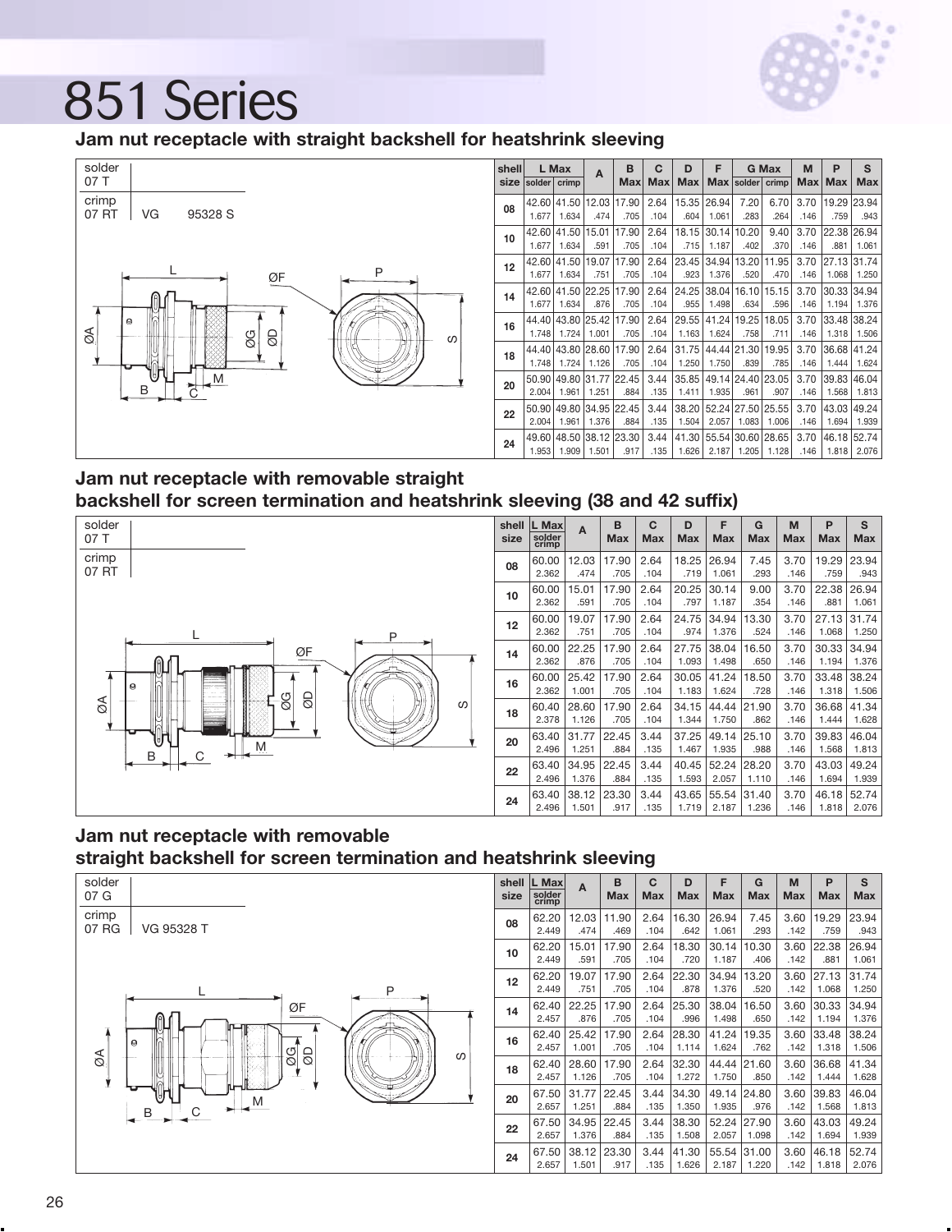### **Jam nut receptacle with straight backshell for heatshrink sleeving**



| shell |        | L Max       | A     | в          | C          | D                | F     |              | <b>G Max</b> | M     | P          | S          |
|-------|--------|-------------|-------|------------|------------|------------------|-------|--------------|--------------|-------|------------|------------|
| size  | solder | crimp       |       | <b>Max</b> | <b>Max</b> | Max <sub>l</sub> | Max   | solder crimp |              | $Max$ | <b>Max</b> | <b>Max</b> |
| 08    | 42.60  | 41.50       | 12.03 | 17.90      | 2.64       | 15.35            | 26.94 | 7.20         | 6.70         | 3.70  | 19.29      | 23.94      |
|       | 1.677  | 1.634       | .474  | .705       | .104       | .604             | 1.061 | .283         | .264         | .146  | .759       | .943       |
| 10    | 42.60  | 41.50       | 15.01 | 17.90      | 2.64       | 18.15            |       | 30.14 10.20  | 9.40         | 3.70  | 22.38      | 26.94      |
|       | 1.677  | 1.634       | .591  | .705       | .104       | .715             | 1.187 | .402         | .370         | .146  | .881       | 1.061      |
| 12    | 42.60  | 41.50 19.07 |       | 17.90      | 2.64       | 23.45            | 34.94 | 13.20        | 11.95        | 3.70  | 27.13      | 31.74      |
|       | 1.677  | 1.634       | .751  | .705       | .104       | .923             | 1.376 | .520         | .470         | .146  | 1.068      | 1.250      |
|       | 42.60  | 41.50 22.25 |       | 17.90      | 2.64       | 24.25            |       | 38.04 16.10  | 15.15        | 3.70  | 30.33      | 34.94      |
| 14    | 1.677  | 1.634       | .876  | .705       | .104       | .955             | 1.498 | .634         | .596         | .146  | 1.194      | 1.376      |
| 16    | 44.40  | 43.80 25.42 |       | 17.90      | 2.64       | 29.55            | 41.24 | 19.25        | 18.05        | 3.70  | 33.48      | 38.24      |
|       | 1.748  | 1.724       | 1.001 | .705       | .104       | 1.163            | 1.624 | .758         | .711         | .146  | 1.318      | 1.506      |
| 18    | 44.40  | 43.80 28.60 |       | 17.90      | 2.64       | 31.75            |       | 44.44 21.30  | 19.95        | 3.70  | 36.68      | 41.24      |
|       | 1.748  | 1.724       | 1.126 | .705       | .104       | 1.250            | 1.750 | .839         | .785         | .146  | 1.444      | 1.624      |
| 20    | 50.90  | 49.80 31.77 |       | 22.45      | 3.44       | 35.85            |       | 49.14 24.40  | 23.05        | 3.70  | 39.83      | 46.04      |
|       | 2.004  | 1.961       | 1.251 | .884       | .135       | 1.411            | 1.935 | .961         | .907         | .146  | 1.568      | 1.813      |
| 22    | 50.90  | 49.80       | 34.95 | 22.45      | 3.44       | 38.20            |       | 52.24 27.50  | 25.55        | 3.70  | 43.03      | 49.24      |
|       | 2.004  | 1.961       | 1.376 | .884       | .135       | 1.504            | 2.057 | 1.083        | 1.006        | .146  | 1.694      | 1.939      |
|       | 49.60  | 48.50       | 38.12 | 23.30      | 3.44       | 41.30            |       | 55.54 30.60  | 28.65        | 3.70  | 46.18      | 52.74      |
| 24    | 1.953  | 1.909       | 1.501 | .917       | .135       | 1.626            | 2.187 | 1.205        | 1.128        | .146  | 1.818      | 2.076      |

× O. ii.

#### **Jam nut receptacle with removable straight backshell for screen termination and heatshrink sleeving (38 and 42 suffix)**



| shell<br>size | L Max<br>solder<br>crimp | A     | B<br><b>Max</b> | C<br><b>Max</b> | D<br><b>Max</b> | F<br><b>Max</b> | G<br><b>Max</b> | M<br><b>Max</b> | P<br><b>Max</b> | S<br><b>Max</b> |
|---------------|--------------------------|-------|-----------------|-----------------|-----------------|-----------------|-----------------|-----------------|-----------------|-----------------|
| 08            | 60.00                    | 12.03 | 17.90           | 2.64            | 18.25           | 26.94           | 7.45            | 3.70            | 19.29           | 23.94           |
|               | 2.362                    | .474  | .705            | .104            | .719            | 1.061           | .293            | .146            | .759            | .943            |
| 10            | 60.00                    | 15.01 | 17.90           | 2.64            | 20.25           | 30.14           | 9.00            | 3.70            | 22.38           | 26.94           |
|               | 2.362                    | .591  | .705            | .104            | .797            | 1.187           | .354            | .146            | .881            | 1.061           |
| 12            | 60.00                    | 19.07 | 17.90           | 2.64            | 24.75           | 34.94           | 13.30           | 3.70            | 27.13           | 31.74           |
|               | 2.362                    | .751  | .705            | .104            | .974            | 1.376           | .524            | .146            | 1.068           | 1.250           |
| 14            | 60.00                    | 22.25 | 17.90           | 2.64            | 27.75           | 38.04           | 16.50           | 3.70            | 30.33           | 34.94           |
|               | 2.362                    | .876  | .705            | .104            | 1.093           | 1.498           | .650            | .146            | 1.194           | 1.376           |
| 16            | 60.00                    | 25.42 | 17.90           | 2.64            | 30.05           | 41.24           | 18.50           | 3.70            | 33.48           | 38.24           |
|               | 2.362                    | 1.001 | .705            | .104            | 1.183           | 1.624           | .728            | .146            | 1.318           | 1.506           |
| 18            | 60.40                    | 28.60 | 17.90           | 2.64            | 34.15           | 44.44           | 21.90           | 3.70            | 36.68           | 41.34           |
|               | 2.378                    | 1.126 | .705            | .104            | 1.344           | 1.750           | .862            | .146            | 1.444           | 1.628           |
| 20            | 63.40                    | 31.77 | 22.45           | 3.44            | 37.25           | 49.14           | 25.10           | 3.70            | 39.83           | 46.04           |
|               | 2.496                    | 1.251 | .884            | .135            | 1.467           | 1.935           | .988            | .146            | 1.568           | 1.813           |
| 22            | 63.40                    | 34.95 | 22.45           | 3.44            | 40.45           | 52.24           | 28.20           | 3.70            | 43.03           | 49.24           |
|               | 2.496                    | 1.376 | .884            | .135            | 1.593           | 2.057           | 1.110           | .146            | 1.694           | 1.939           |
| 24            | 63.40                    | 38.12 | 23.30           | 3.44            | 43.65           | 55.54           | 31.40           | 3.70            | 46.18           | 52.74           |
|               | 2.496                    | 1.501 | .917            | .135            | 1.719           | 2.187           | 1.236           | .146            | 1.818           | 2.076           |

### **Jam nut receptacle with removable straight backshell for screen termination and heatshrink sleeving**

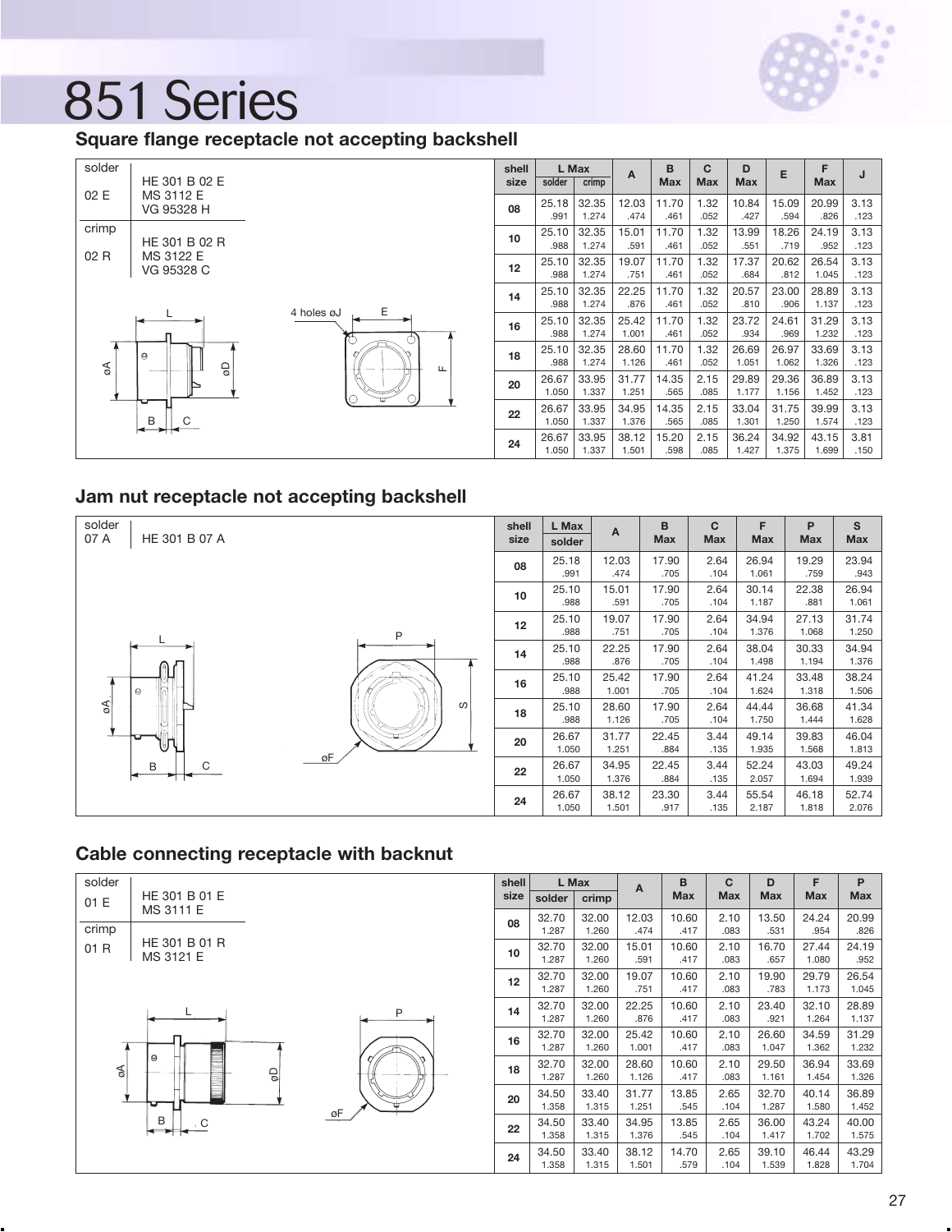

## **Square flange receptacle not accepting backshell**

| solder | HE 301 B 02 E           |                 | shell<br>size | solder         | L Max<br>crimp | A              | в<br><b>Max</b> | C<br><b>Max</b> | D<br><b>Max</b> | Е              | F<br><b>Max</b> | J            |
|--------|-------------------------|-----------------|---------------|----------------|----------------|----------------|-----------------|-----------------|-----------------|----------------|-----------------|--------------|
| 02 E   | MS 3112 E<br>VG 95328 H |                 | 08            | 25.18<br>.991  | 32.35<br>1.274 | 12.03<br>.474  | 11.70<br>.461   | 1.32<br>.052    | 10.84<br>.427   | 15.09<br>.594  | 20.99<br>.826   | 3.13<br>.123 |
| crimp  | HE 301 B 02 R           |                 | 10            | 25.10<br>.988  | 32.35<br>1.274 | 15.01<br>.591  | 11.70<br>.461   | 1.32<br>.052    | 13.99<br>.551   | 18.26<br>.719  | 24.19<br>.952   | 3.13<br>.123 |
| 02R    | MS 3122 E<br>VG 95328 C |                 | 12            | 25.10<br>.988  | 32.35<br>1.274 | 19.07<br>.751  | 11.70<br>.461   | 1.32<br>.052    | 17.37<br>.684   | 20.62<br>.812  | 26.54<br>1.045  | 3.13<br>.123 |
|        |                         | Ε<br>4 holes øJ | 14            | 25.10<br>.988  | 32.35<br>1.274 | 22.25<br>.876  | 11.70<br>.461   | 1.32<br>.052    | 20.57<br>.810   | 23.00<br>.906  | 28.89<br>1.137  | 3.13<br>.123 |
|        |                         |                 | 16            | 25.10<br>.988  | 32.35<br>1.274 | 25.42<br>1.001 | 11.70<br>.461   | 1.32<br>.052    | 23.72<br>.934   | 24.61<br>.969  | 31.29<br>1.232  | 3.13<br>.123 |
| F      | $\Theta$<br>9           | ட               | 18            | 25.10<br>.988  | 32.35<br>1.274 | 28.60<br>1.126 | 11.70<br>.461   | 1.32<br>.052    | 26.69<br>1.051  | 26.97<br>1.062 | 33.69<br>1.326  | 3.13<br>.123 |
|        |                         |                 | 20            | 26.67<br>1.050 | 33.95<br>1.337 | 31.77<br>1.251 | 14.35<br>.565   | 2.15<br>.085    | 29.89<br>1.177  | 29.36<br>1.156 | 36.89<br>1.452  | 3.13<br>.123 |
|        | u<br>B                  |                 | 22            | 26.67<br>1.050 | 33.95<br>1.337 | 34.95<br>1.376 | 14.35<br>.565   | 2.15<br>.085    | 33.04<br>1.301  | 31.75<br>1.250 | 39.99<br>1.574  | 3.13<br>.123 |
|        |                         |                 | 24            | 26.67<br>1.050 | 33.95<br>1.337 | 38.12<br>1.501 | 15.20<br>.598   | 2.15<br>.085    | 36.24<br>1.427  | 34.92<br>1.375 | 43.15<br>1.699  | 3.81<br>.150 |

### **Jam nut receptacle not accepting backshell**

| solder                | shell | L Max  | A     | B          | C          | F          | P          | S          |
|-----------------------|-------|--------|-------|------------|------------|------------|------------|------------|
| 07 A<br>HE 301 B 07 A | size  | solder |       | <b>Max</b> | <b>Max</b> | <b>Max</b> | <b>Max</b> | <b>Max</b> |
|                       | 08    | 25.18  | 12.03 | 17.90      | 2.64       | 26.94      | 19.29      | 23.94      |
|                       |       | .991   | .474  | .705       | .104       | 1.061      | .759       | .943       |
|                       | 10    | 25.10  | 15.01 | 17.90      | 2.64       | 30.14      | 22.38      | 26.94      |
|                       |       | .988   | .591  | .705       | .104       | 1.187      | .881       | 1.061      |
|                       | 12    | 25.10  | 19.07 | 17.90      | 2.64       | 34.94      | 27.13      | 31.74      |
| Ρ                     |       | .988   | .751  | .705       | .104       | 1.376      | 1.068      | 1.250      |
|                       | 14    | 25.10  | 22.25 | 17.90      | 2.64       | 38.04      | 30.33      | 34.94      |
|                       |       | .988   | .876  | .705       | .104       | 1.498      | 1.194      | 1.376      |
|                       | 16    | 25.10  | 25.42 | 17.90      | 2.64       | 41.24      | 33.48      | 38.24      |
| $\Theta$              |       | .988   | 1.001 | .705       | .104       | 1.624      | 1.318      | 1.506      |
| S<br>ၯ                | 18    | 25.10  | 28.60 | 17.90      | 2.64       | 44.44      | 36.68      | 41.34      |
|                       |       | .988   | 1.126 | .705       | .104       | 1.750      | 1.444      | 1.628      |
| 宝                     | 20    | 26.67  | 31.77 | 22.45      | 3.44       | 49.14      | 39.83      | 46.04      |
| ᡃᠾ<br>øF.             |       | 1.050  | 1.251 | .884       | .135       | 1.935      | 1.568      | 1.813      |
| C<br>B                | 22    | 26.67  | 34.95 | 22.45      | 3.44       | 52.24      | 43.03      | 49.24      |
|                       |       | 1.050  | 1.376 | .884       | .135       | 2.057      | 1.694      | 1.939      |
|                       | 24    | 26.67  | 38.12 | 23.30      | 3.44       | 55.54      | 46.18      | 52.74      |
|                       |       | 1.050  | 1.501 | .917       | .135       | 2.187      | 1.818      | 2.076      |

### **Cable connecting receptacle with backnut**

| solder |                            |    |    | shell |                | L Max          | $\overline{A}$ | B             | C            | D              | F              | P              |
|--------|----------------------------|----|----|-------|----------------|----------------|----------------|---------------|--------------|----------------|----------------|----------------|
| 01 E   | HE 301 B 01 E              |    |    | size  | solder         | crimp          |                | <b>Max</b>    | <b>Max</b>   | <b>Max</b>     | <b>Max</b>     | <b>Max</b>     |
| crimp  | MS 3111 E                  |    |    | 08    | 32.70<br>1.287 | 32.00<br>1.260 | 12.03<br>.474  | 10.60<br>.417 | 2.10<br>.083 | 13.50<br>.531  | 24.24<br>.954  | 20.99<br>.826  |
| 01 R   | HE 301 B 01 R<br>MS 3121 E |    |    | 10    | 32.70<br>1.287 | 32.00<br>1.260 | 15.01<br>.591  | 10.60<br>.417 | 2.10<br>.083 | 16.70<br>.657  | 27.44<br>1.080 | 24.19<br>.952  |
|        |                            |    |    | 12    | 32.70<br>1.287 | 32.00<br>1.260 | 19.07<br>.751  | 10.60<br>.417 | 2.10<br>.083 | 19.90<br>.783  | 29.79<br>1.173 | 26.54<br>1.045 |
|        |                            |    | P  | 14    | 32.70<br>1.287 | 32.00<br>1.260 | 22.25<br>.876  | 10.60<br>.417 | 2.10<br>.083 | 23.40<br>.921  | 32.10<br>1.264 | 28.89<br>1.137 |
|        |                            |    |    | 16    | 32.70<br>1.287 | 32.00<br>1.260 | 25.42<br>1.001 | 10.60<br>.417 | 2.10<br>.083 | 26.60<br>1.047 | 34.59<br>1.362 | 31.29<br>1.232 |
| F      | $\Theta$                   | Qp |    | 18    | 32.70<br>1.287 | 32.00<br>1.260 | 28.60<br>1.126 | 10.60<br>.417 | 2.10<br>.083 | 29.50<br>1.161 | 36.94<br>1.454 | 33.69<br>1.326 |
|        | υ                          |    | øF | 20    | 34.50<br>1.358 | 33.40<br>1.315 | 31.77<br>1.251 | 13.85<br>.545 | 2.65<br>.104 | 32.70<br>1.287 | 40.14<br>1.580 | 36.89<br>1.452 |
|        | B<br>C                     |    |    | 22    | 34.50<br>1.358 | 33.40<br>1.315 | 34.95<br>1.376 | 13.85<br>.545 | 2.65<br>.104 | 36.00<br>1.417 | 43.24<br>1.702 | 40.00<br>1.575 |
|        |                            |    |    | 24    | 34.50<br>1.358 | 33.40<br>1.315 | 38.12<br>1.501 | 14.70<br>.579 | 2.65<br>.104 | 39.10<br>1.539 | 46.44<br>1.828 | 43.29<br>1.704 |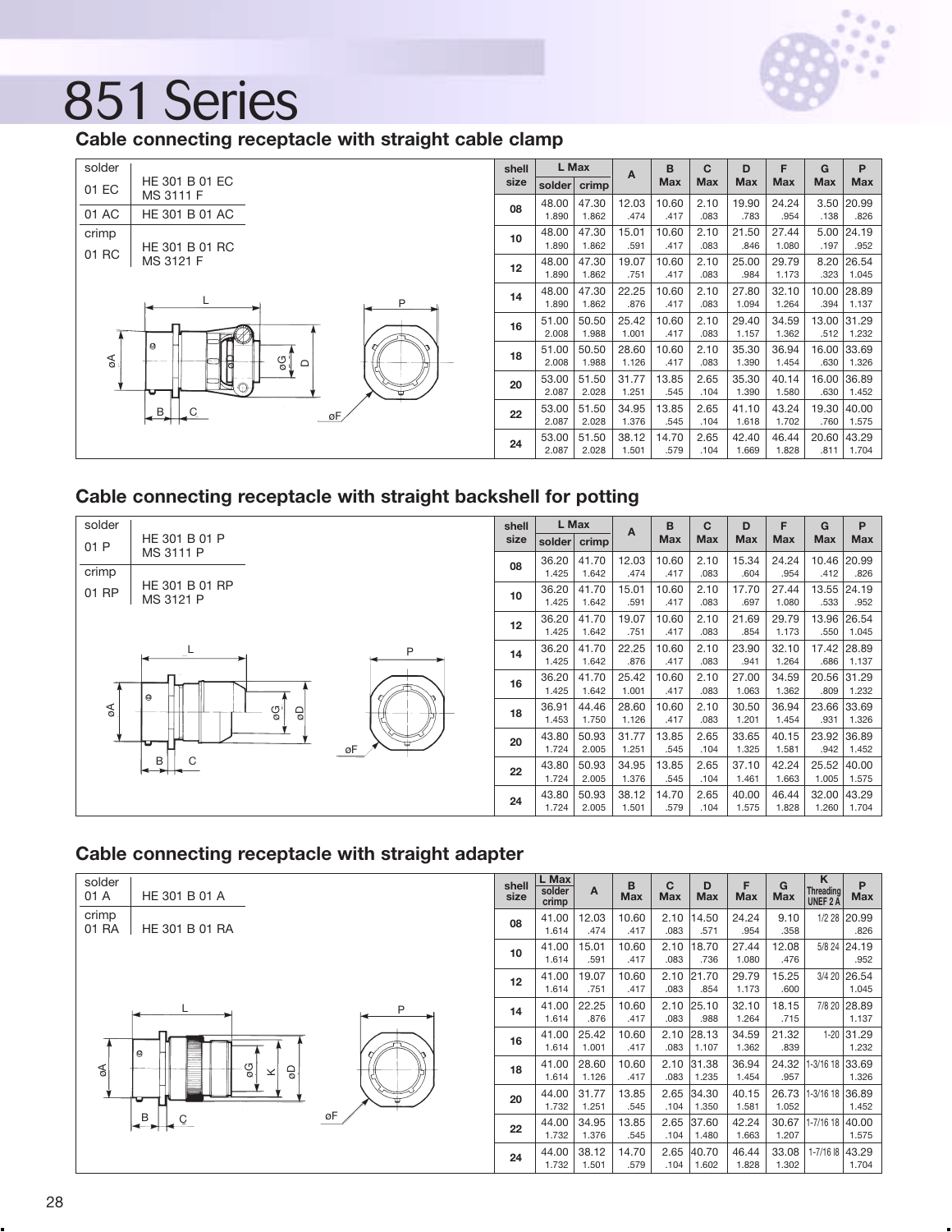

## **Cable connecting receptacle with straight cable clamp**

| solder |                                    | shell           |                | L Max          | A              | B             | C            | D              | F              | G                   | P                   |
|--------|------------------------------------|-----------------|----------------|----------------|----------------|---------------|--------------|----------------|----------------|---------------------|---------------------|
| 01 EC  | HE 301 B 01 EC<br><b>MS 3111 F</b> | size            | solder         | crimp          |                | <b>Max</b>    | <b>Max</b>   | <b>Max</b>     | <b>Max</b>     | Max                 | Max                 |
| 01 AC  | HE 301 B 01 AC                     | 08              | 48.00<br>1.890 | 47.30<br>1.862 | 12.03<br>.474  | 10.60<br>.417 | 2.10<br>.083 | 19.90<br>.783  | 24.24<br>.954  | .138                | 3.50 20.99<br>.826  |
| crimp  | HE 301 B 01 RC                     | 10 <sup>1</sup> | 48.00<br>1.890 | 47.30<br>1.862 | 15.01<br>.591  | 10.60<br>.417 | 2.10<br>.083 | 21.50<br>.846  | 27.44<br>1.080 | .197                | 5.00 24.19<br>.952  |
| 01 RC  | MS 3121 F                          | 12              | 48.00<br>1.890 | 47.30<br>1.862 | 19.07<br>.751  | 10.60<br>.417 | 2.10<br>.083 | 25.00<br>.984  | 29.79<br>1.173 | .323                | 8.20 26.54<br>1.045 |
|        | P                                  | 14              | 48.00<br>1.890 | 47.30<br>1.862 | 22.25<br>.876  | 10.60<br>.417 | 2.10<br>.083 | 27.80<br>1.094 | 32.10<br>1.264 | 10.00 28.89<br>.394 | 1.137               |
|        |                                    | 16              | 51.00<br>2.008 | 50.50<br>1.988 | 25.42<br>1.001 | 10.60<br>.417 | 2.10<br>.083 | 29.40<br>1.157 | 34.59<br>1.362 | 13.00 31.29<br>.512 | 1.232               |
| F      | $\theta$<br>g'<br>$\Box$<br>d      | 18              | 51.00<br>2.008 | 50.50<br>1.988 | 28.60<br>1.126 | 10.60<br>.417 | 2.10<br>.083 | 35.30<br>1.390 | 36.94<br>1.454 | 16.00 33.69<br>.630 | 1.326               |
|        |                                    | 20              | 53.00<br>2.087 | 51.50<br>2.028 | 31.77<br>1.251 | 13.85<br>.545 | 2.65<br>.104 | 35.30<br>1.390 | 40.14<br>1.580 | 16.00 36.89<br>.630 | 1.452               |
|        | B<br>øF                            | 22              | 53.00<br>2.087 | 51.50<br>2.028 | 34.95<br>1.376 | 13.85<br>.545 | 2.65<br>.104 | 41.10<br>1.618 | 43.24<br>1.702 | 19.30 40.00<br>.760 | 1.575               |
|        |                                    | 24              | 53.00<br>2.087 | 51.50<br>2.028 | 38.12<br>1.501 | 14.70<br>.579 | 2.65<br>.104 | 42.40<br>1.669 | 46.44<br>1.828 | 20.60 43.29<br>.811 | 1.704               |

### **Cable connecting receptacle with straight backshell for potting**

| solder |                             |    | shell |                | L Max          | A              | в             | C            | D              | F              | G                    | P                    |
|--------|-----------------------------|----|-------|----------------|----------------|----------------|---------------|--------------|----------------|----------------|----------------------|----------------------|
| 01 P   | HE 301 B 01 P               |    | size  | solder         | crimp          |                | <b>Max</b>    | <b>Max</b>   | <b>Max</b>     | <b>Max</b>     | <b>Max</b>           | <b>Max</b>           |
|        | MS 3111 P                   |    | 08    | 36.20          | 41.70          | 12.03          | 10.60         | 2.10         | 15.34          | 24.24          | 10.46 20.99          |                      |
| crimp  |                             |    |       | 1.425          | 1.642          | .474           | .417          | .083         | .604           | .954           | .412                 | .826                 |
| 01 RP  | HE 301 B 01 RP<br>MS 3121 P |    | 10    | 36.20<br>1.425 | 41.70<br>1.642 | 15.01<br>.591  | 10.60<br>.417 | 2.10<br>.083 | 17.70<br>.697  | 27.44<br>1.080 | .533                 | 13.55 24.19<br>.952  |
|        |                             |    | 12    | 36.20<br>1.425 | 41.70<br>1.642 | 19.07<br>.751  | 10.60<br>.417 | 2.10<br>.083 | 21.69<br>.854  | 29.79<br>1.173 | .550                 | 13.96 26.54<br>1.045 |
|        |                             | P  | 14    | 36.20<br>1.425 | 41.70<br>1.642 | 22.25<br>.876  | 10.60<br>.417 | 2.10<br>.083 | 23.90<br>.941  | 32.10<br>1.264 | 17.42 28.89<br>.686  | 1.137                |
|        | 0                           |    | 16    | 36.20<br>1.425 | 41.70<br>1.642 | 25.42<br>1.001 | 10.60<br>.417 | 2.10<br>.083 | 27.00<br>1.063 | 34.59<br>1.362 | 20.56 31.29<br>.809  | 1.232                |
| F      | 6G<br>$\overline{\circ}$    |    | 18    | 36.91<br>1.453 | 44.46<br>1.750 | 28.60<br>1.126 | 10.60<br>.417 | 2.10<br>.083 | 30.50<br>1.201 | 36.94<br>1.454 | 23.66 33.69<br>.931  | 1.326                |
|        | υ                           | øF | 20    | 43.80<br>1.724 | 50.93<br>2.005 | 31.77<br>1.251 | 13.85<br>.545 | 2.65<br>.104 | 33.65<br>1.325 | 40.15<br>1.581 | 23.92 36.89<br>.942  | 1.452                |
|        | B                           |    | 22    | 43.80<br>1.724 | 50.93<br>2.005 | 34.95<br>1.376 | 13.85<br>.545 | 2.65<br>.104 | 37.10<br>1.461 | 42.24<br>1.663 | 25.52 40.00<br>1.005 | 1.575                |
|        |                             |    | 24    | 43.80<br>1.724 | 50.93<br>2.005 | 38.12<br>1.501 | 14.70<br>.579 | 2.65<br>.104 | 40.00<br>1.575 | 46.44<br>1.828 | 32.00 43.29          | $1.260$   1.704      |

### **Cable connecting receptacle with straight adapter**

| solder<br>01 A              | HE 301 B 01 A    | shell<br>size   | L Max<br>solder<br>crimp | A              | B<br><b>Max</b> | C<br><b>Max</b> | D<br><b>Max</b>       | F<br><b>Max</b> | G<br><b>Max</b> | Κ<br>Threading<br>UNEF <sub>2</sub> Å | P<br><b>Max</b>       |
|-----------------------------|------------------|-----------------|--------------------------|----------------|-----------------|-----------------|-----------------------|-----------------|-----------------|---------------------------------------|-----------------------|
| crimp<br>01 RA              | HE 301 B 01 RA   | 08              | 41.00<br>1.614           | 12.03<br>.474  | 10.60<br>.417   | 2.10<br>.083    | 14.50<br>.571         | 24.24<br>.954   | 9.10<br>.358    |                                       | 1/2 28 20.99<br>.826  |
|                             |                  | 10 <sup>1</sup> | 41.00<br>1.614           | 15.01<br>.591  | 10.60<br>.417   | 2.10<br>.083    | 18.70<br>.736         | 27.44<br>1.080  | 12.08<br>.476   |                                       | 5/8 24 24.19<br>.952  |
|                             |                  | 12              | 41.00<br>1.614           | 19.07<br>.751  | 10.60<br>.417   | .083            | 2.10 21.70<br>.854    | 29.79<br>1.173  | 15.25<br>.600   |                                       | 3/4 20 26.54<br>1.045 |
|                             | P                | 14              | 41.00<br>1.614           | 22.25<br>.876  | 10.60<br>.417   | 2.10<br>.083    | 25.10<br>.988         | 32.10<br>1.264  | 18.15<br>.715   |                                       | 7/8 20 28.89<br>1.137 |
|                             | 0                | 16              | 41.00<br>1.614           | 25.42<br>1.001 | 10.60<br>.417   | .083            | $2.10$ 28.13<br>1.107 | 34.59<br>1.362  | 21.32<br>.839   |                                       | 1-20 31.29<br>1.232   |
| $\mathcal{L}_{\mathcal{O}}$ | g<br>9<br>$\leq$ | 18              | 41.00<br>1.614           | 28.60<br>1.126 | 10.60<br>.417   | 2.10<br>.083    | 31.38<br>1.235        | 36.94<br>1.454  | 24.32<br>.957   | $1 - 3/1618$                          | 33.69<br>1.326        |
|                             |                  | 20              | 44.00<br>1.732           | 31.77<br>1.251 | 13.85<br>.545   | 2.65<br>.104    | 34.30<br>1.350        | 40.15<br>1.581  | 26.73<br>1.052  | $1 - 3/1618$                          | 36.89<br>1.452        |
|                             | øF<br>B          | 22              | 44.00<br>1.732           | 34.95<br>1.376 | 13.85<br>.545   | .104            | 2.65 37.60<br>1.480   | 42.24<br>1.663  | 30.67<br>1.207  | 1-7/16 18 40.00                       | 1.575                 |
|                             |                  | 24              | 44.00<br>1.732           | 38.12<br>1.501 | 14.70<br>.579   | .104            | 2.65 40.70<br>1.602   | 46.44<br>1.828  | 33.08<br>1.302  | $1 - 7/16$ 18                         | 43.29<br>1.704        |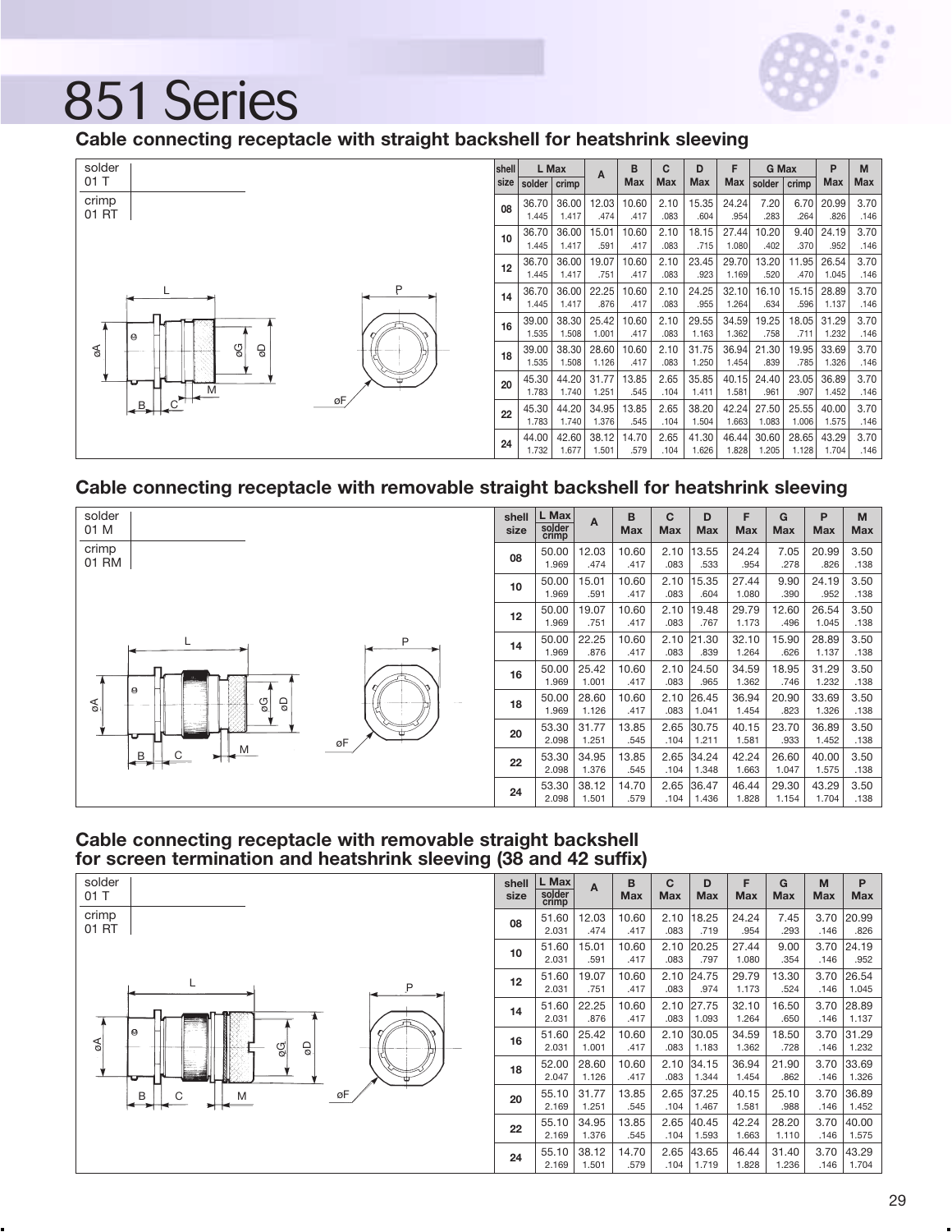

### **Cable connecting receptacle with straight backshell for heatshrink sleeving**



#### **Cable connecting receptacle with removable straight backshell for heatshrink sleeving**



#### **Cable connecting receptacle with removable straight backshell for screen termination and heatshrink sleeving (38 and 42 suffix)**

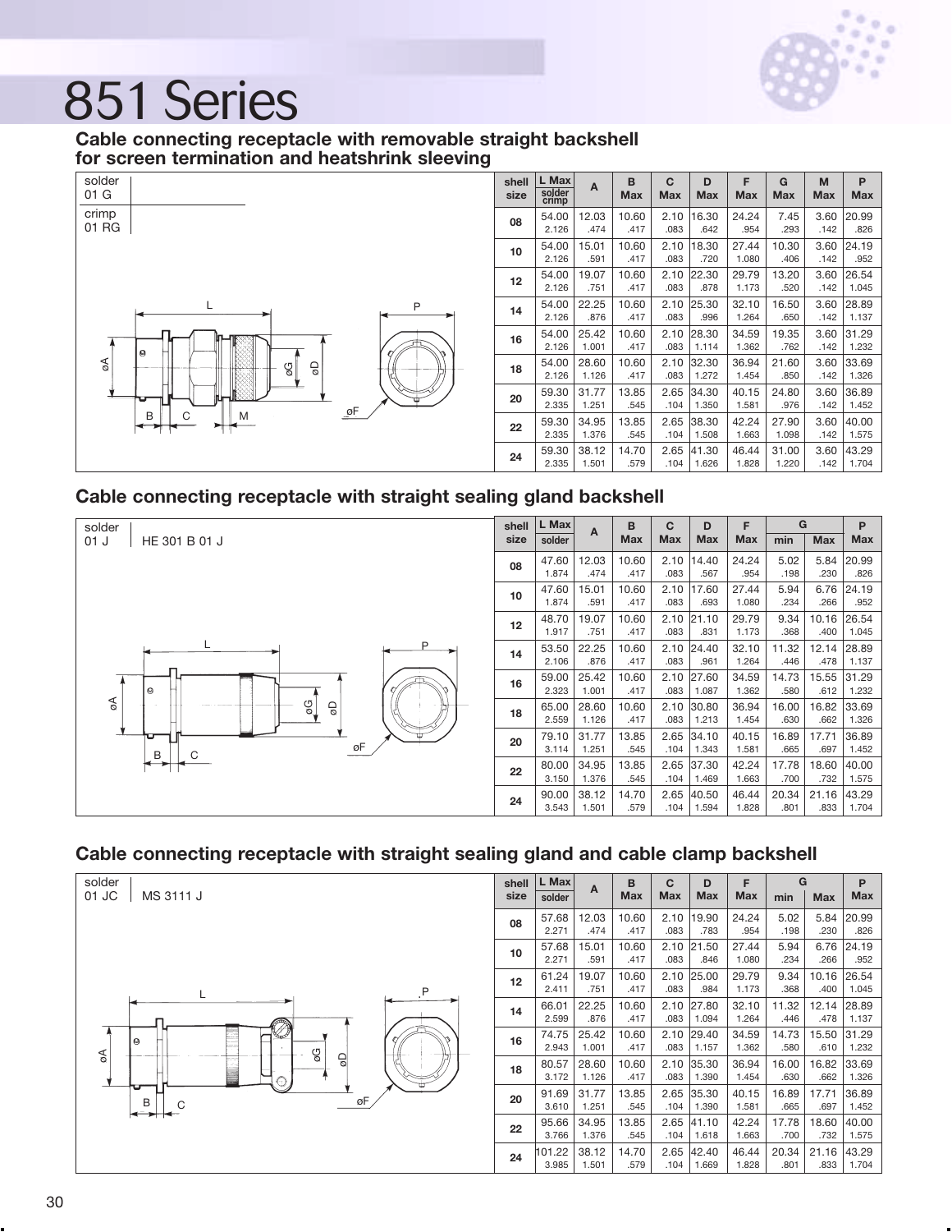

#### **Cable connecting receptacle with removable straight backshell for screen termination and heatshrink sleeving**



| shell<br>size | L Max<br>solder<br>crimp | A     | B<br><b>Max</b> | C<br><b>Max</b> | D<br><b>Max</b> | F<br><b>Max</b> | G<br><b>Max</b> | M<br><b>Max</b> | P<br><b>Max</b> |
|---------------|--------------------------|-------|-----------------|-----------------|-----------------|-----------------|-----------------|-----------------|-----------------|
| 08            | 54.00                    | 12.03 | 10.60           | 2.10            | 16.30           | 24.24           | 7.45            | 3.60            | 20.99           |
|               | 2.126                    | .474  | .417            | .083            | .642            | .954            | .293            | .142            | .826            |
| 10            | 54.00                    | 15.01 | 10.60           | 2.10            | 18.30           | 27.44           | 10.30           | 3.60            | 24.19           |
|               | 2.126                    | .591  | .417            | .083            | .720            | 1.080           | .406            | .142            | .952            |
| 12            | 54.00                    | 19.07 | 10.60           | 2.10            | 22.30           | 29.79           | 13.20           | 3.60            | 26.54           |
|               | 2.126                    | .751  | .417            | .083            | .878            | 1.173           | .520            | .142            | 1.045           |
| 14            | 54.00                    | 22.25 | 10.60           | 2.10            | 25.30           | 32.10           | 16.50           | 3.60            | 28.89           |
|               | 2.126                    | .876  | .417            | .083            | .996            | 1.264           | .650            | .142            | 1.137           |
| 16            | 54.00                    | 25.42 | 10.60           | 2.10            | 28.30           | 34.59           | 19.35           | 3.60            | 31.29           |
|               | 2.126                    | 1.001 | .417            | .083            | 1.114           | 1.362           | .762            | .142            | 1.232           |
| 18            | 54.00                    | 28.60 | 10.60           | 2.10            | 32.30           | 36.94           | 21.60           | 3.60            | 33.69           |
|               | 2.126                    | 1.126 | .417            | .083            | 1.272           | 1.454           | .850            | .142            | 1.326           |
| 20            | 59.30                    | 31.77 | 13.85           | 2.65            | 34.30           | 40.15           | 24.80           | 3.60            | 36.89           |
|               | 2.335                    | 1.251 | .545            | .104            | 1.350           | 1.581           | .976            | .142            | 1.452           |
| 22            | 59.30                    | 34.95 | 13.85           | 2.65            | 38.30           | 42.24           | 27.90           | 3.60            | 40.00           |
|               | 2.335                    | 1.376 | .545            | .104            | 1.508           | 1.663           | 1.098           | .142            | 1.575           |
| 24            | 59.30                    | 38.12 | 14.70           | 2.65            | 41.30           | 46.44           | 31.00           | 3.60            | 43.29           |
|               | 2.335                    | 1.501 | .579            | .104            | 1.626           | 1.828           | 1.220           | .142            | 1.704           |

### **Cable connecting receptacle with straight sealing gland backshell**



### **Cable connecting receptacle with straight sealing gland and cable clamp backshell**

| solder                     | shell | L Max           | A              | B             | C            | D                   | F              | G             |               | P              |
|----------------------------|-------|-----------------|----------------|---------------|--------------|---------------------|----------------|---------------|---------------|----------------|
| 01 JC<br>MS 3111 J         | size  | solder          |                | <b>Max</b>    | Max          | <b>Max</b>          | <b>Max</b>     | min           | <b>Max</b>    | <b>Max</b>     |
|                            | 08    | 57.68<br>2.271  | 12.03<br>.474  | 10.60<br>.417 | 2.10<br>.083 | 19.90<br>.783       | 24.24<br>.954  | 5.02<br>.198  | 5.84<br>.230  | 20.99<br>.826  |
|                            | 10    | 57.68<br>2.271  | 15.01<br>.591  | 10.60<br>.417 | 2.10<br>.083 | 21.50<br>.846       | 27.44<br>1.080 | 5.94<br>.234  | 6.76<br>.266  | 24.19<br>.952  |
| ,P                         | 12    | 61.24<br>2.411  | 19.07<br>.751  | 10.60<br>.417 | 2.10<br>.083 | 25.00<br>.984       | 29.79<br>1.173 | 9.34<br>.368  | 10.16<br>.400 | 26.54<br>1.045 |
|                            | 14    | 66.01<br>2.599  | 22.25<br>.876  | 10.60<br>.417 | .083         | 2.10 27.80<br>1.094 | 32.10<br>1.264 | 11.32<br>.446 | 12.14<br>.478 | 28.89<br>1.137 |
| ₩<br><b>Q</b><br>Ø         | 16    | 74.75<br>2.943  | 25.42<br>1.001 | 10.60<br>.417 | 2.10<br>.083 | 29.40<br>1.157      | 34.59<br>1.362 | 14.73<br>.580 | 15.50<br>.610 | 31.29<br>1.232 |
| $\delta$<br>$\overline{9}$ | 18    | 80.57<br>3.172  | 28.60<br>1.126 | 10.60<br>.417 | 2.10<br>.083 | 35.30<br>1.390      | 36.94<br>1.454 | 16.00<br>.630 | 16.82<br>.662 | 33.69<br>1.326 |
| øF<br>В                    | 20    | 91.69<br>3.610  | 31.77<br>1.251 | 13.85<br>.545 | 2.65<br>.104 | 35.30<br>1.390      | 40.15<br>1.581 | 16.89<br>.665 | 17.71<br>.697 | 36.89<br>1.452 |
|                            | 22    | 95.66<br>3.766  | 34.95<br>1.376 | 13.85<br>.545 | 2.65<br>.104 | 41.10<br>1.618      | 42.24<br>1.663 | 17.78<br>.700 | 18.60<br>.732 | 40.00<br>1.575 |
|                            | 24    | 101.22<br>3.985 | 38.12<br>1.501 | 14.70<br>.579 | 2.65<br>.104 | 42.40<br>1.669      | 46.44<br>1.828 | 20.34<br>.801 | 21.16<br>.833 | 43.29<br>1.704 |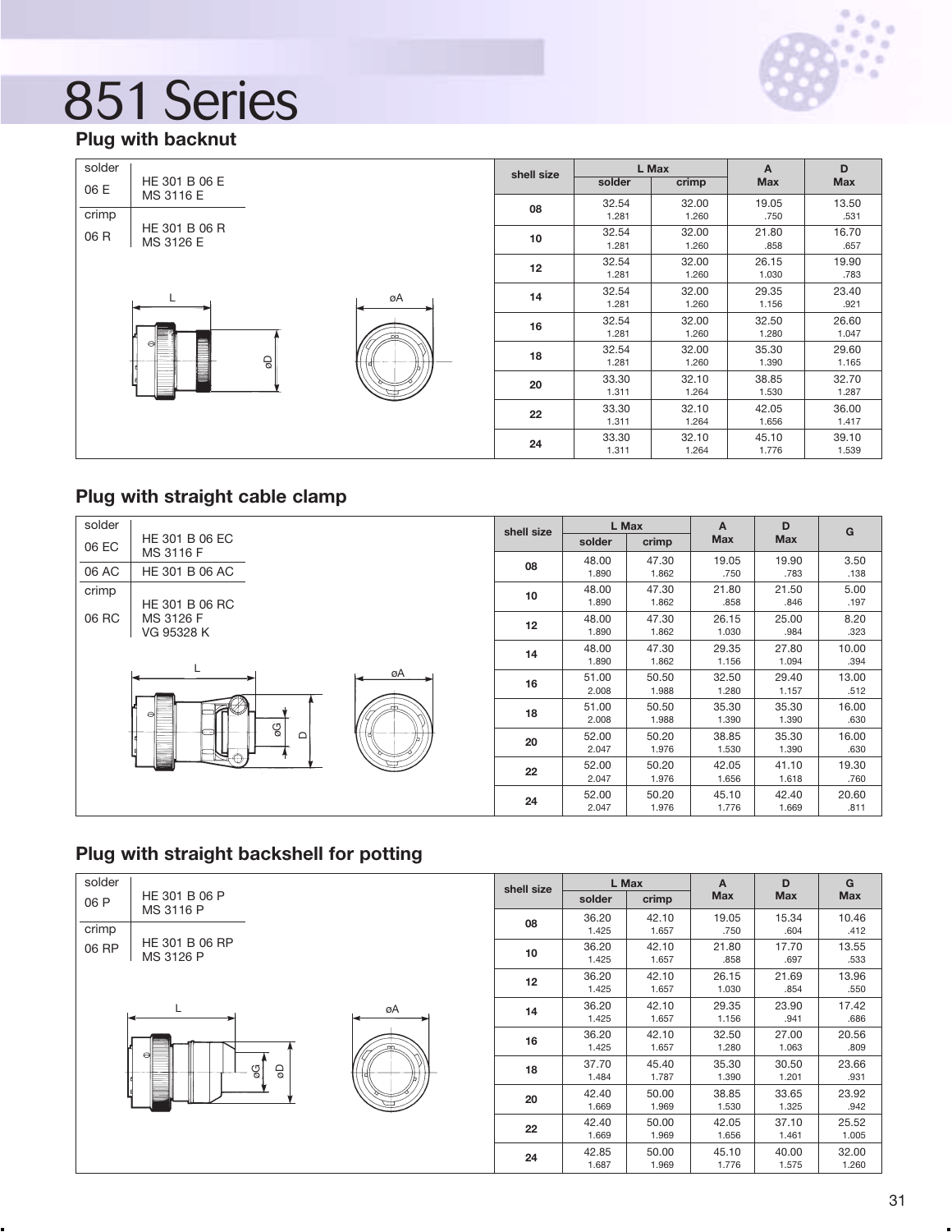

**Plug with backnut**

| solder |               |              |    | shell size |        | L Max | A          | D     |
|--------|---------------|--------------|----|------------|--------|-------|------------|-------|
| 06 E   | HE 301 B 06 E |              |    |            | solder | crimp | <b>Max</b> | Max   |
|        | MS 3116 E     |              |    | 08         | 32.54  | 32.00 | 19.05      | 13.50 |
| crimp  |               |              |    |            | 1.281  | 1.260 | .750       | .531  |
| 06 R   | HE 301 B 06 R |              |    | 10         | 32.54  | 32.00 | 21.80      | 16.70 |
|        | MS 3126 E     |              |    |            | 1.281  | 1.260 | .858       | .657  |
|        |               |              |    | 12         | 32.54  | 32.00 | 26.15      | 19.90 |
|        |               |              |    |            | 1.281  | 1.260 | 1.030      | .783  |
|        |               |              | øA | 14         | 32.54  | 32.00 | 29.35      | 23.40 |
|        |               |              |    |            | 1.281  | 1.260 | 1.156      | .921  |
|        |               |              |    | 16         | 32.54  | 32.00 | 32.50      | 26.60 |
|        | a             |              |    |            | 1.281  | 1.260 | 1.280      | 1.047 |
|        |               |              |    | 18         | 32.54  | 32.00 | 35.30      | 29.60 |
|        |               | $\mathsf{S}$ |    |            | 1.281  | 1.260 | 1.390      | 1.165 |
|        |               |              |    | 20         | 33.30  | 32.10 | 38.85      | 32.70 |
|        |               |              |    |            | 1.311  | 1.264 | 1.530      | 1.287 |
|        |               |              |    | 22         | 33.30  | 32.10 | 42.05      | 36.00 |
|        |               |              |    |            | 1.311  | 1.264 | 1.656      | 1.417 |
|        |               |              |    | 24         | 33.30  | 32.10 | 45.10      | 39.10 |
|        |               |              |    |            | 1.311  | 1.264 | 1.776      | 1.539 |

### **Plug with straight cable clamp**

| solder |                |    | shell size |        | L Max | $\mathsf{A}$ | D          | G     |
|--------|----------------|----|------------|--------|-------|--------------|------------|-------|
| 06 EC  | HE 301 B 06 EC |    |            | solder | crimp | <b>Max</b>   | <b>Max</b> |       |
|        | MS 3116 F      |    | 08         | 48.00  | 47.30 | 19.05        | 19.90      | 3.50  |
| 06 AC  | HE 301 B 06 AC |    |            | 1.890  | 1.862 | .750         | .783       | .138  |
| crimp  |                |    | 10         | 48.00  | 47.30 | 21.80        | 21.50      | 5.00  |
|        | HE 301 B 06 RC |    |            | 1.890  | 1.862 | .858         | .846       | .197  |
| 06 RC  | MS 3126 F      |    | 12         | 48.00  | 47.30 | 26.15        | 25.00      | 8.20  |
|        | VG 95328 K     |    |            | 1.890  | 1.862 | 1.030        | .984       | .323  |
|        |                |    | 14         | 48.00  | 47.30 | 29.35        | 27.80      | 10.00 |
|        | L              |    |            | 1.890  | 1.862 | 1.156        | 1.094      | .394  |
|        |                | øA | 16         | 51.00  | 50.50 | 32.50        | 29.40      | 13.00 |
|        |                |    |            | 2.008  | 1.988 | 1.280        | 1.157      | .512  |
|        | $\Theta$       |    | 18         | 51.00  | 50.50 | 35.30        | 35.30      | 16.00 |
|        |                |    |            | 2.008  | 1.988 | 1.390        | 1.390      | .630  |
|        | 6G<br>$\Box$   |    | 20         | 52.00  | 50.20 | 38.85        | 35.30      | 16.00 |
|        | L              |    |            | 2.047  | 1.976 | 1.530        | 1.390      | .630  |
|        |                |    | 22         | 52.00  | 50.20 | 42.05        | 41.10      | 19.30 |
|        |                |    |            | 2.047  | 1.976 | 1.656        | 1.618      | .760  |
|        |                |    |            | 52.00  | 50.20 | 45.10        | 42.40      | 20.60 |
|        |                |    | 24         | 2.047  | 1.976 | 1.776        | 1.669      | .811  |

## **Plug with straight backshell for potting**

| solder |                             |              | shell size |                | L Max          | A             | D             | G             |
|--------|-----------------------------|--------------|------------|----------------|----------------|---------------|---------------|---------------|
| 06 P   | HE 301 B 06 P               |              |            | solder         | crimp          | <b>Max</b>    | <b>Max</b>    | <b>Max</b>    |
|        | MS 3116 P                   |              | 08         | 36.20          | 42.10          | 19.05         | 15.34         | 10.46         |
| crimp  |                             |              |            | 1.425          | 1.657          | .750          | .604          | .412          |
| 06 RP  | HE 301 B 06 RP<br>MS 3126 P |              | 10         | 36.20<br>1.425 | 42.10<br>1.657 | 21.80<br>.858 | 17.70<br>.697 | 13.55<br>.533 |
|        |                             |              | 12         | 36.20          | 42.10          | 26.15         | 21.69         | 13.96         |
|        |                             |              |            | 1.425          | 1.657          | 1.030         | .854          | .550          |
|        |                             | øA           | 14         | 36.20          | 42.10          | 29.35         | 23.90         | 17.42         |
|        |                             |              |            | 1.425          | 1.657          | 1.156         | .941          | .686          |
|        |                             |              | 16         | 36.20          | 42.10          | 32.50         | 27.00         | 20.56         |
|        | $\Theta$                    |              |            | 1.425          | 1.657          | 1.280         | 1.063         | .809          |
|        | 6G                          | $\mathsf{S}$ | 18         | 37.70          | 45.40          | 35.30         | 30.50         | 23.66         |
|        |                             |              |            | 1.484          | 1.787          | 1.390         | 1.201         | .931          |
|        |                             |              | 20         | 42.40          | 50.00          | 38.85         | 33.65         | 23.92         |
|        |                             |              |            | 1.669          | 1.969          | 1.530         | 1.325         | .942          |
|        |                             |              | 22         | 42.40          | 50.00          | 42.05         | 37.10         | 25.52         |
|        |                             |              |            | 1.669          | 1.969          | 1.656         | 1.461         | 1.005         |
|        |                             |              | 24         | 42.85          | 50.00          | 45.10         | 40.00         | 32.00         |
|        |                             |              |            | 1.687          | 1.969          | 1.776         | 1.575         | 1.260         |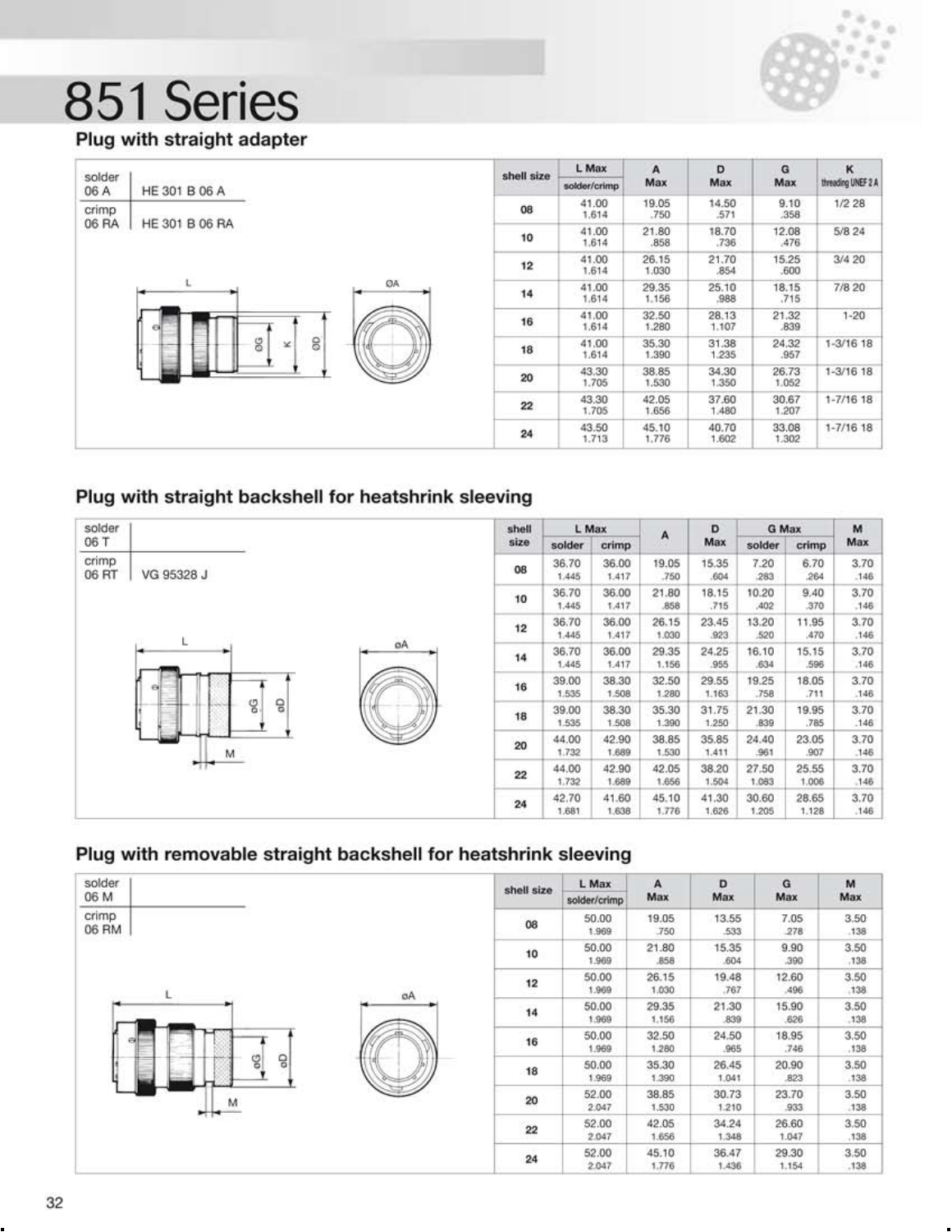

### Plug with straight adapter

| solder |                                | shell size | L Max          | $\mathbf{A}$   | D              | G              | κ                  |
|--------|--------------------------------|------------|----------------|----------------|----------------|----------------|--------------------|
| 06 A   | HE 301 B 06 A                  |            | solder/crimp   | Max            | Max            | Max            | threading UNEF 2 A |
| crimp  |                                | 80         | 41.00<br>1.614 | 19.05<br>.750  | 14.50<br>.571  | 9.10<br>.358   | 1/2.28             |
| 06 RA  | HE 301 B 06 RA                 | 10         | 41.00<br>1.614 | 21.80<br>.858  | 18.70<br>.736  | 12.08<br>,476  | 5/8 24             |
|        |                                | 12         | 41.00<br>1.614 | 26.15<br>1.030 | 21.70<br>.854  | 15.25<br>.600  | 3/420              |
|        | L<br>ØA                        | 14         | 41.00<br>1.614 | 29.35<br>1.156 | 25.10<br>988   | 18.15<br>.715  | 7/8 20             |
|        | $F_{\rm tot}$<br>e             | 16         | 41.00<br>1.614 | 32.50<br>1.280 | 28.13<br>1.107 | 21.32<br>.839  | $1 - 20$           |
|        | g<br>$\mathsf{S}$<br>$\propto$ | 18         | 41.00<br>1.614 | 35.30<br>1.390 | 31.38<br>1.235 | 24.32<br>.957  | 1-3/16 18          |
|        |                                | 20         | 43.30<br>1.705 | 38.85<br>1.530 | 34.30<br>1.350 | 26.73<br>1.052 | $1 - 3/16$ 18      |
|        |                                | 22         | 43.30<br>1.705 | 42.05<br>1.656 | 37.60<br>1.480 | 30.67<br>1.207 | $1 - 7/16$ 18      |
|        |                                | 24         | 43.50<br>1.713 | 45.10<br>1.776 | 40.70<br>1.602 | 33.08<br>1,302 | $1 - 7/16$ 18      |

### Plug with straight backshell for heatshrink sleeving



### Plug with removable straight backshell for heatshrink sleeving

| solder.                             | shell size | L Max          | A              | D              | G              | M            |
|-------------------------------------|------------|----------------|----------------|----------------|----------------|--------------|
| 06 M                                |            | solder/crimp   | Max            | Max            | Max            | Max          |
| crimp<br>06 RM                      | 08         | 50.00<br>1.969 | 19.05<br>.750  | 13.55<br>.533  | 7.05<br>.278   | 3.50<br>,138 |
|                                     | 10         | 50.00<br>1.969 | 21.80<br>.858  | 15.35<br>.604  | 9.90<br>.390   | 3.50<br>,138 |
|                                     | 12<br>øA   | 50.00<br>1.969 | 26.15<br>1.030 | 19.48<br>.767  | 12.60<br>.496  | 3.50<br>,138 |
|                                     | 14         | 50.00<br>1.969 | 29.35<br>1,156 | 21.30<br>.839  | 15.90<br>.626  | 3.50<br>,138 |
| $\leftrightarrow$                   | 16         | 50.00<br>1,969 | 32.50<br>1.280 | 24.50<br>.965  | 18.95<br>.746. | 3.50<br>,138 |
| 9<br>$\mathcal{S}$                  | 18         | 50.00<br>1.969 | 35.30<br>1.390 | 26.45<br>1.041 | 20.90<br>.823  | 3.50<br>.138 |
| м<br>$H$ is a set of the set of $H$ | 20         | 52.00<br>2.047 | 38.85<br>1,530 | 30.73<br>1.210 | 23.70<br>.933  | 3.50<br>.138 |
|                                     | 22         | 52.00<br>2.047 | 42.05<br>1.656 | 34.24<br>1.348 | 26.60<br>1.047 | 3.50<br>,138 |
|                                     | 24         | 52.00<br>2.047 | 45.10<br>1,776 | 36.47<br>1.436 | 29.30<br>1.154 | 3.50<br>.138 |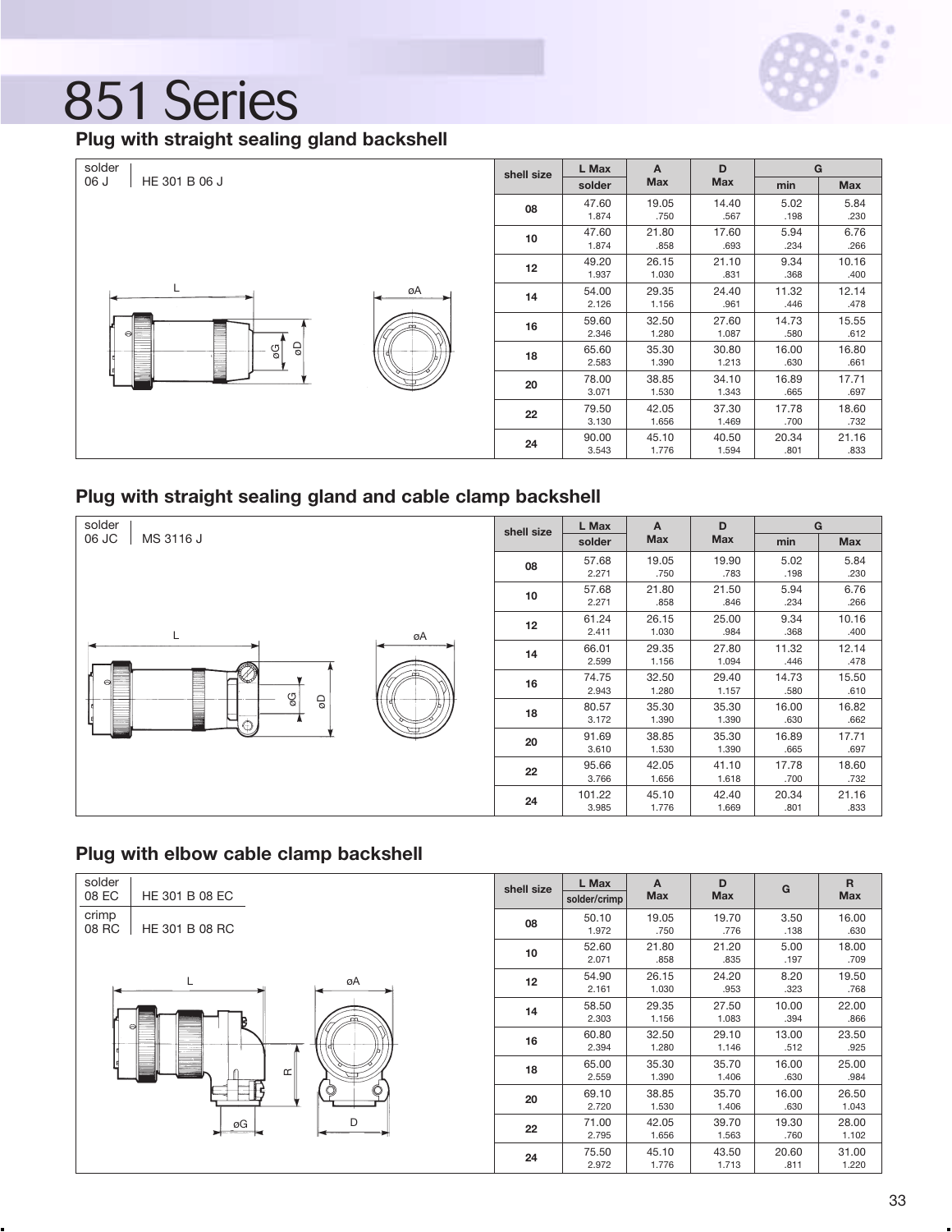

**Plug with straight sealing gland backshell**

| solder                |    | shell size | L Max  | A          | D          | G     |       |
|-----------------------|----|------------|--------|------------|------------|-------|-------|
| HE 301 B 06 J<br>06 J |    |            | solder | <b>Max</b> | <b>Max</b> | min   | Max   |
|                       |    | 08         | 47.60  | 19.05      | 14.40      | 5.02  | 5.84  |
|                       |    |            | 1.874  | .750       | .567       | .198  | .230  |
|                       |    | 10         | 47.60  | 21.80      | 17.60      | 5.94  | 6.76  |
|                       |    |            | 1.874  | .858       | .693       | .234  | .266  |
|                       |    | 12         | 49.20  | 26.15      | 21.10      | 9.34  | 10.16 |
|                       |    |            | 1.937  | 1.030      | .831       | .368  | .400  |
| L                     | øA | 14         | 54.00  | 29.35      | 24.40      | 11.32 | 12.14 |
|                       |    |            | 2.126  | 1.156      | .961       | .446  | .478  |
|                       |    | 16         | 59.60  | 32.50      | 27.60      | 14.73 | 15.55 |
| $\Theta$              |    |            | 2.346  | 1.280      | 1.087      | .580  | .612  |
| $\Theta$<br>gl        |    | 18         | 65.60  | 35.30      | 30.80      | 16.00 | 16.80 |
|                       |    |            | 2.583  | 1.390      | 1.213      | .630  | .661  |
|                       |    | 20         | 78.00  | 38.85      | 34.10      | 16.89 | 17.71 |
|                       |    |            | 3.071  | 1.530      | 1.343      | .665  | .697  |
|                       |    | 22         | 79.50  | 42.05      | 37.30      | 17.78 | 18.60 |
|                       |    |            | 3.130  | 1.656      | 1.469      | .700  | .732  |
|                       |    | 24         | 90.00  | 45.10      | 40.50      | 20.34 | 21.16 |
|                       |    |            | 3.543  | 1.776      | 1.594      | .801  | .833  |

## **Plug with straight sealing gland and cable clamp backshell**



## **Plug with elbow cable clamp backshell**

| solder<br>08 EC<br>HE 301 B 08 EC | shell size | L Max<br>solder/crimp | A<br><b>Max</b> | D<br><b>Max</b> | G             | $\mathsf R$<br><b>Max</b> |
|-----------------------------------|------------|-----------------------|-----------------|-----------------|---------------|---------------------------|
| crimp<br>08 RC<br>HE 301 B 08 RC  | 08         | 50.10<br>1.972        | 19.05<br>.750   | 19.70<br>.776   | 3.50<br>.138  | 16.00<br>.630             |
|                                   | 10         | 52.60<br>2.071        | 21.80<br>.858   | 21.20<br>.835   | 5.00<br>.197  | 18.00<br>.709             |
| øA                                | 12         | 54.90<br>2.161        | 26.15<br>1.030  | 24.20<br>.953   | 8.20<br>.323  | 19.50<br>.768             |
| 6I                                | 14         | 58.50<br>2.303        | 29.35<br>1.156  | 27.50<br>1.083  | 10.00<br>.394 | 22.00<br>.866             |
|                                   | 16         | 60.80<br>2.394        | 32.50<br>1.280  | 29.10<br>1.146  | 13.00<br>.512 | 23.50<br>.925             |
| $\simeq$                          | 18         | 65.00<br>2.559        | 35.30<br>1.390  | 35.70<br>1.406  | 16.00<br>.630 | 25.00<br>.984             |
|                                   | 20         | 69.10<br>2.720        | 38.85<br>1.530  | 35.70<br>1.406  | 16.00<br>.630 | 26.50<br>1.043            |
| D<br>øG<br>×.                     | 22         | 71.00<br>2.795        | 42.05<br>1.656  | 39.70<br>1.563  | 19.30<br>.760 | 28.00<br>1.102            |
|                                   | 24         | 75.50<br>2.972        | 45.10<br>1.776  | 43.50<br>1.713  | 20.60<br>.811 | 31.00<br>1.220            |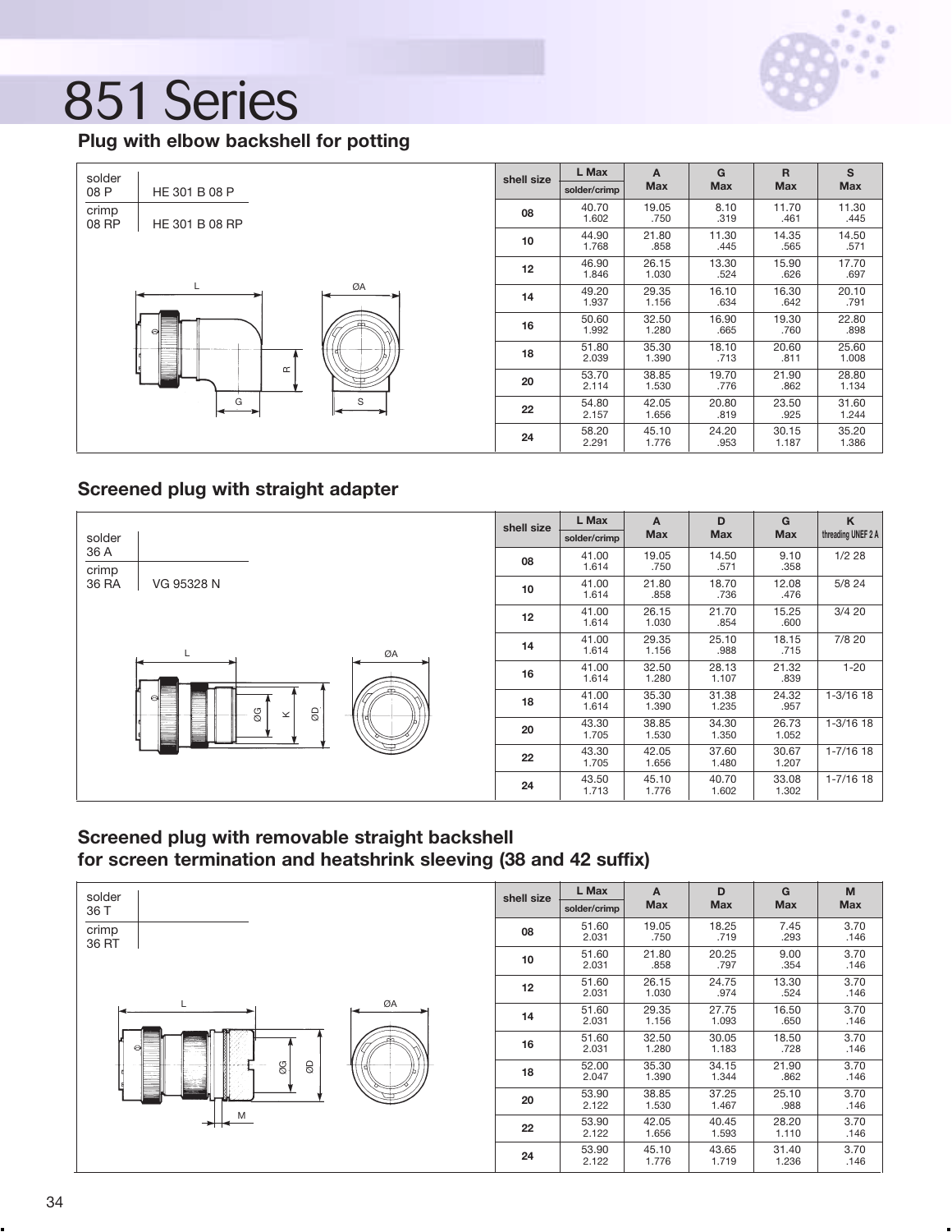

### **Plug with elbow backshell for potting**

| solder<br>08 P | HE 301 B 08 P  | shell size | L Max<br>solder/crimp | A<br><b>Max</b> | G<br><b>Max</b> | $\mathbf{R}$<br><b>Max</b> | S<br><b>Max</b> |
|----------------|----------------|------------|-----------------------|-----------------|-----------------|----------------------------|-----------------|
| crimp<br>08 RP | HE 301 B 08 RP | 08         | 40.70<br>1.602        | 19.05<br>.750   | 8.10<br>.319    | 11.70<br>.461              | 11.30<br>.445   |
|                |                | 10         | 44.90<br>1.768        | 21.80<br>.858   | 11.30<br>.445   | 14.35<br>.565              | 14.50<br>.571   |
|                |                | 12         | 46.90<br>1.846        | 26.15<br>1.030  | 13.30<br>.524   | 15.90<br>.626              | 17.70<br>.697   |
|                | ØA             | 14         | 49.20<br>1.937        | 29.35<br>1.156  | 16.10<br>.634   | 16.30<br>.642              | 20.10<br>.791   |
|                | ⊖              | 16         | 50.60<br>1.992        | 32.50<br>1.280  | 16.90<br>.665   | 19.30<br>.760              | 22.80<br>.898   |
|                |                | 18         | 51.80<br>2.039        | 35.30<br>1.390  | 18.10<br>.713   | 20.60<br>.811              | 25.60<br>1.008  |
|                | Œ              | 20         | 53.70<br>2.114        | 38.85<br>1.530  | 19.70<br>.776   | 21.90<br>.862              | 28.80<br>1.134  |
|                | S<br>G<br>⋗    | 22         | 54.80<br>2.157        | 42.05<br>1.656  | 20.80<br>.819   | 23.50<br>.925              | 31.60<br>1.244  |
|                |                | 24         | 58.20<br>2.291        | 45.10<br>1.776  | 24.20<br>.953   | 30.15<br>1.187             | 35.20<br>1.386  |

#### **Screened plug with straight adapter**

| solder                                              | shell size | L Max<br>solder/crimp | A<br><b>Max</b> | D<br><b>Max</b> | G<br><b>Max</b> | K<br>threading UNEF 2 A |
|-----------------------------------------------------|------------|-----------------------|-----------------|-----------------|-----------------|-------------------------|
| 36 A<br>crimp                                       | 08         | 41.00<br>1.614        | 19.05<br>.750   | 14.50<br>.571   | 9.10<br>.358    | 1/228                   |
| VG 95328 N<br>36 RA                                 | 10         | 41.00<br>1.614        | 21.80<br>.858   | 18.70<br>.736   | 12.08<br>.476   | 5/8 24                  |
|                                                     | 12         | 41.00<br>1.614        | 26.15<br>1.030  | 21.70<br>.854   | 15.25<br>.600   | 3/420                   |
| ØA<br>L                                             | 14         | 41.00<br>1.614        | 29.35<br>1.156  | 25.10<br>.988   | 18.15<br>.715   | 7/8 20                  |
|                                                     | 16         | 41.00<br>1.614        | 32.50<br>1.280  | 28.13<br>1.107  | 21.32<br>.839   | $1 - 20$                |
| $\Theta$<br>$\Theta$<br>ØG<br>$\boldsymbol{\times}$ | 18         | 41.00<br>1.614        | 35.30<br>1.390  | 31.38<br>1.235  | 24.32<br>.957   | $1 - 3/16$ 18           |
|                                                     | 20         | 43.30<br>1.705        | 38.85<br>1.530  | 34.30<br>1.350  | 26.73<br>1.052  | $1 - 3/16$ 18           |
|                                                     | 22         | 43.30<br>1.705        | 42.05<br>1.656  | 37.60<br>1.480  | 30.67<br>1.207  | $1 - 7/16$ 18           |
|                                                     | 24         | 43.50<br>1.713        | 45.10<br>1.776  | 40.70<br>1.602  | 33.08<br>1.302  | $1 - 7/16$ 18           |

### **Screened plug with removable straight backshell for screen termination and heatshrink sleeving (38 and 42 suffix)**

| solder<br>36 T  | shell size | L Max<br>solder/crimp | A<br><b>Max</b> | D<br><b>Max</b> | G<br><b>Max</b> | M<br><b>Max</b> |
|-----------------|------------|-----------------------|-----------------|-----------------|-----------------|-----------------|
| crimp<br>36 RT  | 08         | 51.60<br>2.031        | 19.05<br>.750   | 18.25<br>.719   | 7.45<br>.293    | 3.70<br>.146    |
|                 | 10         | 51.60<br>2.031        | 21.80<br>.858   | 20.25<br>.797   | 9.00<br>.354    | 3.70<br>.146    |
|                 | 12         | 51.60<br>2.031        | 26.15<br>1.030  | 24.75<br>.974   | 13.30<br>.524   | 3.70<br>.146    |
| ØA<br>L         | 14         | 51.60<br>2.031        | 29.35<br>1.156  | 27.75<br>1.093  | 16.50<br>.650   | 3.70<br>.146    |
| a               | 16         | 51.60<br>2.031        | 32.50<br>1.280  | 30.05<br>1.183  | 18.50<br>.728   | 3.70<br>.146    |
| $\otimes$<br>ØG | 18         | 52.00<br>2.047        | 35.30<br>1.390  | 34.15<br>1.344  | 21.90<br>.862   | 3.70<br>.146    |
|                 | 20         | 53.90<br>2.122        | 38.85<br>1.530  | 37.25<br>1.467  | 25.10<br>.988   | 3.70<br>.146    |
| M               | 22         | 53.90<br>2.122        | 42.05<br>1.656  | 40.45<br>1.593  | 28.20<br>1.110  | 3.70<br>.146    |
|                 | 24         | 53.90<br>2.122        | 45.10<br>1.776  | 43.65<br>1.719  | 31.40<br>1.236  | 3.70<br>.146    |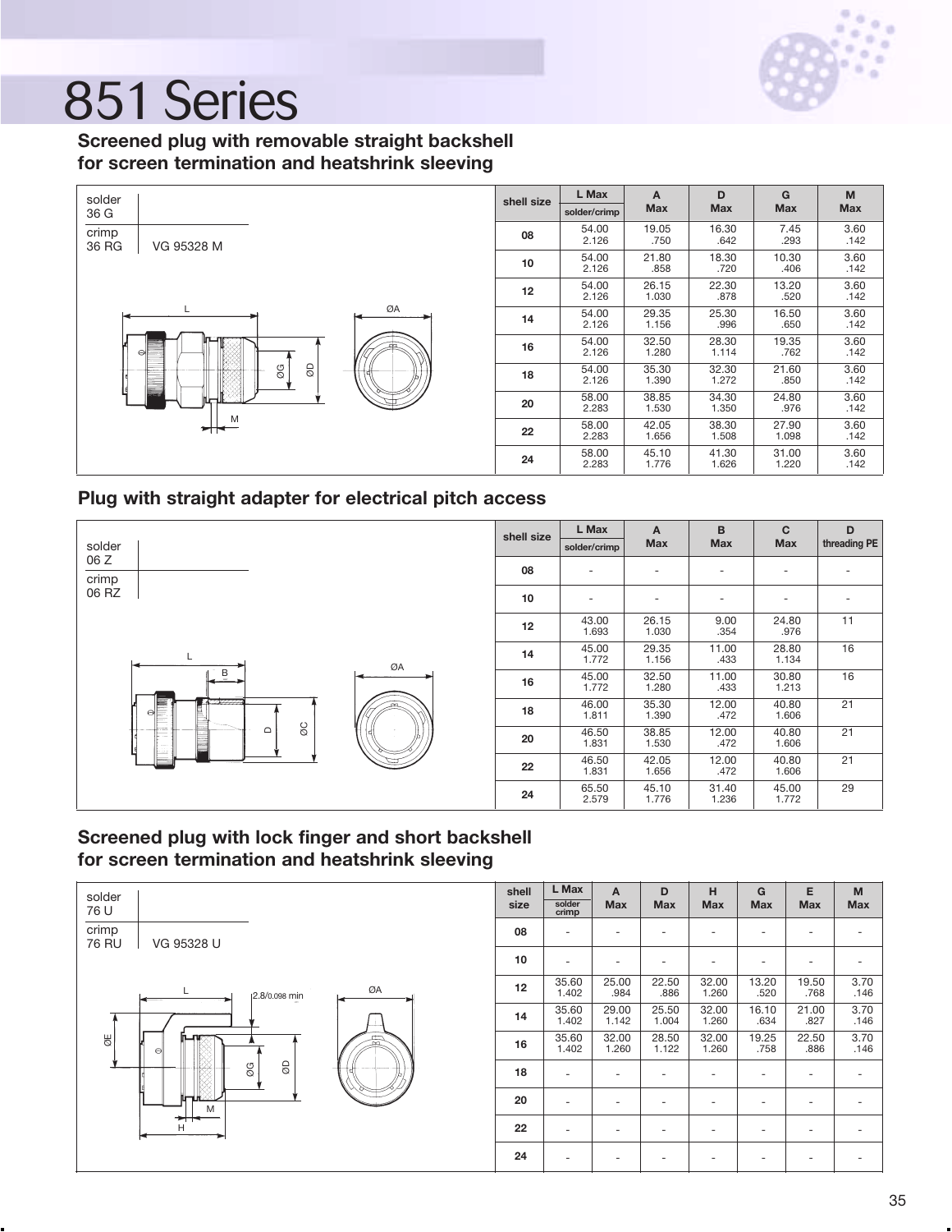

### **Screened plug with removable straight backshell for screen termination and heatshrink sleeving**



| solder                       | shell size | L Max          | A              | D              | G              | M            |
|------------------------------|------------|----------------|----------------|----------------|----------------|--------------|
| 36 G                         |            | solder/crimp   | <b>Max</b>     | <b>Max</b>     | <b>Max</b>     | <b>Max</b>   |
| crimp<br>VG 95328 M<br>36 RG | 08         | 54.00<br>2.126 | 19.05<br>.750  | 16.30<br>.642  | 7.45<br>.293   | 3.60<br>.142 |
|                              | 10         | 54.00<br>2.126 | 21.80<br>.858  | 18.30<br>.720  | 10.30<br>.406  | 3.60<br>.142 |
|                              | 12         | 54.00<br>2.126 | 26.15<br>1.030 | 22.30<br>.878  | 13.20<br>.520  | 3.60<br>.142 |
| ØA                           | 14         | 54.00<br>2.126 | 29.35<br>1.156 | 25.30<br>.996  | 16.50<br>.650  | 3.60<br>.142 |
| $\Theta$                     | 16         | 54.00<br>2.126 | 32.50<br>1.280 | 28.30<br>1.114 | 19.35<br>.762  | 3.60<br>.142 |
| $\otimes$<br>QØ              | 18         | 54.00<br>2.126 | 35.30<br>1.390 | 32.30<br>1.272 | 21.60<br>.850  | 3.60<br>.142 |
| −                            | 20         | 58.00<br>2.283 | 38.85<br>1.530 | 34.30<br>1.350 | 24.80<br>.976  | 3.60<br>.142 |
| M                            | 22         | 58.00<br>2.283 | 42.05<br>1.656 | 38.30<br>1.508 | 27.90<br>1.098 | 3.60<br>.142 |
|                              | 24         | 58.00<br>2.283 | 45.10<br>1.776 | 41.30<br>1.626 | 31.00<br>1.220 | 3.60<br>.142 |

#### **Plug with straight adapter for electrical pitch access**



### **Screened plug with lock finger and short backshell for screen termination and heatshrink sleeving**

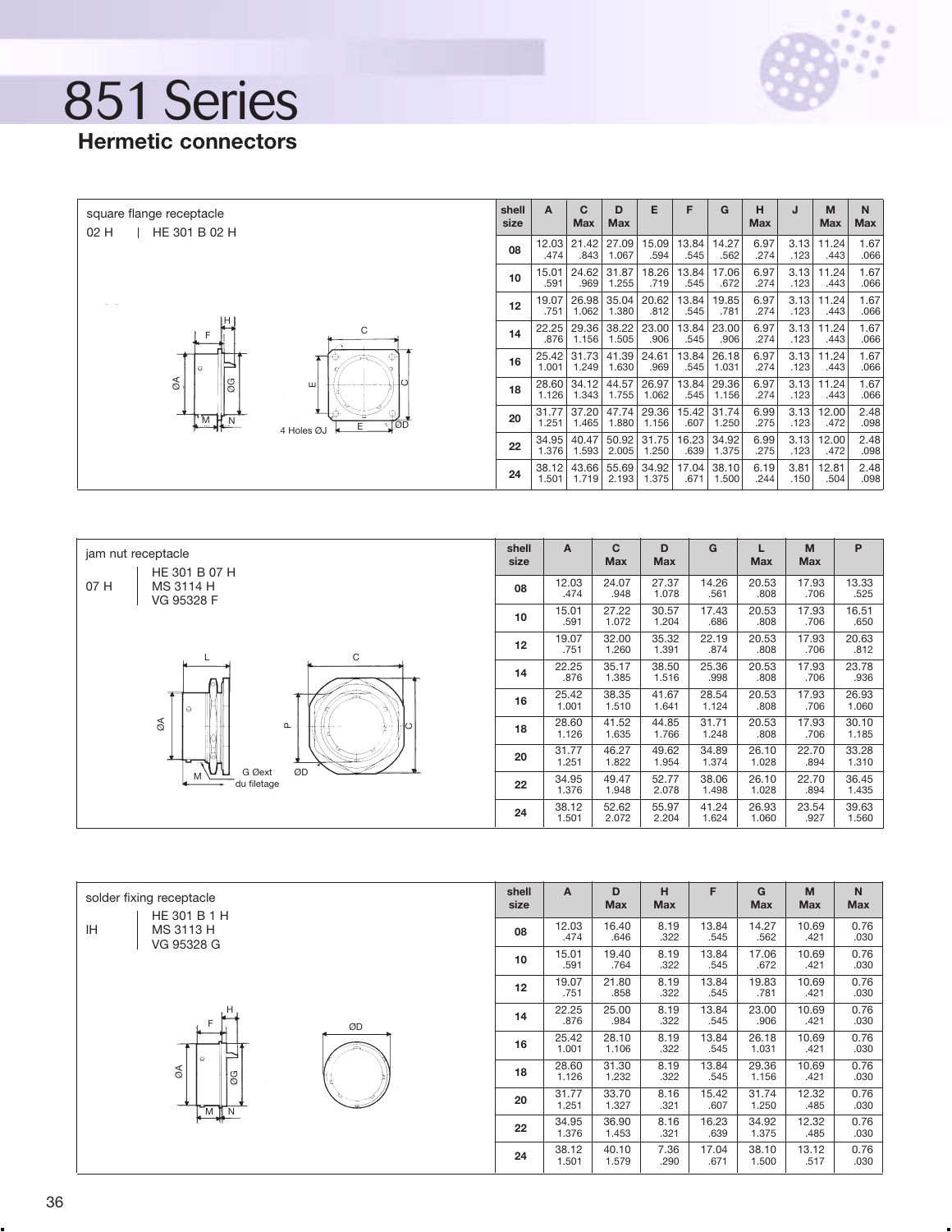

### **Hermetic connectors**

| square flange receptacle<br>HE 301 B 02 H<br>02 H | shell<br>size | A              | С<br><b>Max</b> | D<br>Max       | E              | F             | G              | н<br><b>Max</b> | J            | M<br><b>Max</b> | N<br>Max     |
|---------------------------------------------------|---------------|----------------|-----------------|----------------|----------------|---------------|----------------|-----------------|--------------|-----------------|--------------|
|                                                   | 08            | 12.03<br>.474  | 21.42<br>.843   | 27.09<br>1.067 | 15.09<br>.594  | 13.84<br>.545 | 14.27<br>.562  | 6.97<br>.274    | 3.13<br>.123 | 11.24<br>.443   | 1.67<br>.066 |
|                                                   | 10            | 15.01<br>.591  | 24.62<br>.969   | 31.87<br>1.255 | 18.26<br>.719  | 13.84<br>.545 | 17.06<br>.672  | 6.97<br>.274    | 3.13<br>.123 | 11.24<br>.443   | 1.67<br>.066 |
|                                                   | 12            | 19.07<br>.751  | 26.98<br>1.062  | 35.04<br>1.380 | 20.62<br>.812  | 13.84<br>.545 | 19.85<br>.781  | 6.97<br>.274    | 3.13<br>.123 | 11.24<br>.443   | 1.67<br>.066 |
| н<br>C                                            | 14            | 22.25<br>.876  | 29.36<br>1.156  | 38.22<br>1.505 | 23.00<br>.906  | 13.84<br>.545 | 23.00<br>.906  | 6.97<br>.274    | 3.13<br>.123 | 11.24<br>.443   | 1.67<br>.066 |
| ۱e                                                | 16            | 25.42<br>1.001 | 31.73<br>1.249  | 41.39<br>1.630 | 24.61<br>.969  | 13.84<br>.545 | 26.18<br>1.031 | 6.97<br>.274    | 3.13<br>.123 | 11.24<br>.443   | 1.67<br>.066 |
| S<br>$\infty$<br>ш                                | 18            | 28.60<br>1.126 | 34.12<br>1.343  | 44.57<br>1.755 | 26.97<br>1.062 | 13.84<br>.545 | 29.36<br>1.156 | 6.97<br>.274    | 3.13<br>.123 | 11.24<br>.443   | 1.67<br>.066 |
| 'M<br>rød<br>E<br>4 Holes ØJ                      | 20            | 31.77<br>1.251 | 37.20<br>1.465  | 47.74<br>1.880 | 29.36<br>1.156 | 15.42<br>.607 | 31.74<br>1.250 | 6.99<br>.275    | 3.13<br>.123 | 12.00<br>.472   | 2.48<br>.098 |
|                                                   | 22            | 34.95<br>1.376 | 40.47<br>1.593  | 50.92<br>2.005 | 31.75<br>1.250 | 16.23<br>.639 | 34.92<br>1.375 | 6.99<br>.275    | 3.13<br>.123 | 12.00<br>.472   | 2.48<br>.098 |
|                                                   | 24            | 38.12<br>1.501 | 43.66<br>1.719  | 55.69<br>2.193 | 34.92<br>1.375 | 17.04<br>.671 | 38.10<br>1.500 | 6.19<br>.244    | 3.81<br>.150 | 12.81<br>.504   | 2.48<br>.098 |



| solder fixing receptacle<br>HE 301 B 1 H | shell<br>size | $\overline{A}$ | D<br><b>Max</b> | н<br><b>Max</b> | F             | G<br><b>Max</b> | M<br><b>Max</b> | ${\sf N}$<br><b>Max</b> |
|------------------------------------------|---------------|----------------|-----------------|-----------------|---------------|-----------------|-----------------|-------------------------|
| IH<br><b>MS 3113 H</b><br>VG 95328 G     | 08            | 12.03<br>.474  | 16.40<br>.646   | 8.19<br>.322    | 13.84<br>.545 | 14.27<br>.562   | 10.69<br>.421   | 0.76<br>.030            |
|                                          | 10            | 15.01<br>.591  | 19.40<br>.764   | 8.19<br>.322    | 13.84<br>.545 | 17.06<br>.672   | 10.69<br>.421   | 0.76<br>.030            |
|                                          | 12            | 19.07<br>.751  | 21.80<br>.858   | 8.19<br>.322    | 13.84<br>.545 | 19.83<br>.781   | 10.69<br>.421   | 0.76<br>.030            |
| ØD                                       | 14            | 22.25<br>.876  | 25.00<br>.984   | 8.19<br>.322    | 13.84<br>.545 | 23.00<br>.906   | 10.69<br>.421   | 0.76<br>.030            |
| $\Omega$                                 | 16            | 25.42<br>1.001 | 28.10<br>1.106  | 8.19<br>.322    | 13.84<br>.545 | 26.18<br>1.031  | 10.69<br>.421   | 0.76<br>.030            |
| S<br>ØG                                  | 18            | 28.60<br>1.126 | 31.30<br>1.232  | 8.19<br>.322    | 13.84<br>.545 | 29.36<br>1.156  | 10.69<br>.421   | 0.76<br>.030            |
| MIN                                      | 20            | 31.77<br>1.251 | 33.70<br>1.327  | 8.16<br>.321    | 15.42<br>.607 | 31.74<br>1.250  | 12.32<br>.485   | 0.76<br>.030            |
|                                          | 22            | 34.95<br>1.376 | 36.90<br>1.453  | 8.16<br>.321    | 16.23<br>.639 | 34.92<br>1.375  | 12.32<br>.485   | 0.76<br>.030            |
|                                          | 24            | 38.12<br>1.501 | 40.10<br>1.579  | 7.36<br>.290    | 17.04<br>.671 | 38.10<br>1.500  | 13.12<br>.517   | 0.76<br>.030            |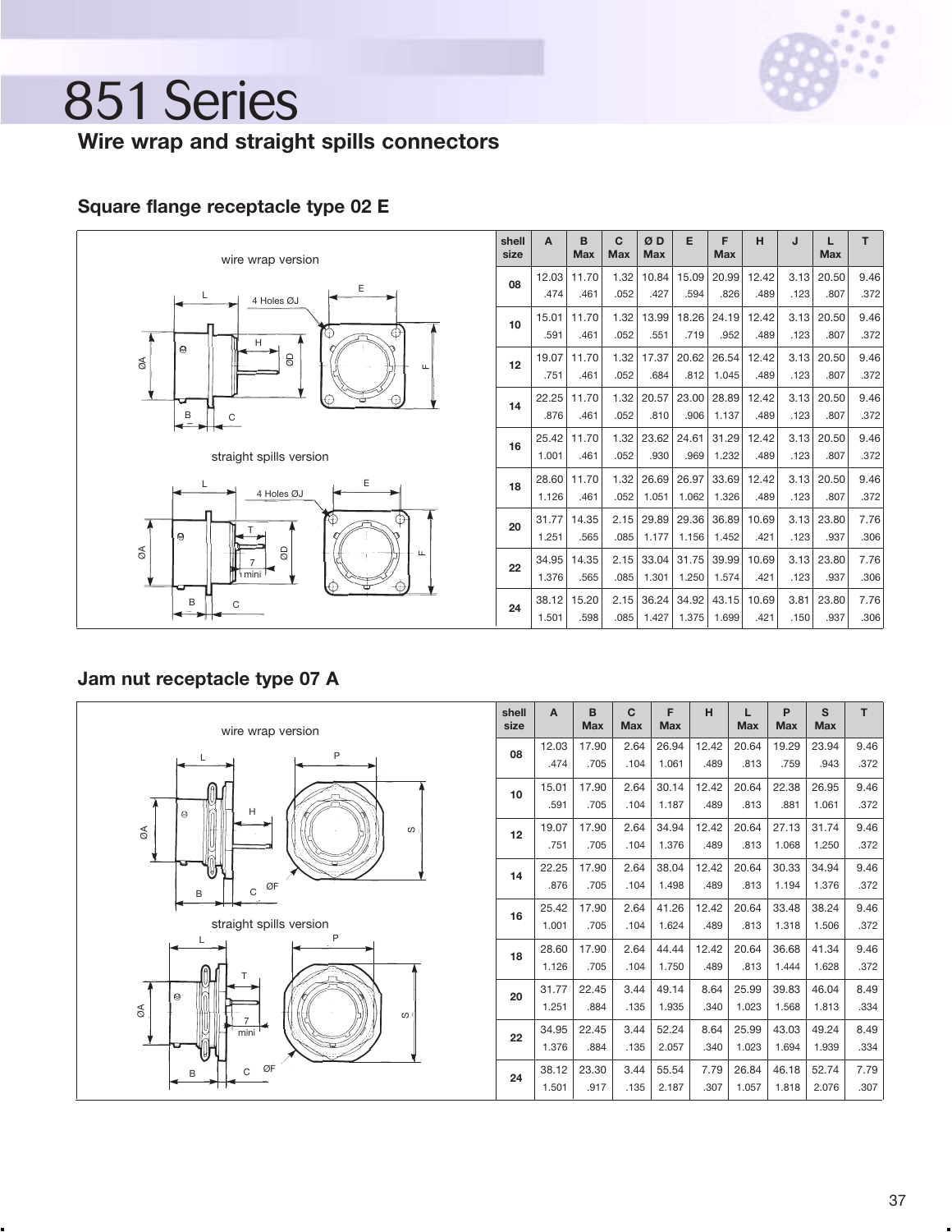

## **Wire wrap and straight spills connectors**

### **Square flange receptacle type 02 E**



| shell<br>size | A     | B<br><b>Max</b> | C<br><b>Max</b> | ØΒ<br><b>Max</b> | Е     | F<br><b>Max</b> | н     | J    | L<br><b>Max</b> | т    |
|---------------|-------|-----------------|-----------------|------------------|-------|-----------------|-------|------|-----------------|------|
| 08            | 12.03 | 11.70           | 1.32            | 10.84            | 15.09 | 20.99           | 12.42 | 3.13 | 20.50           | 9.46 |
|               | .474  | .461            | .052            | .427             | .594  | .826            | .489  | .123 | .807            | .372 |
| 10            | 15.01 | 11.70           | 1.32            | 13.99            | 18.26 | 24.19           | 12.42 | 3.13 | 20.50           | 9.46 |
|               | .591  | .461            | .052            | .551             | .719  | .952            | .489  | .123 | .807            | .372 |
|               | 19.07 | 11.70           | 1.32            | 17.37            | 20.62 | 26.54           | 12.42 | 3.13 | 20.50           | 9.46 |
| 12            | .751  | .461            | .052            | .684             | .812  | 1.045           | .489  | .123 | .807            | .372 |
| 14            | 22.25 | 11.70           | 1.32            | 20.57            | 23.00 | 28.89           | 12.42 | 3.13 | 20.50           | 9.46 |
|               | .876  | .461            | .052            | .810             | .906  | 1.137           | .489  | .123 | .807            | .372 |
| 16            | 25.42 | 11.70           | 1.32            | 23.62            | 24.61 | 31.29           | 12.42 | 3.13 | 20.50           | 9.46 |
|               | 1.001 | .461            | .052            | .930             | .969  | 1.232           | .489  | .123 | .807            | .372 |
|               | 28.60 | 11.70           | 1.32            | 26.69            | 26.97 | 33.69           | 12.42 | 3.13 | 20.50           | 9.46 |
| 18            | 1.126 | .461            | .052            | 1.051            | 1.062 | 1.326           | .489  | .123 | .807            | .372 |
| 20            | 31.77 | 14.35           | 2.15            | 29.89            | 29.36 | 36.89           | 10.69 | 3.13 | 23.80           | 7.76 |
|               | 1.251 | .565            | .085            | 1.177            | 1.156 | 1.452           | .421  | .123 | .937            | .306 |
| 22            | 34.95 | 14.35           | 2.15            | 33.04            | 31.75 | 39.99           | 10.69 | 3.13 | 23.80           | 7.76 |
|               | 1.376 | .565            | .085            | 1.301            | 1.250 | 1.574           | .421  | .123 | .937            | .306 |
|               | 38.12 | 15.20           | 2.15            | 36.24            | 34.92 | 43.15           | 10.69 | 3.81 | 23.80           | 7.76 |
| 24            | 1.501 | .598            | .085            | 1.427            | 1.375 | 1.699           | .421  | .150 | .937            | .306 |

#### **Jam nut receptacle type 07 A**

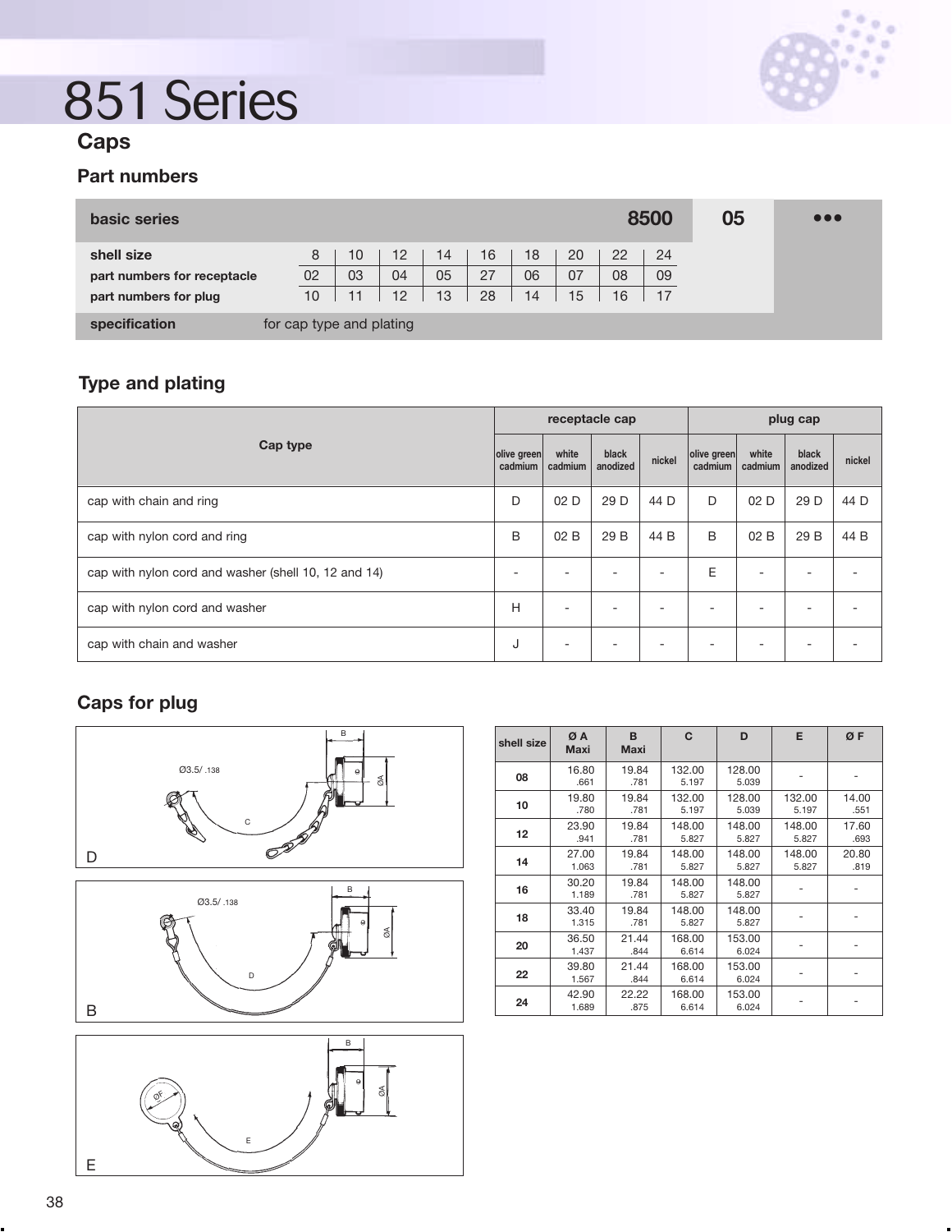

## **Caps**

## **Part numbers**

| basic series                |                          |    |    |    |    |    |    |    | 8500 | 05 | $\bullet\bullet\bullet$ |
|-----------------------------|--------------------------|----|----|----|----|----|----|----|------|----|-------------------------|
| shell size                  | 8                        | 10 | 12 | 14 | 16 | 18 | 20 | 22 | 24   |    |                         |
| part numbers for receptacle | 02                       | 03 | 04 | 05 | 27 | 06 | 07 | 08 | 09   |    |                         |
| part numbers for plug       | 10 <sup>°</sup>          | 11 | 12 | 13 | 28 | 14 | 15 | 16 | 17   |    |                         |
| specification               | for cap type and plating |    |    |    |    |    |    |    |      |    |                         |

## **Type and plating**

|                                                      |                        |                          | receptacle cap    |        | plug cap               |                  |                   |        |  |
|------------------------------------------------------|------------------------|--------------------------|-------------------|--------|------------------------|------------------|-------------------|--------|--|
| Cap type                                             | olive green<br>cadmium | white<br>cadmium         | black<br>anodized | nickel | olive green<br>cadmium | white<br>cadmium | black<br>anodized | nickel |  |
| cap with chain and ring                              | D                      | 02D                      | 29 D              | 44 D   | D                      | 02D              | 29 D              | 44 D   |  |
| cap with nylon cord and ring                         | B                      | 02 B                     | 29 B              | 44 B   | B                      | 02B              | 29 B              | 44 B   |  |
| cap with nylon cord and washer (shell 10, 12 and 14) |                        | $\overline{\phantom{a}}$ | -                 |        | E                      | Ξ.               | ۰                 |        |  |
| cap with nylon cord and washer                       | H                      | $\overline{\phantom{a}}$ |                   |        |                        | -                |                   |        |  |
| cap with chain and washer                            | J                      | $\overline{\phantom{a}}$ |                   |        |                        | ۰                | -                 |        |  |

## **Caps for plug**







| shell size | ØA<br><b>Maxi</b> | B<br><b>Maxi</b> | C               | D               | Е               | ØF            |
|------------|-------------------|------------------|-----------------|-----------------|-----------------|---------------|
| 08         | 16.80<br>.661     | 19.84<br>.781    | 132.00<br>5.197 | 128.00<br>5.039 |                 |               |
| 10         | 19.80<br>.780     | 19.84<br>.781    | 132.00<br>5.197 | 128.00<br>5.039 | 132.00<br>5.197 | 14.00<br>.551 |
| 12         | 23.90<br>.941     | 19.84<br>.781    | 148.00<br>5.827 | 148.00<br>5.827 | 148.00<br>5.827 | 17.60<br>.693 |
| 14         | 27.00<br>1.063    | 19.84<br>.781    | 148.00<br>5.827 | 148.00<br>5.827 | 148.00<br>5.827 | 20.80<br>.819 |
| 16         | 30.20<br>1.189    | 19.84<br>.781    | 148.00<br>5.827 | 148.00<br>5.827 |                 |               |
| 18         | 33.40<br>1.315    | 19.84<br>.781    | 148.00<br>5.827 | 148.00<br>5.827 |                 |               |
| 20         | 36.50<br>1.437    | 21.44<br>.844    | 168.00<br>6.614 | 153.00<br>6.024 |                 |               |
| 22         | 39.80<br>1.567    | 21.44<br>.844    | 168.00<br>6.614 | 153.00<br>6.024 |                 |               |
| 24         | 42.90<br>1.689    | 22.22<br>.875    | 168.00<br>6.614 | 153.00<br>6.024 |                 |               |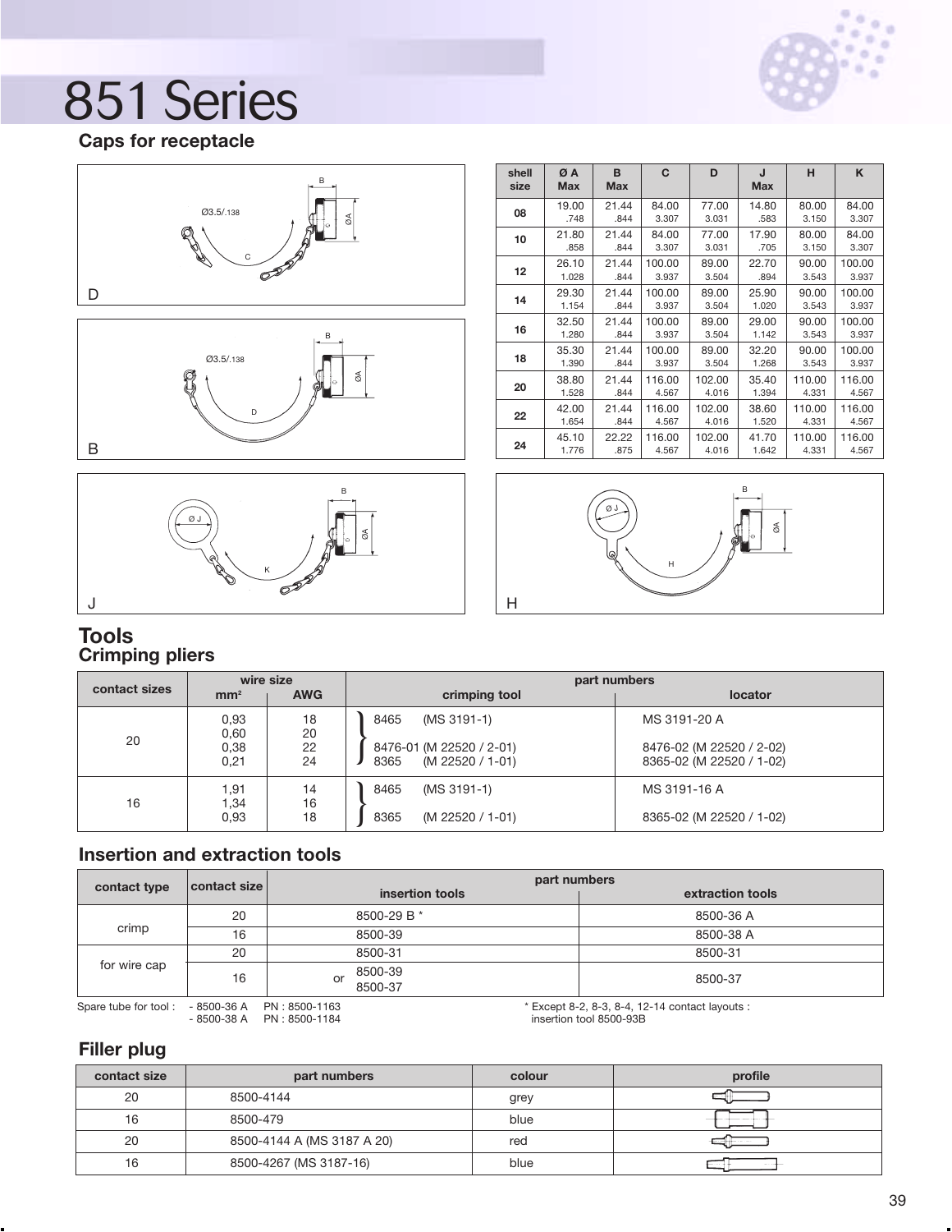

## **Caps for receptacle**





| shell<br>size | ØA<br><b>Max</b> | B<br><b>Max</b> | C      | D      | J<br><b>Max</b> | н      | K      |
|---------------|------------------|-----------------|--------|--------|-----------------|--------|--------|
| 08            | 19.00            | 21.44           | 84.00  | 77.00  | 14.80           | 80.00  | 84.00  |
|               | .748             | .844            | 3.307  | 3.031  | .583            | 3.150  | 3.307  |
| 10            | 21.80            | 21.44           | 84.00  | 77.00  | 17.90           | 80.00  | 84.00  |
|               | .858             | .844            | 3.307  | 3.031  | .705            | 3.150  | 3.307  |
| 12            | 26.10            | 21.44           | 100.00 | 89.00  | 22.70           | 90.00  | 100.00 |
|               | 1.028            | .844            | 3.937  | 3.504  | .894            | 3.543  | 3.937  |
| 14            | 29.30            | 21.44           | 100.00 | 89.00  | 25.90           | 90.00  | 100.00 |
|               | 1.154            | .844            | 3.937  | 3.504  | 1.020           | 3.543  | 3.937  |
| 16            | 32.50            | 21.44           | 100.00 | 89.00  | 29.00           | 90.00  | 100.00 |
|               | 1.280            | .844            | 3.937  | 3.504  | 1.142           | 3.543  | 3.937  |
| 18            | 35.30            | 21.44           | 100.00 | 89.00  | 32.20           | 90.00  | 100.00 |
|               | 1.390            | .844            | 3.937  | 3.504  | 1.268           | 3.543  | 3.937  |
| 20            | 38.80            | 21.44           | 116.00 | 102.00 | 35.40           | 110.00 | 116.00 |
|               | 1.528            | .844            | 4.567  | 4.016  | 1.394           | 4.331  | 4.567  |
| 22            | 42.00            | 21.44           | 116.00 | 102.00 | 38.60           | 110.00 | 116.00 |
|               | 1.654            | .844            | 4.567  | 4.016  | 1.520           | 4.331  | 4.567  |
| 24            | 45.10            | 22.22           | 116.00 | 102.00 | 41.70           | 110.00 | 116.00 |
|               | 1.776            | .875            | 4.567  | 4.016  | 1.642           | 4.331  | 4.567  |



#### **Tools Crimping pliers**

|               | wire size                    |                      | part numbers                                                                |                                                                      |  |  |  |  |
|---------------|------------------------------|----------------------|-----------------------------------------------------------------------------|----------------------------------------------------------------------|--|--|--|--|
| contact sizes | mm <sup>2</sup>              | <b>AWG</b>           | crimping tool                                                               | locator                                                              |  |  |  |  |
| 20            | 0,93<br>0,60<br>0,38<br>0.21 | 18<br>20<br>22<br>24 | 8465<br>(MS 3191-1)<br>8476-01 (M 22520 / 2-01)<br>(M 22520 / 1-01)<br>8365 | MS 3191-20 A<br>8476-02 (M 22520 / 2-02)<br>8365-02 (M 22520 / 1-02) |  |  |  |  |
| 16            | 1,91<br>1.34<br>0.93         | 14<br>16<br>18       | 8465<br>(MS 3191-1)<br>(M 22520 / 1-01)<br>8365                             | MS 3191-16 A<br>8365-02 (M 22520 / 1-02)                             |  |  |  |  |

## **Insertion and extraction tools**

|                                                       | contact size | part numbers         |                 |                                                |  |  |  |
|-------------------------------------------------------|--------------|----------------------|-----------------|------------------------------------------------|--|--|--|
| contact type                                          |              |                      | insertion tools | extraction tools                               |  |  |  |
|                                                       | 20           |                      | 8500-29 B *     | 8500-36 A                                      |  |  |  |
| crimp                                                 | 16           |                      | 8500-39         | 8500-38 A                                      |  |  |  |
|                                                       | 20           |                      | 8500-31         | 8500-31                                        |  |  |  |
| for wire cap                                          | 16           | or                   | 8500-39         | 8500-37                                        |  |  |  |
|                                                       |              |                      | 8500-37         |                                                |  |  |  |
| $C_{\text{max}}$ tube for tool : $QE\cap QE$ $\wedge$ |              | $DN \cdot 9500$ 1162 |                 | $*$ Expont 8.2.8.2.8.4.12.14 poptagt layoute : |  |  |  |

- 8500-36 A PN : 8500-1163<br>- 8500-38 A PN : 8500-1184

Spare tube for tool : - 8500-36 A PN : 8500-1163 \* \* Except 8-2, 8-3, 8-4, 12-14 contact layouts<br>- 8500-38 A PN : 8500-1184 \* insertion tool 8500-93B

## **Filler plug**

| contact size | part numbers               | colour | profile |
|--------------|----------------------------|--------|---------|
| 20           | 8500-4144                  | grey   |         |
| 16           | 8500-479                   | blue   | ____    |
| 20           | 8500-4144 A (MS 3187 A 20) | red    |         |
| 16           | 8500-4267 (MS 3187-16)     | blue   |         |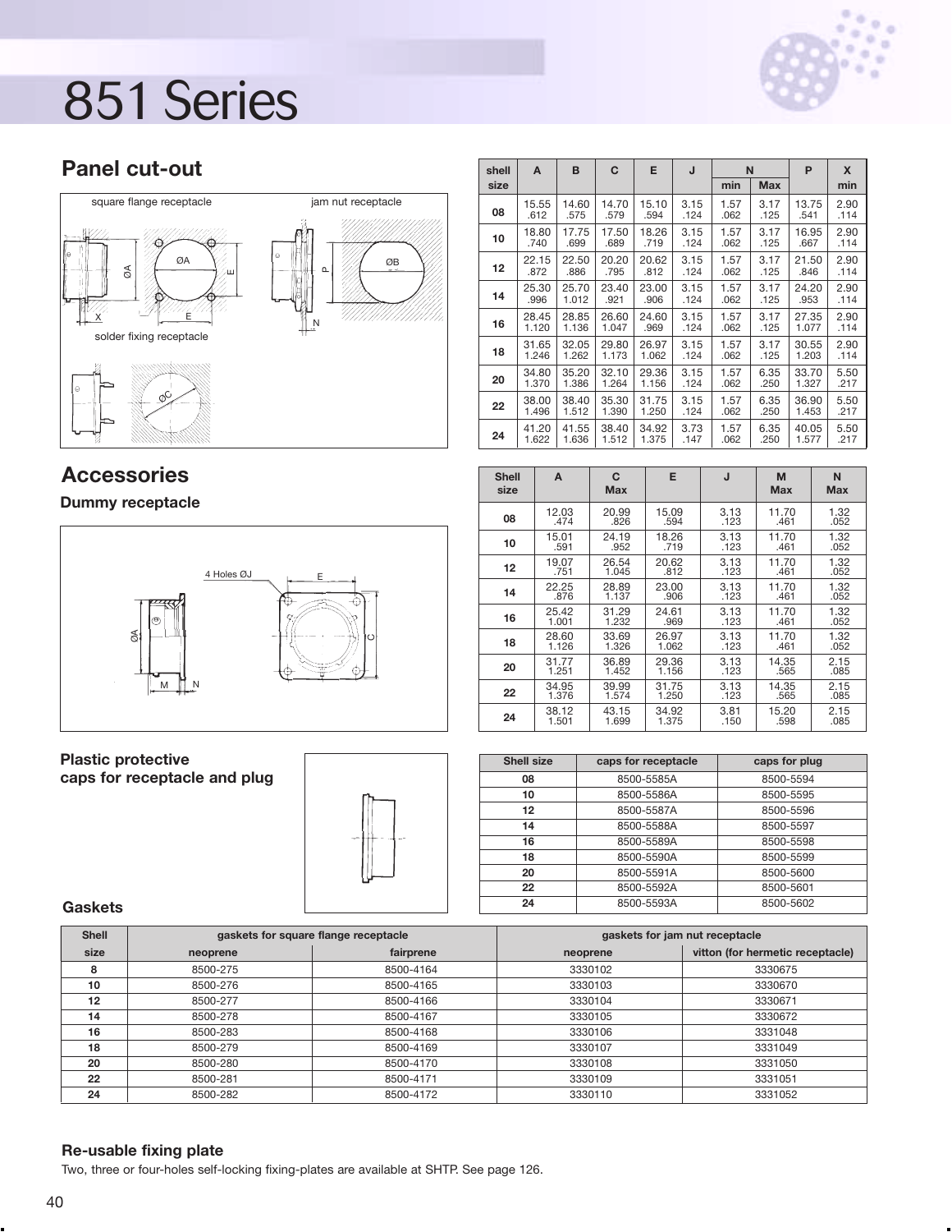

## **Panel cut-out**



## **Accessories**

**Dummy receptacle**



**Plastic protective caps for receptacle and plug**



#### **Gaskets**

| <b>Shell</b>      |          | gaskets for square flange receptacle | gaskets for jam nut receptacle |                                  |  |  |
|-------------------|----------|--------------------------------------|--------------------------------|----------------------------------|--|--|
| size              | neoprene | fairprene                            | neoprene                       | vitton (for hermetic receptacle) |  |  |
| 8                 | 8500-275 | 8500-4164                            | 3330102                        | 3330675                          |  |  |
| 10                | 8500-276 | 8500-4165                            | 3330103                        | 3330670                          |  |  |
| $12 \overline{ }$ | 8500-277 | 8500-4166                            | 3330104                        | 3330671                          |  |  |
| 14                | 8500-278 | 8500-4167                            | 3330105                        | 3330672                          |  |  |
| 16                | 8500-283 | 8500-4168                            | 3330106                        | 3331048                          |  |  |
| 18                | 8500-279 | 8500-4169                            | 3330107                        | 3331049                          |  |  |
| 20                | 8500-280 | 8500-4170                            | 3330108                        | 3331050                          |  |  |
| 22                | 8500-281 | 8500-4171                            | 3330109                        | 3331051                          |  |  |
| 24                | 8500-282 | 8500-4172                            | 3330110                        | 3331052                          |  |  |

#### **Re-usable fixing plate**

Two, three or four-holes self-locking fixing-plates are available at SHTP. See page 126.

| shell | A     | B     | C     | Е     | J    |      | N          | P     | X    |
|-------|-------|-------|-------|-------|------|------|------------|-------|------|
| size  |       |       |       |       |      | min  | <b>Max</b> |       | min  |
| 08    | 15.55 | 14.60 | 14.70 | 15.10 | 3.15 | 1.57 | 3.17       | 13.75 | 2.90 |
|       | .612  | .575  | .579  | .594  | .124 | .062 | .125       | .541  | .114 |
| 10    | 18.80 | 17.75 | 17.50 | 18.26 | 3.15 | 1.57 | 3.17       | 16.95 | 2.90 |
|       | .740  | .699  | .689  | .719  | .124 | .062 | .125       | .667  | .114 |
| 12    | 22.15 | 22.50 | 20.20 | 20.62 | 3.15 | 1.57 | 3.17       | 21.50 | 2.90 |
|       | .872  | .886  | .795  | .812  | .124 | .062 | .125       | .846  | .114 |
| 14    | 25.30 | 25.70 | 23.40 | 23.00 | 3.15 | 1.57 | 3.17       | 24.20 | 2.90 |
|       | .996  | 1.012 | .921  | .906  | .124 | .062 | .125       | .953  | .114 |
| 16    | 28.45 | 28.85 | 26.60 | 24.60 | 3.15 | 1.57 | 3.17       | 27.35 | 2.90 |
|       | 1.120 | 1.136 | 1.047 | .969  | .124 | .062 | .125       | 1.077 | .114 |
| 18    | 31.65 | 32.05 | 29.80 | 26.97 | 3.15 | 1.57 | 3.17       | 30.55 | 2.90 |
|       | 1.246 | 1.262 | 1.173 | 1.062 | .124 | .062 | .125       | 1.203 | .114 |
| 20    | 34.80 | 35.20 | 32.10 | 29.36 | 3.15 | 1.57 | 6.35       | 33.70 | 5.50 |
|       | 1.370 | 1.386 | 1.264 | 1.156 | .124 | .062 | .250       | 1.327 | .217 |
| 22    | 38.00 | 38.40 | 35.30 | 31.75 | 3.15 | 1.57 | 6.35       | 36.90 | 5.50 |
|       | 1.496 | 1.512 | 1.390 | 1.250 | .124 | .062 | .250       | 1.453 | .217 |
| 24    | 41.20 | 41.55 | 38.40 | 34.92 | 3.73 | 1.57 | 6.35       | 40.05 | 5.50 |
|       | 1.622 | 1.636 | 1.512 | 1.375 | .147 | .062 | .250       | 1.577 | .217 |

| <b>Shell</b><br>size | A     | C<br>Max | Е     | J    | M<br>Max | N<br><b>Max</b> |
|----------------------|-------|----------|-------|------|----------|-----------------|
| 08                   | 12.03 | 20.99    | 15.09 | 3.13 | 11.70    | 1.32            |
|                      | .474  | .826     | .594  | .123 | .461     | .052            |
| 10                   | 15.01 | 24.19    | 18.26 | 3.13 | 11.70    | 1.32            |
|                      | .591  | .952     | .719  | .123 | .461     | .052            |
| 12                   | 19.07 | 26.54    | 20.62 | 3.13 | 11.70    | 1.32            |
|                      | .751  | 1.045    | .812  | .123 | .461     | .052            |
| 14                   | 22.25 | 28.89    | 23.00 | 3.13 | 11.70    | 1.32            |
|                      | .876  | 1.137    | .906  | .123 | .461     | .052            |
| 16                   | 25.42 | 31.29    | 24.61 | 3.13 | 11.70    | 1.32            |
|                      | 1.001 | 1.232    | .969  | .123 | .461     | .052            |
| 18                   | 28.60 | 33.69    | 26.97 | 3.13 | 11.70    | 1.32            |
|                      | 1.126 | 1.326    | 1.062 | .123 | .461     | .052            |
| 20                   | 31.77 | 36.89    | 29.36 | 3.13 | 14.35    | 2.15            |
|                      | 1.251 | 1.452    | 1.156 | .123 | .565     | .085            |
| 22                   | 34.95 | 39.99    | 31.75 | 3.13 | 14.35    | 2.15            |
|                      | 1.376 | 1.574    | 1.250 | .123 | .565     | .085            |
| 24                   | 38.12 | 43.15    | 34.92 | 3.81 | 15.20    | 2.15            |
|                      | 1.501 | 1.699    | 1.375 | .150 | .598     | .085            |

| <b>Shell size</b> | caps for receptacle | caps for plug |
|-------------------|---------------------|---------------|
| 08                | 8500-5585A          | 8500-5594     |
| 10                | 8500-5586A          | 8500-5595     |
| 12                | 8500-5587A          | 8500-5596     |
| 14                | 8500-5588A          | 8500-5597     |
| 16                | 8500-5589A          | 8500-5598     |
| 18                | 8500-5590A          | 8500-5599     |
| 20                | 8500-5591A          | 8500-5600     |
| 22                | 8500-5592A          | 8500-5601     |
| 24                | 8500-5593A          | 8500-5602     |